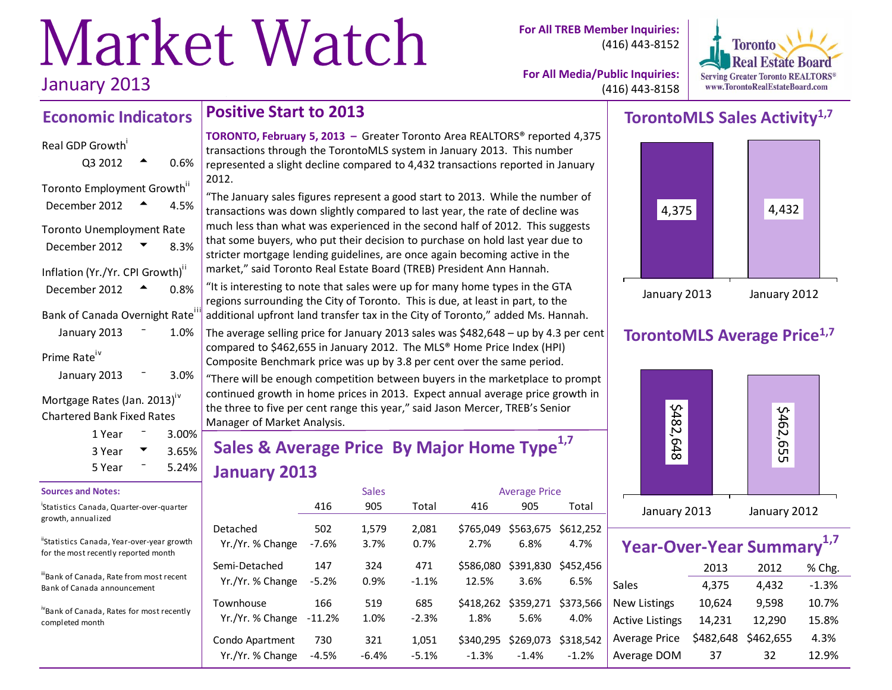# Market Watch January 2013

**For All TREB Member Inquiries:** (416) 443-8152



**For All Media/Public Inquiries:** (416) 443-8158

### **Economic Indicators**

#### Real GDP Growth<sup>i</sup>

| Q3 2012                          | 0.6%              |
|----------------------------------|-------------------|
| Toronto Employment Growth"       |                   |
| December 2012                    | 4.5%              |
| <b>Toronto Unemployment Rate</b> |                   |
| December 2012                    | 8.3%              |
| Inflation (Yr./Yr. CPI Growth)"  |                   |
| December 2012                    | 0.8%              |
| Bank of Canada Overnight Rate    |                   |
| January 2013                     | 1.0%              |
| Prime Rate <sup>iv</sup>         |                   |
| January 2013                     | 3.0%              |
|                                  | $\sim$ $\cdot$ iv |

Mortgage Rates (Jan. 2013) Chartered Bank Fixed Rates

| 1 Year | $3.00\%$ |  |
|--------|----------|--|
| 3 Year | 3.65%    |  |
| 5 Year | $5.24\%$ |  |

#### **Sources and Notes:**

i Statistics Canada, Quarter-over-quarter growth, annualized

"Statistics Canada, Year-over-year growth for the most recently reported month

iiBank of Canada, Rate from most recent Bank of Canada announcement

ivBank of Canada, Rates for most recently completed month

### **Positive Start to 2013**

**TORONTO, February 5, 2013 –** Greater Toronto Area REALTORS® reported 4,375 transactions through the TorontoMLS system in January 2013. This number represented a slight decline compared to 4,432 transactions reported in January 2012.

"The January sales figures represent a good start to 2013. While the number of transactions was down slightly compared to last year, the rate of decline was much less than what was experienced in the second half of 2012. This suggests that some buyers, who put their decision to purchase on hold last year due to stricter mortgage lending guidelines, are once again becoming active in the market," said Toronto Real Estate Board (TREB) President Ann Hannah.

"It is interesting to note that sales were up for many home types in the GTA regions surrounding the City of Toronto. This is due, at least in part, to the additional upfront land transfer tax in the City of Toronto," added Ms. Hannah.

The average selling price for January 2013 sales was \$482,648 – up by 4.3 per cent compared to \$462,655 in January 2012. The MLS® Home Price Index (HPI) Composite Benchmark price was up by 3.8 per cent over the same period.

"There will be enough competition between buyers in the marketplace to prompt continued growth in home prices in 2013. Expect annual average price growth in the three to five per cent range this year," said Jason Mercer, TREB's Senior Manager of Market Analysis.

# **Sales & Average Price By Major Home Type1,7 January 2013**

|                  |          | <b>Sales</b> |         |           | <b>Average Price</b> |           |  |  |
|------------------|----------|--------------|---------|-----------|----------------------|-----------|--|--|
|                  | 416      | 905          | Total   | 416       | 905                  | Total     |  |  |
| Detached         | 502      | 1.579        | 2.081   | \$765.049 | \$563,675            | \$612.252 |  |  |
| Yr./Yr. % Change | $-7.6%$  | 3.7%         | 0.7%    | 2.7%      | 6.8%                 | 4.7%      |  |  |
| Semi-Detached    | 147      | 324          | 471     | \$586,080 | \$391,830            | \$452.456 |  |  |
| Yr./Yr. % Change | $-5.2%$  | 0.9%         | $-1.1%$ | 12.5%     | 3.6%                 | 6.5%      |  |  |
| Townhouse        | 166      | 519          | 685     | 1.8%      | \$418,262 \$359,271  | \$373.566 |  |  |
| Yr./Yr. % Change | $-11.2%$ | 1.0%         | $-2.3%$ |           | 5.6%                 | 4.0%      |  |  |
| Condo Apartment  | 730      | 321          | 1,051   | \$340,295 | \$269,073            | \$318.542 |  |  |
| Yr./Yr. % Change | $-4.5%$  | $-6.4%$      | $-5.1%$ | $-1.3%$   | $-1.4%$              | $-1.2%$   |  |  |

# **TorontoMLS Sales Activity1,7**



## **TorontoMLS Average Price1,7**



| Year-Over-Year Summary <sup>1,7</sup> |           |           |         |
|---------------------------------------|-----------|-----------|---------|
|                                       | 2013      | 2012      | % Chg.  |
| Sales                                 | 4,375     | 4,432     | $-1.3%$ |
| <b>New Listings</b>                   | 10,624    | 9,598     | 10.7%   |
| <b>Active Listings</b>                | 14,231    | 12,290    | 15.8%   |
| Average Price                         | \$482,648 | \$462,655 | 4.3%    |

Average DOM 37 32 12.9%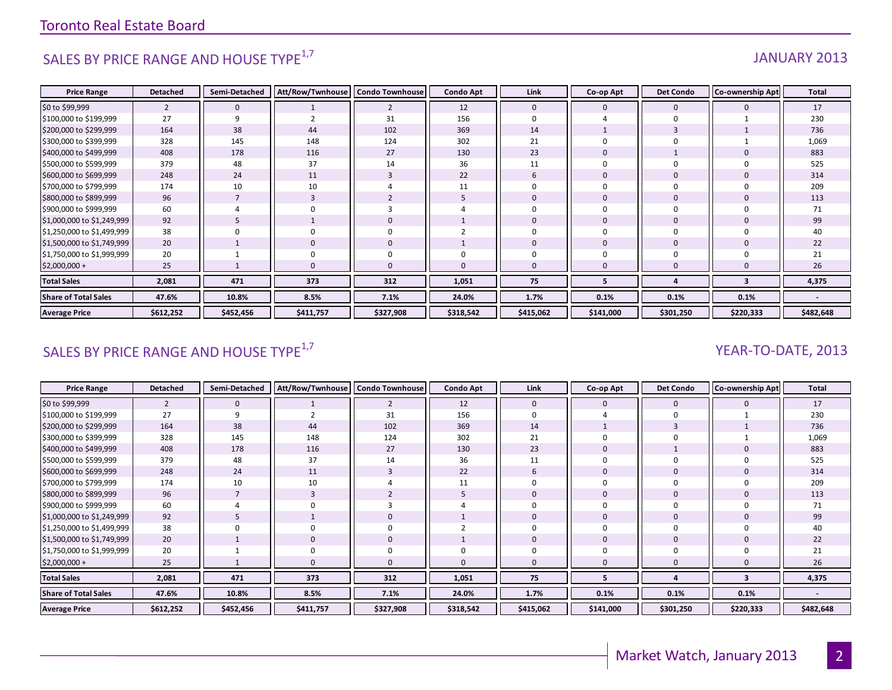# SALES BY PRICE RANGE AND HOUSE TYPE $^{1,7}$  and the set of the set of the set of the set of the set of the set of the set of the set of the set of the set of the set of the set of the set of the set of the set of the set o

| <b>Price Range</b>          | <b>Detached</b> | Semi-Detached | Att/Row/Twnhouse | <b>Condo Townhouse</b> | <b>Condo Apt</b> | Link         | Co-op Apt      | <b>Det Condo</b> | Co-ownership Apt | Total     |
|-----------------------------|-----------------|---------------|------------------|------------------------|------------------|--------------|----------------|------------------|------------------|-----------|
| \$0 to \$99,999             | 2               | $\mathbf{0}$  |                  | $\overline{2}$         | 12               | $\mathbf 0$  | $\mathbf 0$    | $\mathbf{0}$     |                  | 17        |
| \$100,000 to \$199,999      | 27              | 9             |                  | 31                     | 156              | $\mathbf 0$  |                | $\Omega$         |                  | 230       |
| \$200,000 to \$299,999      | 164             | 38            | 44               | 102                    | 369              | 14           |                | 3                |                  | 736       |
| \$300,000 to \$399,999      | 328             | 145           | 148              | 124                    | 302              | 21           |                |                  |                  | 1,069     |
| \$400,000 to \$499,999      | 408             | 178           | 116              | 27                     | 130              | 23           | $\Omega$       |                  |                  | 883       |
| \$500,000 to \$599,999      | 379             | 48            | 37               | 14                     | 36               | 11           | $\Omega$       |                  |                  | 525       |
| \$600,000 to \$699,999      | 248             | 24            | 11               | 3                      | 22               | 6            | $\overline{0}$ | $\mathbf 0$      |                  | 314       |
| \$700,000 to \$799,999      | 174             | 10            | 10               |                        | 11               | 0            | $\Omega$       |                  |                  | 209       |
| \$800,000 to \$899,999      | 96              |               |                  | ∠                      |                  | $\mathbf 0$  | $\overline{0}$ | $\mathbf 0$      |                  | 113       |
| \$900,000 to \$999,999      | 60              |               |                  |                        |                  | $\Omega$     | $\Omega$       |                  |                  | 71        |
| \$1,000,000 to \$1,249,999  | 92              |               |                  | $\mathbf 0$            |                  | $\Omega$     | $\Omega$       | $\mathbf 0$      |                  | 99        |
| \$1,250,000 to \$1,499,999  | 38              |               |                  | $\mathbf 0$            |                  | $\Omega$     | $\Omega$       | $\Omega$         |                  | 40        |
| \$1,500,000 to \$1,749,999  | 20              |               | 0                | $\mathbf 0$            |                  | $\mathbf{0}$ | $\Omega$       | $\mathbf 0$      |                  | 22        |
| \$1,750,000 to \$1,999,999  | 20              |               |                  | $\mathbf 0$            |                  | $\Omega$     |                |                  |                  | 21        |
| $$2,000,000+$               | 25              |               |                  | $\Omega$               | <sup>0</sup>     | $\Omega$     | n              |                  |                  | 26        |
| <b>Total Sales</b>          | 2,081           | 471           | 373              | 312                    | 1,051            | 75           | 5              | Δ                | 3                | 4,375     |
| <b>Share of Total Sales</b> | 47.6%           | 10.8%         | 8.5%             | 7.1%                   | 24.0%            | 1.7%         | 0.1%           | 0.1%             | 0.1%             |           |
| <b>Average Price</b>        | \$612,252       | \$452,456     | \$411,757        | \$327,908              | \$318,542        | \$415,062    | \$141,000      | \$301,250        | \$220,333        | \$482,648 |

# SALES BY PRICE RANGE AND HOUSE TYPE<sup>1,7</sup>  $\sqrt{2}$  and  $\sqrt{2}$  and  $\sqrt{2}$  and  $\sqrt{2}$  and  $\sqrt{2}$  and  $\sqrt{2}$  and  $\sqrt{2}$  and  $\sqrt{2}$  and  $\sqrt{2}$  and  $\sqrt{2}$  and  $\sqrt{2}$  and  $\sqrt{2}$  and  $\sqrt{2}$  and  $\sqrt{2}$  and  $\sqrt{2}$  and

| <b>Price Range</b>          | <b>Detached</b> | Semi-Detached | Att/Row/Twnhouse   Condo Townhouse |                | <b>Condo Apt</b> | Link        | Co-op Apt | <b>Det Condo</b> | <b>Co-ownership Apt</b> | Total     |
|-----------------------------|-----------------|---------------|------------------------------------|----------------|------------------|-------------|-----------|------------------|-------------------------|-----------|
| \$0 to \$99,999             | $\overline{2}$  | $\mathbf 0$   |                                    | $\overline{2}$ | 12               | $\mathbf 0$ | 0         | $\mathbf 0$      |                         | 17        |
| \$100,000 to \$199,999      | 27              | 9             |                                    | 31             | 156              |             |           |                  |                         | 230       |
| \$200,000 to \$299,999      | 164             | 38            | 44                                 | 102            | 369              | 14          |           |                  |                         | 736       |
| \$300,000 to \$399,999      | 328             | 145           | 148                                | 124            | 302              | 21          |           |                  |                         | 1,069     |
| \$400,000 to \$499,999      | 408             | 178           | 116                                | 27             | 130              | 23          |           |                  |                         | 883       |
| \$500,000 to \$599,999      | 379             | 48            | 37                                 | 14             | 36               | 11          |           |                  |                         | 525       |
| \$600,000 to \$699,999      | 248             | 24            | 11                                 | $\overline{3}$ | 22               | 6           |           |                  |                         | 314       |
| \$700,000 to \$799,999      | 174             | 10            | 10                                 |                |                  |             |           |                  |                         | 209       |
| \$800,000 to \$899,999      | 96              |               |                                    |                |                  |             |           |                  |                         | 113       |
| \$900,000 to \$999,999      | 60              |               |                                    |                |                  |             |           |                  |                         | 71        |
| \$1,000,000 to \$1,249,999  | 92              | 5             |                                    | 0              |                  | $\Omega$    |           | 0                |                         | 99        |
| \$1,250,000 to \$1,499,999  | 38              | $\mathbf 0$   |                                    | 0              |                  |             |           |                  |                         | 40        |
| \$1,500,000 to \$1,749,999  | 20              |               |                                    | $\pmb{0}$      |                  | 0           |           | $\mathbf 0$      |                         | 22        |
| \$1,750,000 to \$1,999,999  | 20              |               |                                    | 0              |                  |             |           |                  |                         | 21        |
| $$2,000,000+$               | 25              |               |                                    | 0              |                  | $\Omega$    |           |                  |                         | 26        |
| <b>Total Sales</b>          | 2,081           | 471           | 373                                | 312            | 1,051            | 75          | 5         |                  | 3                       | 4,375     |
| <b>Share of Total Sales</b> | 47.6%           | 10.8%         | 8.5%                               | 7.1%           | 24.0%            | 1.7%        | 0.1%      | 0.1%             | 0.1%                    |           |
| <b>Average Price</b>        | \$612,252       | \$452,456     | \$411,757                          | \$327,908      | \$318,542        | \$415,062   | \$141,000 | \$301,250        | \$220,333               | \$482,648 |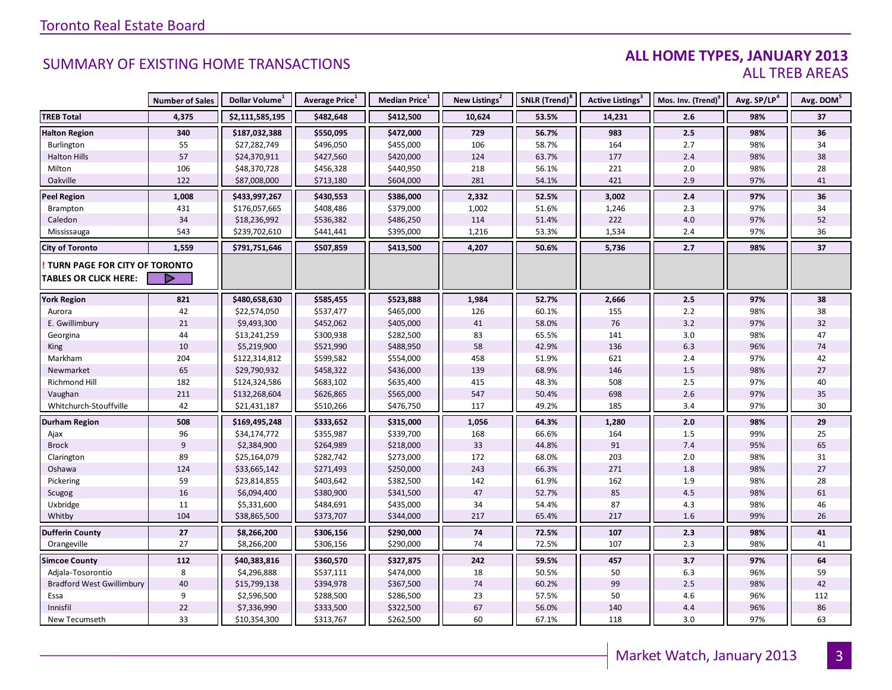### **ALL HOME TYPES, JANUARY 2013** ALL TREB AREAS

|                                  | <b>Number of Sales</b> | Dollar Volume <sup>1</sup> | Average Price <sup>1</sup> | Median Price <sup>1</sup> | New Listings <sup>2</sup> | SNLR (Trend) <sup>8</sup> | Active Listings <sup>3</sup> | Mos. Inv. (Trend) <sup>9</sup> | Avg. SP/LP <sup>4</sup> | Avg. DOM <sup>5</sup> |
|----------------------------------|------------------------|----------------------------|----------------------------|---------------------------|---------------------------|---------------------------|------------------------------|--------------------------------|-------------------------|-----------------------|
| <b>TREB Total</b>                | 4,375                  | \$2,111,585,195            | \$482,648                  | \$412,500                 | 10,624                    | 53.5%                     | 14,231                       | 2.6                            | 98%                     | 37                    |
| <b>Halton Region</b>             | 340                    | \$187,032,388              | \$550,095                  | \$472,000                 | 729                       | 56.7%                     | 983                          | 2.5                            | 98%                     | 36                    |
| Burlington                       | 55                     | \$27,282,749               | \$496,050                  | \$455,000                 | 106                       | 58.7%                     | 164                          | 2.7                            | 98%                     | 34                    |
| <b>Halton Hills</b>              | 57                     | \$24,370,911               | \$427,560                  | \$420,000                 | 124                       | 63.7%                     | 177                          | 2.4                            | 98%                     | 38                    |
| Milton                           | 106                    | \$48,370,728               | \$456,328                  | \$440,950                 | 218                       | 56.1%                     | 221                          | 2.0                            | 98%                     | 28                    |
| Oakville                         | 122                    | \$87,008,000               | \$713,180                  | \$604,000                 | 281                       | 54.1%                     | 421                          | 2.9                            | 97%                     | 41                    |
| <b>Peel Region</b>               | 1,008                  | \$433,997,267              | \$430,553                  | \$386,000                 | 2,332                     | 52.5%                     | 3,002                        | 2.4                            | 97%                     | 36                    |
| Brampton                         | 431                    | \$176,057,665              | \$408,486                  | \$379,000                 | 1,002                     | 51.6%                     | 1,246                        | 2.3                            | 97%                     | 34                    |
| Caledon                          | 34                     | \$18,236,992               | \$536,382                  | \$486,250                 | 114                       | 51.4%                     | 222                          | 4.0                            | 97%                     | 52                    |
| Mississauga                      | 543                    | \$239,702,610              | \$441,441                  | \$395,000                 | 1,216                     | 53.3%                     | 1,534                        | 2.4                            | 97%                     | 36                    |
| <b>City of Toronto</b>           | 1,559                  | \$791,751,646              | \$507,859                  | \$413,500                 | 4,207                     | 50.6%                     | 5,736                        | 2.7                            | 98%                     | 37                    |
| TURN PAGE FOR CITY OF TORONTO    |                        |                            |                            |                           |                           |                           |                              |                                |                         |                       |
| <b>TABLES OR CLICK HERE:</b>     |                        |                            |                            |                           |                           |                           |                              |                                |                         |                       |
| <b>York Region</b>               | 821                    | \$480,658,630              | \$585,455                  | \$523,888                 | 1,984                     | 52.7%                     | 2,666                        | $2.5$                          | 97%                     | 38                    |
| Aurora                           | 42                     | \$22,574,050               | \$537,477                  | \$465,000                 | 126                       | 60.1%                     | 155                          | 2.2                            | 98%                     | 38                    |
| E. Gwillimbury                   | 21                     | \$9,493,300                | \$452,062                  | \$405,000                 | 41                        | 58.0%                     | 76                           | 3.2                            | 97%                     | 32                    |
| Georgina                         | 44                     | \$13,241,259               | \$300,938                  | \$282,500                 | 83                        | 65.5%                     | 141                          | 3.0                            | 98%                     | 47                    |
| <b>King</b>                      | 10                     | \$5,219,900                | \$521,990                  | \$488,950                 | 58                        | 42.9%                     | 136                          | 6.3                            | 96%                     | 74                    |
| Markham                          | 204                    | \$122,314,812              | \$599,582                  | \$554,000                 | 458                       | 51.9%                     | 621                          | 2.4                            | 97%                     | 42                    |
| Newmarket                        | 65                     | \$29,790,932               | \$458,322                  | \$436,000                 | 139                       | 68.9%                     | 146                          | $1.5\,$                        | 98%                     | $27\,$                |
| Richmond Hill                    | 182                    | \$124,324,586              | \$683,102                  | \$635,400                 | 415                       | 48.3%                     | 508                          | 2.5                            | 97%                     | 40                    |
| Vaughan                          | 211                    | \$132,268,604              | \$626,865                  | \$565,000                 | 547                       | 50.4%                     | 698                          | 2.6                            | 97%                     | 35                    |
| Whitchurch-Stouffville           | 42                     | \$21,431,187               | \$510,266                  | \$476,750                 | 117                       | 49.2%                     | 185                          | 3.4                            | 97%                     | 30                    |
| <b>Durham Region</b>             | 508                    | \$169,495,248              | \$333,652                  | \$315,000                 | 1,056                     | 64.3%                     | 1,280                        | 2.0                            | 98%                     | 29                    |
| Ajax                             | 96                     | \$34,174,772               | \$355,987                  | \$339,700                 | 168                       | 66.6%                     | 164                          | 1.5                            | 99%                     | 25                    |
| <b>Brock</b>                     | 9                      | \$2,384,900                | \$264,989                  | \$218,000                 | 33                        | 44.8%                     | 91                           | 7.4                            | 95%                     | 65                    |
| Clarington                       | 89                     | \$25,164,079               | \$282,742                  | \$273,000                 | 172                       | 68.0%                     | 203                          | $2.0$                          | 98%                     | 31                    |
| Oshawa                           | 124                    | \$33,665,142               | \$271,493                  | \$250,000                 | 243                       | 66.3%                     | 271                          | 1.8                            | 98%                     | 27                    |
| Pickering                        | 59                     | \$23,814,855               | \$403,642                  | \$382,500                 | 142                       | 61.9%                     | 162                          | 1.9                            | 98%                     | 28                    |
| Scugog                           | 16                     | \$6,094,400                | \$380,900                  | \$341,500                 | 47                        | 52.7%                     | 85                           | $4.5\,$                        | 98%                     | 61                    |
| Uxbridge                         | 11                     | \$5,331,600                | \$484,691                  | \$435,000                 | 34                        | 54.4%                     | 87                           | 4.3                            | 98%                     | 46                    |
| Whitby                           | 104                    | \$38,865,500               | \$373,707                  | \$344,000                 | 217                       | 65.4%                     | 217                          | 1.6                            | 99%                     | 26                    |
| <b>Dufferin County</b>           | 27                     | \$8,266,200                | \$306,156                  | \$290,000                 | 74                        | 72.5%                     | 107                          | 2.3                            | 98%                     | 41                    |
| Orangeville                      | 27                     | \$8,266,200                | \$306,156                  | \$290,000                 | 74                        | 72.5%                     | 107                          | 2.3                            | 98%                     | 41                    |
| <b>Simcoe County</b>             | 112                    | \$40,383,816               | \$360,570                  | \$327,875                 | 242                       | 59.5%                     | 457                          | 3.7                            | 97%                     | 64                    |
| Adjala-Tosorontio                | 8                      | \$4,296,888                | \$537,111                  | \$474,000                 | 18                        | 50.5%                     | 50                           | 6.3                            | 96%                     | 59                    |
| <b>Bradford West Gwillimbury</b> | 40                     | \$15,799,138               | \$394,978                  | \$367,500                 | 74                        | 60.2%                     | 99                           | 2.5                            | 98%                     | 42                    |
| Essa                             | 9                      | \$2,596,500                | \$288,500                  | \$286,500                 | 23                        | 57.5%                     | 50                           | 4.6                            | 96%                     | 112                   |
| Innisfil                         | 22                     | \$7,336,990                | \$333,500                  | \$322,500                 | 67                        | 56.0%                     | 140                          | 4.4                            | 96%                     | 86                    |
| New Tecumseth                    | 33                     | \$10,354,300               | \$313,767                  | \$262,500                 | 60                        | 67.1%                     | 118                          | 3.0                            | 97%                     | 63                    |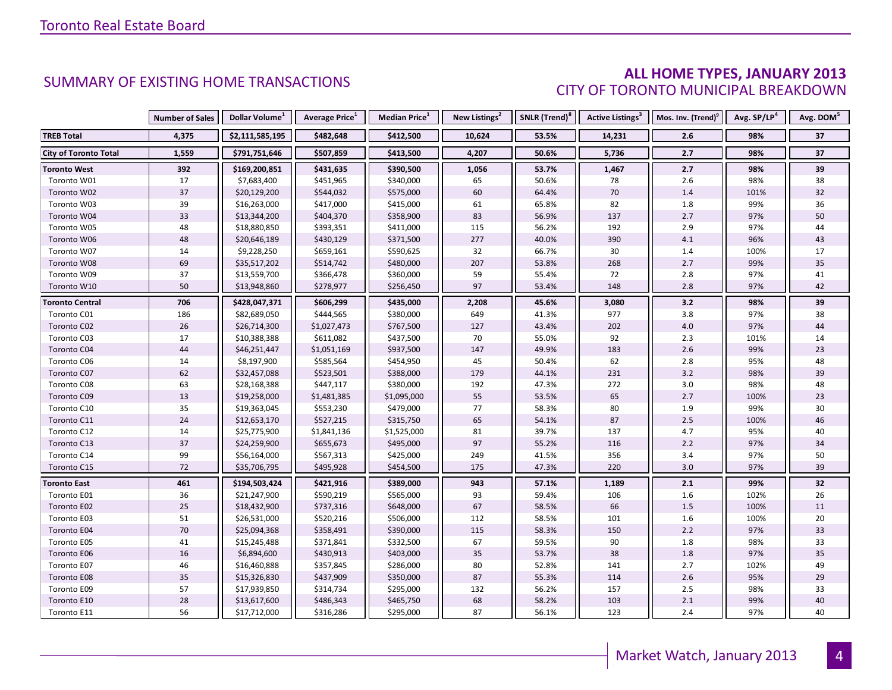### **ALL HOME TYPES, JANUARY 2013** CITY OF TORONTO MUNICIPAL BREAKDOWN

|                              | <b>Number of Sales</b> | Dollar Volume <sup>1</sup> | Average Price <sup>1</sup> | <b>Median Price</b> <sup>1</sup> | New Listings <sup>2</sup> | SNLR (Trend) <sup>8</sup> | Active Listings <sup>3</sup> | Mos. Inv. (Trend) <sup>9</sup> | Avg. SP/LP <sup>4</sup> | Avg. DOM <sup>5</sup> |
|------------------------------|------------------------|----------------------------|----------------------------|----------------------------------|---------------------------|---------------------------|------------------------------|--------------------------------|-------------------------|-----------------------|
| <b>TREB Total</b>            | 4,375                  | \$2,111,585,195            | \$482,648                  | \$412,500                        | 10,624                    | 53.5%                     | 14,231                       | 2.6                            | 98%                     | 37                    |
| <b>City of Toronto Total</b> | 1,559                  | \$791,751,646              | \$507,859                  | \$413,500                        | 4,207                     | 50.6%                     | 5,736                        | 2.7                            | 98%                     | 37                    |
| <b>Toronto West</b>          | 392                    | \$169,200,851              | \$431,635                  | \$390,500                        | 1,056                     | 53.7%                     | 1,467                        | $2.7$                          | 98%                     | 39                    |
| Toronto W01                  | 17                     | \$7,683,400                | \$451,965                  | \$340,000                        | 65                        | 50.6%                     | 78                           | 2.6                            | 98%                     | 38                    |
| Toronto W02                  | 37                     | \$20,129,200               | \$544,032                  | \$575,000                        | 60                        | 64.4%                     | 70                           | 1.4                            | 101%                    | 32                    |
| Toronto W03                  | 39                     | \$16,263,000               | \$417,000                  | \$415,000                        | 61                        | 65.8%                     | 82                           | 1.8                            | 99%                     | 36                    |
| Toronto W04                  | 33                     | \$13,344,200               | \$404,370                  | \$358,900                        | 83                        | 56.9%                     | 137                          | 2.7                            | 97%                     | 50                    |
| Toronto W05                  | 48                     | \$18,880,850               | \$393,351                  | \$411,000                        | 115                       | 56.2%                     | 192                          | 2.9                            | 97%                     | 44                    |
| Toronto W06                  | 48                     | \$20,646,189               | \$430,129                  | \$371,500                        | 277                       | 40.0%                     | 390                          | 4.1                            | 96%                     | 43                    |
| Toronto W07                  | 14                     | \$9,228,250                | \$659,161                  | \$590,625                        | 32                        | 66.7%                     | 30                           | 1.4                            | 100%                    | 17                    |
| Toronto W08                  | 69                     | \$35,517,202               | \$514,742                  | \$480,000                        | 207                       | 53.8%                     | 268                          | 2.7                            | 99%                     | 35                    |
| Toronto W09                  | 37                     | \$13,559,700               | \$366,478                  | \$360,000                        | 59                        | 55.4%                     | 72                           | 2.8                            | 97%                     | 41                    |
| Toronto W10                  | 50                     | \$13,948,860               | \$278,977                  | \$256,450                        | 97                        | 53.4%                     | 148                          | 2.8                            | 97%                     | 42                    |
| <b>Toronto Central</b>       | 706                    | \$428,047,371              | \$606,299                  | \$435,000                        | 2,208                     | 45.6%                     | 3,080                        | 3.2                            | 98%                     | 39                    |
| Toronto C01                  | 186                    | \$82,689,050               | \$444,565                  | \$380,000                        | 649                       | 41.3%                     | 977                          | 3.8                            | 97%                     | 38                    |
| Toronto C02                  | 26                     | \$26,714,300               | \$1,027,473                | \$767,500                        | 127                       | 43.4%                     | 202                          | 4.0                            | 97%                     | 44                    |
| Toronto C03                  | 17                     | \$10,388,388               | \$611,082                  | \$437,500                        | 70                        | 55.0%                     | 92                           | $2.3$                          | 101%                    | 14                    |
| Toronto C04                  | 44                     | \$46,251,447               | \$1,051,169                | \$937,500                        | 147                       | 49.9%                     | 183                          | 2.6                            | 99%                     | 23                    |
| Toronto C06                  | 14                     | \$8,197,900                | \$585,564                  | \$454,950                        | 45                        | 50.4%                     | 62                           | 2.8                            | 95%                     | 48                    |
| Toronto C07                  | 62                     | \$32,457,088               | \$523,501                  | \$388,000                        | 179                       | 44.1%                     | 231                          | 3.2                            | 98%                     | 39                    |
| Toronto C08                  | 63                     | \$28,168,388               | \$447,117                  | \$380,000                        | 192                       | 47.3%                     | 272                          | 3.0                            | 98%                     | 48                    |
| Toronto C09                  | $13\,$                 | \$19,258,000               | \$1,481,385                | \$1,095,000                      | 55                        | 53.5%                     | 65                           | 2.7                            | 100%                    | 23                    |
| Toronto C10                  | 35                     | \$19,363,045               | \$553,230                  | \$479,000                        | 77                        | 58.3%                     | 80                           | 1.9                            | 99%                     | 30                    |
| Toronto C11                  | 24                     | \$12,653,170               | \$527,215                  | \$315,750                        | 65                        | 54.1%                     | 87                           | 2.5                            | 100%                    | 46                    |
| Toronto C12                  | 14                     | \$25,775,900               | \$1,841,136                | \$1,525,000                      | 81                        | 39.7%                     | 137                          | 4.7                            | 95%                     | 40                    |
| Toronto C13                  | 37                     | \$24,259,900               | \$655,673                  | \$495,000                        | 97                        | 55.2%                     | 116                          | 2.2                            | 97%                     | 34                    |
| Toronto C14                  | 99                     | \$56,164,000               | \$567,313                  | \$425,000                        | 249                       | 41.5%                     | 356                          | 3.4                            | 97%                     | 50                    |
| Toronto C15                  | 72                     | \$35,706,795               | \$495,928                  | \$454,500                        | 175                       | 47.3%                     | 220                          | 3.0                            | 97%                     | 39                    |
| <b>Toronto East</b>          | 461                    | \$194,503,424              | \$421,916                  | \$389,000                        | 943                       | 57.1%                     | 1,189                        | 2.1                            | 99%                     | 32                    |
| Toronto E01                  | 36                     | \$21,247,900               | \$590,219                  | \$565,000                        | 93                        | 59.4%                     | 106                          | 1.6                            | 102%                    | 26                    |
| Toronto E02                  | 25                     | \$18,432,900               | \$737,316                  | \$648,000                        | 67                        | 58.5%                     | 66                           | $1.5$                          | 100%                    | 11                    |
| Toronto E03                  | 51                     | \$26,531,000               | \$520,216                  | \$506,000                        | 112                       | 58.5%                     | 101                          | 1.6                            | 100%                    | 20                    |
| Toronto E04                  | 70                     | \$25,094,368               | \$358,491                  | \$390,000                        | 115                       | 58.3%                     | 150                          | 2.2                            | 97%                     | 33                    |
| Toronto E05                  | 41                     | \$15,245,488               | \$371,841                  | \$332,500                        | 67                        | 59.5%                     | 90                           | 1.8                            | 98%                     | 33                    |
| Toronto E06                  | 16                     | \$6,894,600                | \$430,913                  | \$403,000                        | 35                        | 53.7%                     | 38                           | 1.8                            | 97%                     | 35                    |
| Toronto E07                  | 46                     | \$16,460,888               | \$357,845                  | \$286,000                        | 80                        | 52.8%                     | 141                          | 2.7                            | 102%                    | 49                    |
| Toronto E08                  | 35                     | \$15,326,830               | \$437,909                  | \$350,000                        | 87                        | 55.3%                     | 114                          | $2.6$                          | 95%                     | 29                    |
| Toronto E09                  | 57                     | \$17,939,850               | \$314,734                  | \$295,000                        | 132                       | 56.2%                     | 157                          | 2.5                            | 98%                     | 33                    |
| Toronto E10                  | 28                     | \$13,617,600               | \$486,343                  | \$465,750                        | 68                        | 58.2%                     | 103                          | 2.1                            | 99%                     | 40                    |
| Toronto E11                  | 56                     | \$17,712,000               | \$316,286                  | \$295,000                        | 87                        | 56.1%                     | 123                          | 2.4                            | 97%                     | 40                    |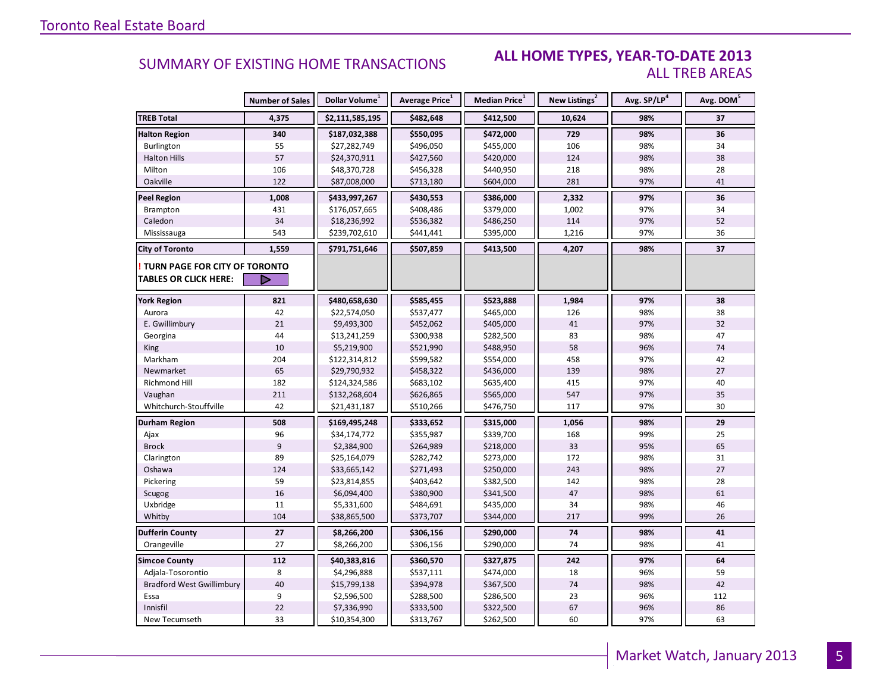#### **ALL HOME TYPES, YEAR-TO-DATE 2013** ALL TREB AREAS

|                                  | <b>Number of Sales</b> | Dollar Volume <sup>1</sup> | <b>Average Price</b> <sup>1</sup> | <b>Median Price</b> <sup>1</sup> | New Listings <sup>2</sup> | Avg. SP/LP <sup>4</sup> | Avg. DOM <sup>5</sup> |
|----------------------------------|------------------------|----------------------------|-----------------------------------|----------------------------------|---------------------------|-------------------------|-----------------------|
| <b>TREB Total</b>                | 4,375                  | \$2,111,585,195            | \$482,648                         | \$412,500                        | 10,624                    | 98%                     | 37                    |
| <b>Halton Region</b>             | 340                    | \$187,032,388              | \$550,095                         | \$472,000                        | 729                       | 98%                     | 36                    |
| Burlington                       | 55                     | \$27,282,749               | \$496,050                         | \$455,000                        | 106                       | 98%                     | 34                    |
| <b>Halton Hills</b>              | 57                     | \$24,370,911               | \$427,560                         | \$420,000                        | 124                       | 98%                     | 38                    |
| Milton                           | 106                    | \$48,370,728               | \$456,328                         | \$440,950                        | 218                       | 98%                     | 28                    |
| Oakville                         | 122                    | \$87,008,000               | \$713,180                         | \$604,000                        | 281                       | 97%                     | 41                    |
| <b>Peel Region</b>               | 1,008                  | \$433,997,267              | \$430,553                         | \$386,000                        | 2,332                     | 97%                     | 36                    |
| Brampton                         | 431                    | \$176,057,665              | \$408,486                         | \$379,000                        | 1,002                     | 97%                     | 34                    |
| Caledon                          | 34                     | \$18,236,992               | \$536,382                         | \$486,250                        | 114                       | 97%                     | 52                    |
| Mississauga                      | 543                    | \$239,702,610              | \$441,441                         | \$395,000                        | 1,216                     | 97%                     | 36                    |
| <b>City of Toronto</b>           | 1,559                  | \$791,751,646              | \$507,859                         | \$413,500                        | 4,207                     | 98%                     | 37                    |
| TURN PAGE FOR CITY OF TORONTO    |                        |                            |                                   |                                  |                           |                         |                       |
| <b>TABLES OR CLICK HERE:</b>     |                        |                            |                                   |                                  |                           |                         |                       |
| <b>York Region</b>               | 821                    | \$480,658,630              | \$585,455                         | \$523,888                        | 1,984                     | 97%                     | 38                    |
| Aurora                           | 42                     | \$22,574,050               | \$537,477                         | \$465,000                        | 126                       | 98%                     | 38                    |
| E. Gwillimbury                   | 21                     | \$9,493,300                | \$452,062                         | \$405,000                        | 41                        | 97%                     | 32                    |
| Georgina                         | 44                     | \$13,241,259               | \$300,938                         | \$282,500                        | 83                        | 98%                     | 47                    |
| King                             | 10                     | \$5,219,900                | \$521,990                         | \$488,950                        | 58                        | 96%                     | 74                    |
| Markham                          | 204                    | \$122,314,812              | \$599,582                         | \$554,000                        | 458                       | 97%                     | 42                    |
| Newmarket                        | 65                     | \$29,790,932               | \$458,322                         | \$436,000                        | 139                       | 98%                     | 27                    |
| Richmond Hill                    | 182                    | \$124,324,586              | \$683,102                         | \$635,400                        | 415                       | 97%                     | 40                    |
| Vaughan                          | 211                    | \$132,268,604              | \$626,865                         | \$565,000                        | 547                       | 97%                     | 35                    |
| Whitchurch-Stouffville           | 42                     | \$21,431,187               | \$510,266                         | \$476,750                        | 117                       | 97%                     | 30                    |
| Durham Region                    | 508                    | \$169,495,248              | \$333,652                         | \$315,000                        | 1,056                     | 98%                     | 29                    |
| Ajax                             | 96                     | \$34,174,772               | \$355,987                         | \$339,700                        | 168                       | 99%                     | 25                    |
| <b>Brock</b>                     | $\overline{9}$         | \$2,384,900                | \$264,989                         | \$218,000                        | 33                        | 95%                     | 65                    |
| Clarington                       | 89                     | \$25,164,079               | \$282,742                         | \$273,000                        | 172                       | 98%                     | 31                    |
| Oshawa                           | 124                    | \$33,665,142               | \$271,493                         | \$250,000                        | 243                       | 98%                     | 27                    |
| Pickering                        | 59                     | \$23,814,855               | \$403,642                         | \$382,500                        | 142                       | 98%                     | 28                    |
| Scugog                           | 16                     | \$6,094,400                | \$380,900                         | \$341,500                        | 47                        | 98%                     | 61                    |
| Uxbridge                         | 11                     | \$5,331,600                | \$484,691                         | \$435,000                        | 34                        | 98%                     | 46                    |
| Whitby                           | 104                    | \$38,865,500               | \$373,707                         | \$344,000                        | 217                       | 99%                     | 26                    |
| <b>Dufferin County</b>           | 27                     | \$8,266,200                | \$306,156                         | \$290,000                        | 74                        | 98%                     | 41                    |
| Orangeville                      | 27                     | \$8,266,200                | \$306,156                         | \$290,000                        | 74                        | 98%                     | 41                    |
| <b>Simcoe County</b>             | 112                    | \$40,383,816               | \$360,570                         | \$327,875                        | 242                       | 97%                     | 64                    |
| Adjala-Tosorontio                | 8                      | \$4,296,888                | \$537,111                         | \$474,000                        | 18                        | 96%                     | 59                    |
| <b>Bradford West Gwillimbury</b> | 40                     | \$15,799,138               | \$394,978                         | \$367,500                        | 74                        | 98%                     | 42                    |
| Essa                             | 9                      | \$2,596,500                | \$288,500                         | \$286,500                        | 23                        | 96%                     | 112                   |
| Innisfil                         | 22                     | \$7,336,990                | \$333,500                         | \$322,500                        | 67                        | 96%                     | 86                    |
| New Tecumseth                    | 33                     | \$10,354,300               | \$313,767                         | \$262,500                        | 60                        | 97%                     | 63                    |

5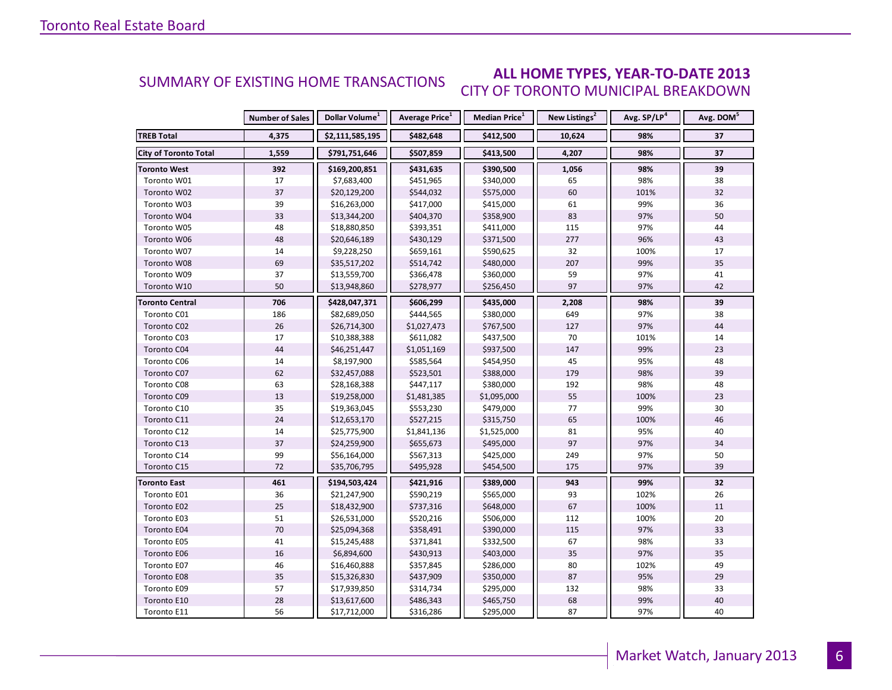#### **ALL HOME TYPES, YEAR-TO-DATE 2013** CITY OF TORONTO MUNICIPAL BREAKDOWN SUMMARY OF EXISTING HOME TRANSACTIONS

|                              | <b>Number of Sales</b> | Dollar Volume <sup>1</sup> | <b>Average Price</b> <sup>1</sup> | <b>Median Price</b> <sup>1</sup> | New Listings <sup>2</sup> | Avg. SP/LP <sup>4</sup> | Avg. DOM <sup>5</sup> |
|------------------------------|------------------------|----------------------------|-----------------------------------|----------------------------------|---------------------------|-------------------------|-----------------------|
| <b>TREB Total</b>            | 4,375                  | \$2,111,585,195            | \$482,648                         | \$412,500                        | 10,624                    | 98%                     | 37                    |
| <b>City of Toronto Total</b> | 1,559                  | \$791,751,646              | \$507,859                         | \$413,500                        | 4,207                     | 98%                     | 37                    |
| <b>Toronto West</b>          | 392                    | \$169,200,851              | \$431,635                         | \$390,500                        | 1,056                     | 98%                     | 39                    |
| Toronto W01                  | 17                     | \$7,683,400                | \$451,965                         | \$340,000                        | 65                        | 98%                     | 38                    |
| Toronto W02                  | 37                     | \$20,129,200               | \$544,032                         | \$575,000                        | 60                        | 101%                    | 32                    |
| Toronto W03                  | 39                     | \$16,263,000               | \$417,000                         | \$415,000                        | 61                        | 99%                     | 36                    |
| Toronto W04                  | 33                     | \$13,344,200               | \$404,370                         | \$358,900                        | 83                        | 97%                     | 50                    |
| Toronto W05                  | 48                     | \$18,880,850               | \$393,351                         | \$411,000                        | 115                       | 97%                     | 44                    |
| Toronto W06                  | 48                     | \$20,646,189               | \$430,129                         | \$371,500                        | 277                       | 96%                     | 43                    |
| Toronto W07                  | 14                     | \$9,228,250                | \$659,161                         | \$590,625                        | 32                        | 100%                    | 17                    |
| Toronto W08                  | 69                     | \$35,517,202               | \$514,742                         | \$480,000                        | 207                       | 99%                     | 35                    |
| Toronto W09                  | 37                     | \$13,559,700               | \$366,478                         | \$360,000                        | 59                        | 97%                     | 41                    |
| Toronto W10                  | 50                     | \$13,948,860               | \$278,977                         | \$256,450                        | 97                        | 97%                     | 42                    |
| <b>Toronto Central</b>       | 706                    | \$428,047,371              | \$606,299                         | \$435,000                        | 2,208                     | 98%                     | 39                    |
| Toronto C01                  | 186                    | \$82,689,050               | \$444,565                         | \$380,000                        | 649                       | 97%                     | 38                    |
| Toronto C02                  | 26                     | \$26,714,300               | \$1,027,473                       | \$767,500                        | 127                       | 97%                     | 44                    |
| Toronto C03                  | 17                     | \$10,388,388               | \$611,082                         | \$437,500                        | 70                        | 101%                    | 14                    |
| Toronto C04                  | 44                     | \$46,251,447               | \$1,051,169                       | \$937,500                        | 147                       | 99%                     | 23                    |
| Toronto C06                  | 14                     | \$8,197,900                | \$585,564                         | \$454,950                        | 45                        | 95%                     | 48                    |
| Toronto C07                  | 62                     | \$32,457,088               | \$523,501                         | \$388,000                        | 179                       | 98%                     | 39                    |
| Toronto C08                  | 63                     | \$28,168,388               | \$447,117                         | \$380,000                        | 192                       | 98%                     | 48                    |
| Toronto C09                  | 13                     | \$19,258,000               | \$1,481,385                       | \$1,095,000                      | 55                        | 100%                    | 23                    |
| Toronto C10                  | 35                     | \$19,363,045               | \$553,230                         | \$479,000                        | 77                        | 99%                     | 30                    |
| Toronto C11                  | 24                     | \$12,653,170               | \$527,215                         | \$315,750                        | 65                        | 100%                    | 46                    |
| Toronto C12                  | 14                     | \$25,775,900               | \$1,841,136                       | \$1,525,000                      | 81                        | 95%                     | 40                    |
| Toronto C13                  | 37                     | \$24,259,900               | \$655,673                         | \$495,000                        | 97                        | 97%                     | 34                    |
| Toronto C14                  | 99                     | \$56,164,000               | \$567,313                         | \$425,000                        | 249                       | 97%                     | 50                    |
| Toronto C15                  | 72                     | \$35,706,795               | \$495,928                         | \$454,500                        | 175                       | 97%                     | 39                    |
| <b>Toronto East</b>          | 461                    | \$194,503,424              | \$421,916                         | \$389,000                        | 943                       | 99%                     | 32                    |
| Toronto E01                  | 36                     | \$21,247,900               | \$590,219                         | \$565,000                        | 93                        | 102%                    | 26                    |
| Toronto E02                  | 25                     | \$18,432,900               | \$737,316                         | \$648,000                        | 67                        | 100%                    | 11                    |
| Toronto E03                  | 51                     | \$26,531,000               | \$520,216                         | \$506,000                        | 112                       | 100%                    | 20                    |
| Toronto E04                  | 70                     | \$25,094,368               | \$358,491                         | \$390,000                        | 115                       | 97%                     | 33                    |
| Toronto E05                  | 41                     | \$15,245,488               | \$371,841                         | \$332,500                        | 67                        | 98%                     | 33                    |
| Toronto E06                  | 16                     | \$6,894,600                | \$430,913                         | \$403,000                        | 35                        | 97%                     | 35                    |
| Toronto E07                  | 46                     | \$16,460,888               | \$357,845                         | \$286,000                        | 80                        | 102%                    | 49                    |
| Toronto E08                  | 35                     | \$15,326,830               | \$437,909                         | \$350,000                        | 87                        | 95%                     | 29                    |
| Toronto E09                  | 57                     | \$17,939,850               | \$314,734                         | \$295,000                        | 132                       | 98%                     | 33                    |
| Toronto E10                  | 28                     | \$13,617,600               | \$486,343                         | \$465,750                        | 68                        | 99%                     | 40                    |
| Toronto E11                  | 56                     | \$17,712,000               | \$316,286                         | \$295,000                        | 87                        | 97%                     | 40                    |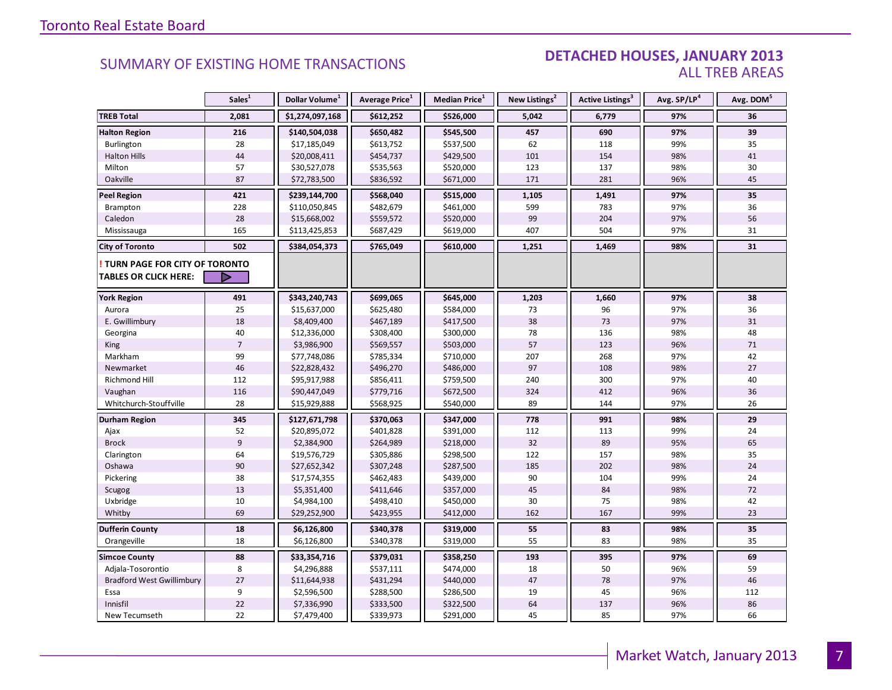#### DETACHED HOUSES, JANUARY 2013 ALL TREB AREAS

|                                  | Sales <sup>1</sup> | Dollar Volume <sup>1</sup> | Average Price <sup>1</sup> | Median Price <sup>1</sup> | New Listings <sup>2</sup> | Active Listings <sup>3</sup> | Avg. SP/LP <sup>4</sup> | Avg. DOM <sup>5</sup> |
|----------------------------------|--------------------|----------------------------|----------------------------|---------------------------|---------------------------|------------------------------|-------------------------|-----------------------|
| <b>TREB Total</b>                | 2,081              | \$1,274,097,168            | \$612,252                  | \$526,000                 | 5,042                     | 6,779                        | 97%                     | 36                    |
| <b>Halton Region</b>             | 216                | \$140,504,038              | \$650,482                  | \$545,500                 | 457                       | 690                          | 97%                     | 39                    |
| <b>Burlington</b>                | 28                 | \$17,185,049               | \$613,752                  | \$537,500                 | 62                        | 118                          | 99%                     | 35                    |
| <b>Halton Hills</b>              | 44                 | \$20,008,411               | \$454,737                  | \$429,500                 | 101                       | 154                          | 98%                     | 41                    |
| Milton                           | 57                 | \$30,527,078               | \$535,563                  | \$520,000                 | 123                       | 137                          | 98%                     | 30                    |
| Oakville                         | 87                 | \$72,783,500               | \$836,592                  | \$671,000                 | 171                       | 281                          | 96%                     | 45                    |
| <b>Peel Region</b>               | 421                | \$239,144,700              | \$568,040                  | \$515,000                 | 1,105                     | 1,491                        | 97%                     | 35                    |
| <b>Brampton</b>                  | 228                | \$110,050,845              | \$482,679                  | \$461,000                 | 599                       | 783                          | 97%                     | 36                    |
| Caledon                          | 28                 | \$15,668,002               | \$559,572                  | \$520,000                 | 99                        | 204                          | 97%                     | 56                    |
| Mississauga                      | 165                | \$113,425,853              | \$687,429                  | \$619,000                 | 407                       | 504                          | 97%                     | 31                    |
| <b>City of Toronto</b>           | 502                | \$384,054,373              | \$765,049                  | \$610,000                 | 1,251                     | 1,469                        | 98%                     | 31                    |
| TURN PAGE FOR CITY OF TORONTO    |                    |                            |                            |                           |                           |                              |                         |                       |
| <b>TABLES OR CLICK HERE:</b>     |                    |                            |                            |                           |                           |                              |                         |                       |
| <b>York Region</b>               | 491                | \$343,240,743              | \$699,065                  | \$645,000                 | 1,203                     | 1,660                        | 97%                     | 38                    |
| Aurora                           | 25                 | \$15,637,000               | \$625,480                  | \$584,000                 | 73                        | 96                           | 97%                     | 36                    |
| E. Gwillimbury                   | 18                 | \$8,409,400                | \$467,189                  | \$417,500                 | 38                        | 73                           | 97%                     | 31                    |
| Georgina                         | 40                 | \$12,336,000               | \$308,400                  | \$300,000                 | 78                        | 136                          | 98%                     | 48                    |
| King                             | $\overline{7}$     | \$3,986,900                | \$569,557                  | \$503,000                 | 57                        | 123                          | 96%                     | 71                    |
| Markham                          | 99                 | \$77,748,086               | \$785,334                  | \$710,000                 | 207                       | 268                          | 97%                     | 42                    |
| Newmarket                        | 46                 | \$22,828,432               | \$496,270                  | \$486,000                 | 97                        | 108                          | 98%                     | 27                    |
| Richmond Hill                    | 112                | \$95,917,988               | \$856,411                  | \$759,500                 | 240                       | 300                          | 97%                     | 40                    |
| Vaughan                          | 116                | \$90,447,049               | \$779,716                  | \$672,500                 | 324                       | 412                          | 96%                     | 36                    |
| Whitchurch-Stouffville           | 28                 | \$15,929,888               | \$568,925                  | \$540,000                 | 89                        | 144                          | 97%                     | 26                    |
| <b>Durham Region</b>             | 345                | \$127,671,798              | \$370,063                  | \$347,000                 | 778                       | 991                          | 98%                     | 29                    |
| Ajax                             | 52                 | \$20,895,072               | \$401,828                  | \$391,000                 | 112                       | 113                          | 99%                     | 24                    |
| <b>Brock</b>                     | $\overline{9}$     | \$2,384,900                | \$264,989                  | \$218,000                 | 32                        | 89                           | 95%                     | 65                    |
| Clarington                       | 64                 | \$19,576,729               | \$305,886                  | \$298,500                 | 122                       | 157                          | 98%                     | 35                    |
| Oshawa                           | 90                 | \$27,652,342               | \$307,248                  | \$287,500                 | 185                       | 202                          | 98%                     | 24                    |
| Pickering                        | 38                 | \$17,574,355               | \$462,483                  | \$439,000                 | 90                        | 104                          | 99%                     | 24                    |
| Scugog                           | 13                 | \$5,351,400                | \$411,646                  | \$357,000                 | 45                        | 84                           | 98%                     | 72                    |
| Uxbridge                         | 10                 | \$4,984,100                | \$498,410                  | \$450,000                 | 30                        | 75                           | 98%                     | 42                    |
| Whitby                           | 69                 | \$29,252,900               | \$423,955                  | \$412,000                 | 162                       | 167                          | 99%                     | 23                    |
| <b>Dufferin County</b>           | 18                 | \$6,126,800                | \$340,378                  | \$319,000                 | 55                        | 83                           | 98%                     | 35                    |
| Orangeville                      | 18                 | \$6,126,800                | \$340,378                  | \$319,000                 | 55                        | 83                           | 98%                     | 35                    |
| <b>Simcoe County</b>             | 88                 | \$33,354,716               | \$379,031                  | \$358,250                 | 193                       | 395                          | 97%                     | 69                    |
| Adjala-Tosorontio                | 8                  | \$4,296,888                | \$537,111                  | \$474,000                 | 18                        | 50                           | 96%                     | 59                    |
| <b>Bradford West Gwillimbury</b> | 27                 | \$11,644,938               | \$431,294                  | \$440,000                 | 47                        | 78                           | 97%                     | 46                    |
| Essa                             | $\boldsymbol{9}$   | \$2,596,500                | \$288,500                  | \$286,500                 | 19                        | 45                           | 96%                     | 112                   |
| Innisfil                         | 22                 | \$7,336,990                | \$333,500                  | \$322,500                 | 64                        | 137                          | 96%                     | 86                    |
| New Tecumseth                    | 22                 | \$7,479,400                | \$339,973                  | \$291,000                 | 45                        | 85                           | 97%                     | 66                    |

**Page 3 July 2010**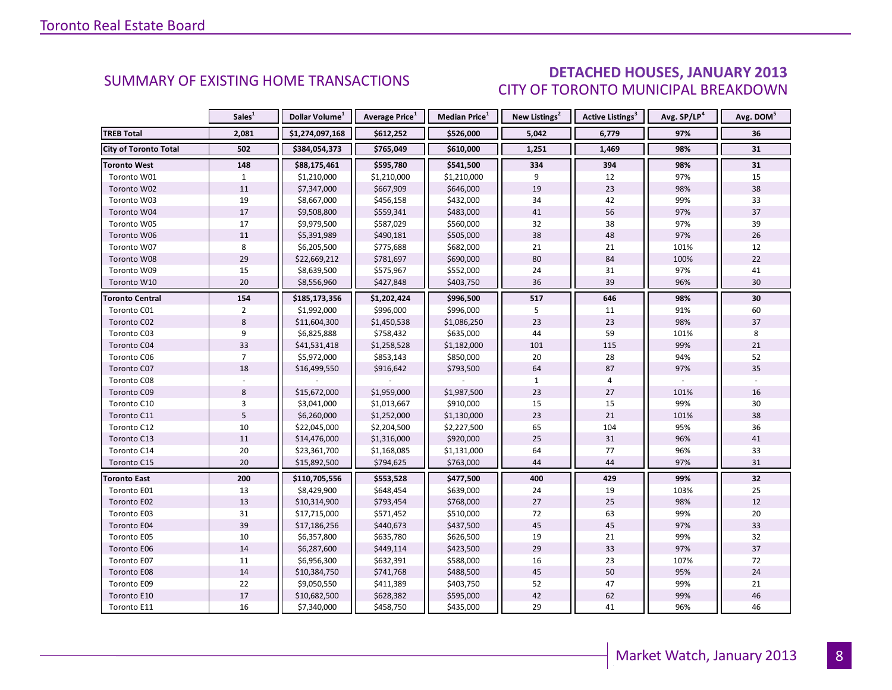### DETACHED HOUSES, JANUARY 2013 CITY OF TORONTO MUNICIPAL BREAKDOWN

<span id="page-7-0"></span>

|                              | Sales <sup>1</sup> | Dollar Volume <sup>1</sup> | <b>Average Price</b> <sup>1</sup> | <b>Median Price</b> <sup>1</sup> | New Listings <sup>2</sup> | Active Listings <sup>3</sup> | Avg. SP/LP <sup>4</sup> | Avg. DOM <sup>5</sup> |
|------------------------------|--------------------|----------------------------|-----------------------------------|----------------------------------|---------------------------|------------------------------|-------------------------|-----------------------|
| <b>TREB Total</b>            | 2,081              | \$1,274,097,168            | \$612,252                         | \$526,000                        | 5,042                     | 6,779                        | 97%                     | 36                    |
| <b>City of Toronto Total</b> | 502                | \$384,054,373              | \$765,049                         | \$610,000                        | 1,251                     | 1,469                        | 98%                     | 31                    |
| <b>Toronto West</b>          | 148                | \$88,175,461               | \$595,780                         | \$541,500                        | 334                       | 394                          | 98%                     | 31                    |
| Toronto W01                  | $\mathbf{1}$       | \$1,210,000                | \$1,210,000                       | \$1,210,000                      | 9                         | 12                           | 97%                     | 15                    |
| Toronto W02                  | 11                 | \$7,347,000                | \$667,909                         | \$646,000                        | 19                        | 23                           | 98%                     | 38                    |
| Toronto W03                  | 19                 | \$8,667,000                | \$456,158                         | \$432,000                        | 34                        | 42                           | 99%                     | 33                    |
| Toronto W04                  | 17                 | \$9,508,800                | \$559,341                         | \$483,000                        | 41                        | 56                           | 97%                     | 37                    |
| Toronto W05                  | 17                 | \$9,979,500                | \$587,029                         | \$560,000                        | 32                        | 38                           | 97%                     | 39                    |
| Toronto W06                  | 11                 | \$5,391,989                | \$490,181                         | \$505,000                        | 38                        | 48                           | 97%                     | 26                    |
| Toronto W07                  | 8                  | \$6,205,500                | \$775,688                         | \$682,000                        | 21                        | 21                           | 101%                    | 12                    |
| Toronto W08                  | 29                 | \$22,669,212               | \$781,697                         | \$690,000                        | 80                        | 84                           | 100%                    | 22                    |
| Toronto W09                  | 15                 | \$8,639,500                | \$575,967                         | \$552,000                        | 24                        | 31                           | 97%                     | 41                    |
| Toronto W10                  | 20                 | \$8,556,960                | \$427,848                         | \$403,750                        | 36                        | 39                           | 96%                     | 30                    |
| Toronto Central              | 154                | \$185,173,356              | \$1,202,424                       | \$996,500                        | 517                       | 646                          | 98%                     | 30                    |
| Toronto C01                  | $\overline{2}$     | \$1,992,000                | \$996,000                         | \$996,000                        | 5                         | 11                           | 91%                     | 60                    |
| Toronto C02                  | 8                  | \$11,604,300               | \$1,450,538                       | \$1,086,250                      | 23                        | 23                           | 98%                     | 37                    |
| Toronto C03                  | 9                  | \$6,825,888                | \$758,432                         | \$635,000                        | 44                        | 59                           | 101%                    | 8                     |
| Toronto C04                  | 33                 | \$41,531,418               | \$1,258,528                       | \$1,182,000                      | 101                       | 115                          | 99%                     | 21                    |
| Toronto C06                  | $\overline{7}$     | \$5,972,000                | \$853,143                         | \$850,000                        | 20                        | 28                           | 94%                     | 52                    |
| Toronto C07                  | 18                 | \$16,499,550               | \$916,642                         | \$793,500                        | 64                        | 87                           | 97%                     | 35                    |
| Toronto C08                  |                    |                            |                                   |                                  | $\mathbf{1}$              | 4                            |                         |                       |
| Toronto C09                  | 8                  | \$15,672,000               | \$1,959,000                       | \$1,987,500                      | 23                        | 27                           | 101%                    | 16                    |
| Toronto C10                  | 3                  | \$3,041,000                | \$1,013,667                       | \$910,000                        | 15                        | 15                           | 99%                     | 30                    |
| Toronto C11                  | 5                  | \$6,260,000                | \$1,252,000                       | \$1,130,000                      | 23                        | 21                           | 101%                    | 38                    |
| Toronto C12                  | $10\,$             | \$22,045,000               | \$2,204,500                       | \$2,227,500                      | 65                        | 104                          | 95%                     | 36                    |
| Toronto C13                  | 11                 | \$14,476,000               | \$1,316,000                       | \$920,000                        | 25                        | 31                           | 96%                     | 41                    |
| Toronto C14                  | 20                 | \$23,361,700               | \$1,168,085                       | \$1,131,000                      | 64                        | 77                           | 96%                     | 33                    |
| Toronto C15                  | 20                 | \$15,892,500               | \$794,625                         | \$763,000                        | 44                        | 44                           | 97%                     | 31                    |
| <b>Toronto East</b>          | 200                | \$110,705,556              | \$553,528                         | \$477,500                        | 400                       | 429                          | 99%                     | 32                    |
| Toronto E01                  | 13                 | \$8,429,900                | \$648,454                         | \$639,000                        | 24                        | 19                           | 103%                    | 25                    |
| Toronto E02                  | 13                 | \$10,314,900               | \$793,454                         | \$768,000                        | 27                        | 25                           | 98%                     | 12                    |
| Toronto E03                  | 31                 | \$17,715,000               | \$571,452                         | \$510,000                        | 72                        | 63                           | 99%                     | 20                    |
| Toronto E04                  | 39                 | \$17,186,256               | \$440,673                         | \$437,500                        | 45                        | 45                           | 97%                     | 33                    |
| Toronto E05                  | 10                 | \$6,357,800                | \$635,780                         | \$626,500                        | 19                        | 21                           | 99%                     | 32                    |
| Toronto E06                  | 14                 | \$6,287,600                | \$449,114                         | \$423,500                        | 29                        | 33                           | 97%                     | 37                    |
| Toronto E07                  | 11                 | \$6,956,300                | \$632,391                         | \$588,000                        | 16                        | 23                           | 107%                    | 72                    |
| Toronto E08                  | 14                 | \$10,384,750               | \$741,768                         | \$488,500                        | 45                        | 50                           | 95%                     | 24                    |
| Toronto E09                  | 22                 | \$9,050,550                | \$411,389                         | \$403,750                        | 52                        | 47                           | 99%                     | 21                    |
| Toronto E10                  | $17\,$             | \$10,682,500               | \$628,382                         | \$595,000                        | 42                        | 62                           | 99%                     | 46                    |
| Toronto E11                  | 16                 | \$7,340,000                | \$458,750                         | \$435,000                        | 29                        | 41                           | 96%                     | 46                    |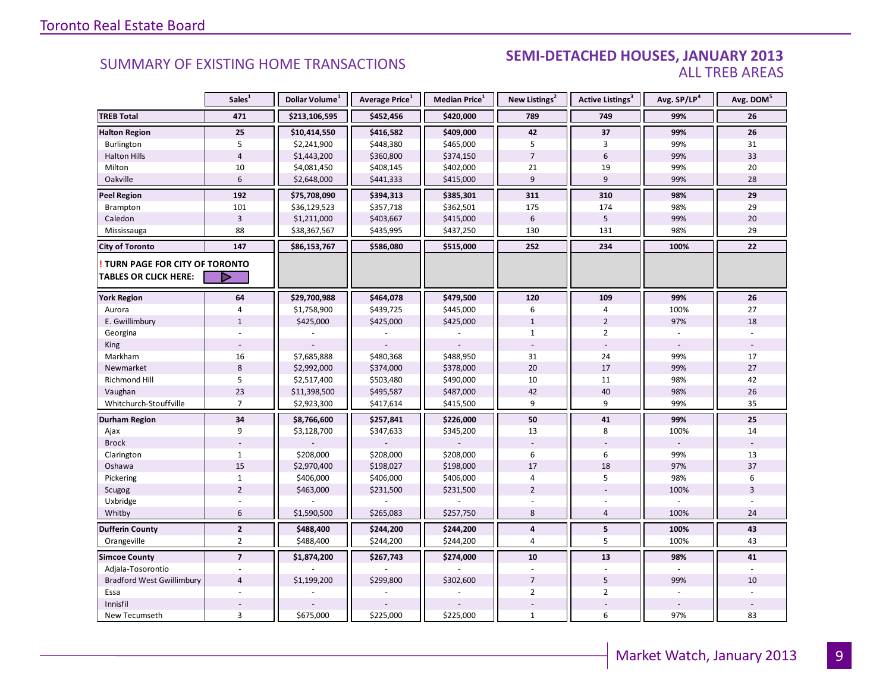#### **Industrial Leasing SUMMARY OF EXISTING HOME TRANSACTIONS SEMI-DETACHED HOUSES, JANUARY 2013** ALL TREB AREAS

|                                                               | Sales <sup>1</sup> | Dollar Volume <sup>1</sup> | Average Price <sup>1</sup> | Median Price <sup>1</sup> | New Listings <sup>2</sup> | Active Listings <sup>3</sup> | Avg. SP/LP <sup>4</sup> | Avg. DOM <sup>5</sup> |
|---------------------------------------------------------------|--------------------|----------------------------|----------------------------|---------------------------|---------------------------|------------------------------|-------------------------|-----------------------|
| <b>TREB Total</b>                                             | 471                | \$213,106,595              | \$452,456                  | \$420,000                 | 789                       | 749                          | 99%                     | 26                    |
| <b>Halton Region</b>                                          | 25                 | \$10,414,550               | \$416,582                  | \$409,000                 | 42                        | 37                           | 99%                     | 26                    |
| Burlington                                                    | 5                  | \$2,241,900                | \$448,380                  | \$465,000                 | 5                         | 3                            | 99%                     | 31                    |
| <b>Halton Hills</b>                                           | $\overline{4}$     | \$1,443,200                | \$360,800                  | \$374,150                 | $\overline{7}$            | 6                            | 99%                     | 33                    |
| Milton                                                        | 10                 | \$4,081,450                | \$408,145                  | \$402,000                 | 21                        | 19                           | 99%                     | 20                    |
| Oakville                                                      | $6\,$              | \$2,648,000                | \$441,333                  | \$415,000                 | 9                         | 9                            | 99%                     | 28                    |
| <b>Peel Region</b>                                            | 192                | \$75,708,090               | \$394,313                  | \$385,301                 | 311                       | 310                          | 98%                     | 29                    |
| Brampton                                                      | 101                | \$36,129,523               | \$357,718                  | \$362,501                 | 175                       | 174                          | 98%                     | 29                    |
| Caledon                                                       | $\overline{3}$     | \$1,211,000                | \$403,667                  | \$415,000                 | 6                         | $5\phantom{.0}$              | 99%                     | 20                    |
| Mississauga                                                   | 88                 | \$38,367,567               | \$435,995                  | \$437,250                 | 130                       | 131                          | 98%                     | 29                    |
| <b>City of Toronto</b>                                        | 147                | \$86,153,767               | \$586,080                  | \$515,000                 | 252                       | 234                          | 100%                    | 22                    |
| TURN PAGE FOR CITY OF TORONTO<br><b>TABLES OR CLICK HERE:</b> | D                  |                            |                            |                           |                           |                              |                         |                       |
| <b>York Region</b>                                            | 64                 | \$29,700,988               | \$464,078                  | \$479,500                 | 120                       | 109                          | 99%                     | 26                    |
| Aurora                                                        | 4                  | \$1,758,900                | \$439,725                  | \$445,000                 | 6                         | 4                            | 100%                    | 27                    |
| E. Gwillimbury                                                | $\mathbf{1}$       | \$425,000                  | \$425,000                  | \$425,000                 | $\mathbf{1}$              | $\overline{2}$               | 97%                     | 18                    |
| Georgina                                                      |                    |                            |                            |                           | $\mathbf{1}$              | $\overline{2}$               |                         |                       |
| King                                                          |                    |                            |                            |                           |                           |                              |                         |                       |
| Markham                                                       | 16                 | \$7,685,888                | \$480,368                  | \$488,950                 | 31                        | 24                           | 99%                     | 17                    |
| Newmarket                                                     | $\,8\,$            | \$2,992,000                | \$374,000                  | \$378,000                 | 20                        | 17                           | 99%                     | 27                    |
| Richmond Hill                                                 | 5                  | \$2,517,400                | \$503,480                  | \$490,000                 | 10                        | 11                           | 98%                     | 42                    |
| Vaughan                                                       | 23                 | \$11,398,500               | \$495,587                  | \$487,000                 | 42                        | 40                           | 98%                     | 26                    |
| Whitchurch-Stouffville                                        | $\overline{7}$     | \$2,923,300                | \$417,614                  | \$415,500                 | 9                         | 9                            | 99%                     | 35                    |
| Durham Region                                                 | 34                 | \$8,766,600                | \$257,841                  | \$226,000                 | 50                        | 41                           | 99%                     | 25                    |
| Ajax                                                          | 9                  | \$3,128,700                | \$347,633                  | \$345,200                 | 13                        | 8                            | 100%                    | 14                    |
| <b>Brock</b>                                                  |                    |                            |                            |                           |                           |                              |                         |                       |
| Clarington                                                    | $\mathbf{1}$       | \$208,000                  | \$208,000                  | \$208,000                 | 6                         | 6                            | 99%                     | 13                    |
| Oshawa                                                        | 15                 | \$2,970,400                | \$198,027                  | \$198,000                 | 17                        | 18                           | 97%                     | 37                    |
| Pickering                                                     | $\mathbf{1}$       | \$406,000                  | \$406,000                  | \$406,000                 | $\overline{4}$            | 5                            | 98%                     | 6                     |
| Scugog                                                        | $\overline{2}$     | \$463,000                  | \$231,500                  | \$231,500                 | $\overline{2}$            |                              | 100%                    | 3                     |
| Uxbridge                                                      |                    |                            |                            |                           |                           |                              |                         |                       |
| Whitby                                                        | 6                  | \$1,590,500                | \$265,083                  | \$257,750                 | 8                         | 4                            | 100%                    | 24                    |
| <b>Dufferin County</b>                                        | $\mathbf{2}$       | \$488,400                  | \$244,200                  | \$244,200                 | 4                         | 5                            | 100%                    | 43                    |
| Orangeville                                                   | $\overline{2}$     | \$488,400                  | \$244,200                  | \$244,200                 | $\overline{4}$            | 5                            | 100%                    | 43                    |
| <b>Simcoe County</b>                                          | $\overline{7}$     | \$1,874,200                | \$267,743                  | \$274,000                 | 10                        | 13                           | 98%                     | 41                    |
| Adjala-Tosorontio                                             |                    |                            |                            |                           |                           |                              |                         |                       |
| <b>Bradford West Gwillimbury</b>                              | $\overline{4}$     | \$1,199,200                | \$299,800                  | \$302,600                 | $\overline{7}$            | 5                            | 99%                     | 10                    |
| Essa                                                          |                    |                            |                            |                           | $\overline{2}$            | $\overline{2}$               |                         |                       |
| Innisfil                                                      |                    |                            |                            |                           |                           |                              |                         |                       |
| New Tecumseth                                                 | 3                  | \$675,000                  | \$225,000                  | \$225,000                 | $\mathbf{1}$              | 6                            | 97%                     | 83                    |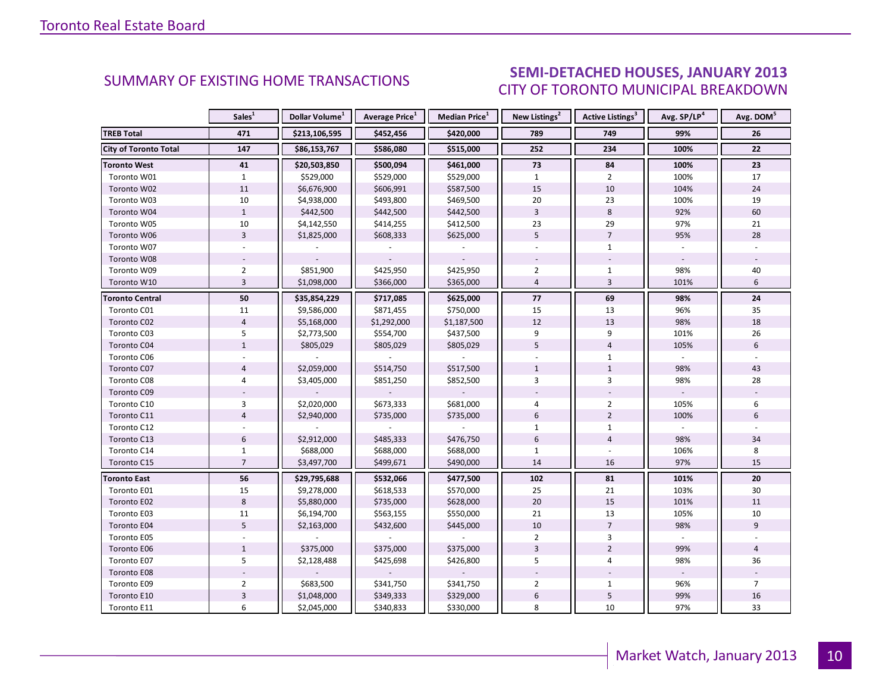#### IANILARY 2012 CITY OF TORONTO MUNICIPAL BREAKDOWN SUMMARY OF EXISTING HOME TRANSACTIONS **SEMI-DETACHED HOUSES, JANUARY 2013**

<span id="page-9-0"></span>

|                              | Sales <sup>1</sup> | Dollar Volume <sup>1</sup> | Average Price <sup>1</sup> | Median Price <sup>1</sup> | New Listings <sup>2</sup> | Active Listings <sup>3</sup> | Avg. SP/LP <sup>4</sup> | Avg. DOM <sup>5</sup> |
|------------------------------|--------------------|----------------------------|----------------------------|---------------------------|---------------------------|------------------------------|-------------------------|-----------------------|
| <b>TREB Total</b>            | 471                | \$213,106,595              | \$452,456                  | \$420,000                 | 789                       | 749                          | 99%                     | 26                    |
| <b>City of Toronto Total</b> | 147                | \$86,153,767               | \$586,080                  | \$515,000                 | 252                       | 234                          | 100%                    | 22                    |
| Toronto West                 | 41                 | \$20,503,850               | \$500,094                  | \$461,000                 | 73                        | 84                           | 100%                    | 23                    |
| Toronto W01                  | $\mathbf{1}$       | \$529,000                  | \$529,000                  | \$529,000                 | $\mathbf{1}$              | $\overline{2}$               | 100%                    | 17                    |
| Toronto W02                  | $11\,$             | \$6,676,900                | \$606,991                  | \$587,500                 | 15                        | 10                           | 104%                    | 24                    |
| Toronto W03                  | 10                 | \$4,938,000                | \$493,800                  | \$469,500                 | 20                        | 23                           | 100%                    | 19                    |
| Toronto W04                  | $\mathbf{1}$       | \$442,500                  | \$442,500                  | \$442,500                 | $\overline{3}$            | 8                            | 92%                     | 60                    |
| Toronto W05                  | 10                 | \$4,142,550                | \$414,255                  | \$412,500                 | 23                        | 29                           | 97%                     | 21                    |
| Toronto W06                  | $\overline{3}$     | \$1,825,000                | \$608,333                  | \$625,000                 | 5                         | $\overline{7}$               | 95%                     | 28                    |
| Toronto W07                  |                    |                            |                            |                           |                           | $\mathbf{1}$                 |                         |                       |
| Toronto W08                  |                    |                            |                            |                           |                           |                              |                         |                       |
| Toronto W09                  | $\overline{2}$     | \$851,900                  | \$425,950                  | \$425,950                 | $\overline{2}$            | $\mathbf{1}$                 | 98%                     | 40                    |
| Toronto W10                  | $\overline{3}$     | \$1,098,000                | \$366,000                  | \$365,000                 | $\overline{4}$            | $\overline{3}$               | 101%                    | 6                     |
| <b>Toronto Central</b>       | 50                 | \$35,854,229               | \$717,085                  | \$625,000                 | 77                        | 69                           | 98%                     | 24                    |
| Toronto C01                  | 11                 | \$9,586,000                | \$871,455                  | \$750,000                 | 15                        | 13                           | 96%                     | 35                    |
| Toronto C02                  | $\overline{4}$     | \$5,168,000                | \$1,292,000                | \$1,187,500               | 12                        | 13                           | 98%                     | 18                    |
| Toronto C03                  | 5                  | \$2,773,500                | \$554,700                  | \$437,500                 | 9                         | 9                            | 101%                    | 26                    |
| Toronto C04                  | $\mathbf{1}$       | \$805,029                  | \$805,029                  | \$805,029                 | 5                         | $\overline{4}$               | 105%                    | 6                     |
| Toronto C06                  |                    |                            |                            |                           |                           | $\mathbf{1}$                 |                         |                       |
| Toronto C07                  | $\overline{4}$     | \$2,059,000                | \$514,750                  | \$517,500                 | $\mathbf{1}$              | $\mathbf{1}$                 | 98%                     | 43                    |
| Toronto C08                  | 4                  | \$3,405,000                | \$851,250                  | \$852,500                 | $\overline{3}$            | $\overline{3}$               | 98%                     | 28                    |
| Toronto C09                  |                    |                            |                            |                           |                           |                              |                         |                       |
| Toronto C10                  | 3                  | \$2,020,000                | \$673,333                  | \$681,000                 | $\overline{4}$            | $\overline{2}$               | 105%                    | 6                     |
| Toronto C11                  | $\overline{4}$     | \$2,940,000                | \$735,000                  | \$735,000                 | 6                         | $\overline{2}$               | 100%                    | 6                     |
| Toronto C12                  |                    |                            |                            |                           | $\mathbf{1}$              | $\mathbf 1$                  |                         |                       |
| Toronto C13                  | $\boldsymbol{6}$   | \$2,912,000                | \$485,333                  | \$476,750                 | $6\,$                     | $\overline{4}$               | 98%                     | 34                    |
| Toronto C14                  | $\mathbf{1}$       | \$688,000                  | \$688,000                  | \$688,000                 | $\mathbf{1}$              |                              | 106%                    | 8                     |
| Toronto C15                  | $\overline{7}$     | \$3,497,700                | \$499,671                  | \$490,000                 | 14                        | 16                           | 97%                     | 15                    |
| <b>Toronto East</b>          | 56                 | \$29,795,688               | \$532,066                  | \$477,500                 | 102                       | 81                           | 101%                    | 20                    |
| Toronto E01                  | 15                 | \$9,278,000                | \$618,533                  | \$570,000                 | 25                        | 21                           | 103%                    | 30                    |
| Toronto E02                  | 8                  | \$5,880,000                | \$735,000                  | \$628,000                 | 20                        | 15                           | 101%                    | 11                    |
| Toronto E03                  | 11                 | \$6,194,700                | \$563,155                  | \$550,000                 | 21                        | 13                           | 105%                    | 10                    |
| Toronto E04                  | 5                  | \$2,163,000                | \$432,600                  | \$445,000                 | 10                        | $\overline{7}$               | 98%                     | 9                     |
| Toronto E05                  |                    |                            |                            |                           | $\overline{2}$            | 3                            |                         |                       |
| Toronto E06                  | $\mathbf{1}$       | \$375,000                  | \$375,000                  | \$375,000                 | $\overline{3}$            | $\overline{2}$               | 99%                     | $\overline{4}$        |
| Toronto E07                  | 5                  | \$2,128,488                | \$425,698                  | \$426,800                 | 5                         | $\overline{4}$               | 98%                     | 36                    |
| Toronto E08                  |                    |                            |                            |                           |                           |                              |                         |                       |
| Toronto E09                  | $\overline{2}$     | \$683,500                  | \$341,750                  | \$341,750                 | $\overline{2}$            | $\mathbf{1}$                 | 96%                     | $\overline{7}$        |
| Toronto E10                  | $\mathbf{3}$       | \$1,048,000                | \$349,333                  | \$329,000                 | $\boldsymbol{6}$          | 5                            | 99%                     | 16                    |
| Toronto E11                  | 6                  | \$2,045,000                | \$340,833                  | \$330,000                 | 8                         | 10                           | 97%                     | 33                    |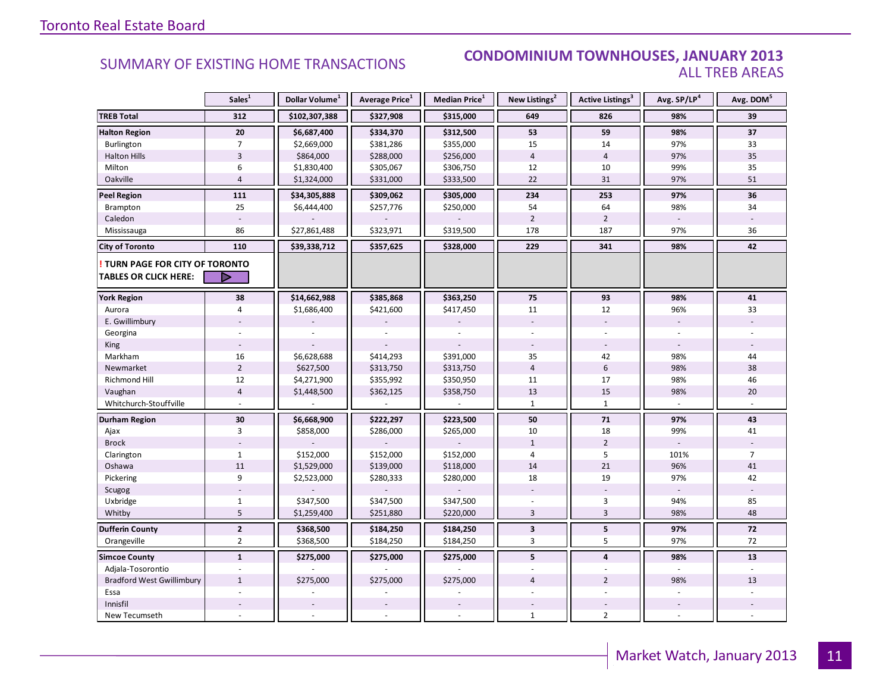#### SUMMARY OF EXISTING HOME TRANSACTIONS **CONDOMINIUM TOWNHOUSES, JANUARY 2013** ALL TREB AREAS

|                                  | Sales <sup>1</sup> | Dollar Volume <sup>1</sup> | Average Price <sup>1</sup> | Median Price <sup>1</sup> | New Listings <sup>2</sup> | Active Listings <sup>3</sup> | Avg. SP/LP <sup>4</sup> | Avg. DOM <sup>5</sup> |
|----------------------------------|--------------------|----------------------------|----------------------------|---------------------------|---------------------------|------------------------------|-------------------------|-----------------------|
| <b>TREB Total</b>                | 312                | \$102,307,388              | \$327,908                  | \$315,000                 | 649                       | 826                          | 98%                     | 39                    |
| <b>Halton Region</b>             | 20                 | \$6,687,400                | \$334,370                  | \$312,500                 | 53                        | 59                           | 98%                     | 37                    |
| Burlington                       | $\overline{7}$     | \$2,669,000                | \$381,286                  | \$355,000                 | 15                        | 14                           | 97%                     | 33                    |
| <b>Halton Hills</b>              | $\overline{3}$     | \$864,000                  | \$288,000                  | \$256,000                 | $\overline{4}$            | $\overline{4}$               | 97%                     | 35                    |
| Milton                           | 6                  | \$1,830,400                | \$305,067                  | \$306,750                 | 12                        | 10                           | 99%                     | 35                    |
| Oakville                         | $\overline{4}$     | \$1,324,000                | \$331,000                  | \$333,500                 | 22                        | 31                           | 97%                     | 51                    |
| <b>Peel Region</b>               | 111                | \$34,305,888               | \$309,062                  | \$305,000                 | 234                       | 253                          | 97%                     | 36                    |
| Brampton                         | 25                 | \$6,444,400                | \$257,776                  | \$250,000                 | 54                        | 64                           | 98%                     | 34                    |
| Caledon                          |                    |                            |                            |                           | $\overline{2}$            | $\overline{2}$               |                         |                       |
| Mississauga                      | 86                 | \$27,861,488               | \$323,971                  | \$319,500                 | 178                       | 187                          | 97%                     | 36                    |
| <b>City of Toronto</b>           | 110                | \$39,338,712               | \$357,625                  | \$328,000                 | 229                       | 341                          | 98%                     | 42                    |
| TURN PAGE FOR CITY OF TORONTO    |                    |                            |                            |                           |                           |                              |                         |                       |
| <b>TABLES OR CLICK HERE:</b>     | D                  |                            |                            |                           |                           |                              |                         |                       |
| <b>York Region</b>               | 38                 | \$14,662,988               | \$385,868                  | \$363,250                 | 75                        | 93                           | 98%                     | 41                    |
| Aurora                           | $\overline{4}$     | \$1,686,400                | \$421,600                  | \$417,450                 | 11                        | 12                           | 96%                     | 33                    |
| E. Gwillimbury                   |                    |                            |                            |                           |                           |                              |                         |                       |
| Georgina                         |                    |                            |                            |                           |                           |                              |                         |                       |
| King                             |                    |                            |                            |                           |                           |                              |                         |                       |
| Markham                          | 16                 | \$6,628,688                | \$414,293                  | \$391,000                 | 35                        | 42                           | 98%                     | 44                    |
| Newmarket                        | $\overline{2}$     | \$627,500                  | \$313,750                  | \$313,750                 | $\overline{4}$            | $\boldsymbol{6}$             | 98%                     | 38                    |
| Richmond Hill                    | 12                 | \$4,271,900                | \$355,992                  | \$350,950                 | 11                        | 17                           | 98%                     | 46                    |
| Vaughan                          | $\overline{4}$     | \$1,448,500                | \$362,125                  | \$358,750                 | 13                        | 15                           | 98%                     | 20                    |
| Whitchurch-Stouffville           |                    |                            |                            |                           | $\mathbf{1}$              | $\mathbf{1}$                 |                         |                       |
| Durham Region                    | 30                 | \$6,668,900                | \$222,297                  | \$223,500                 | 50                        | 71                           | 97%                     | 43                    |
| Ajax                             | 3                  | \$858,000                  | \$286,000                  | \$265,000                 | 10                        | 18                           | 99%                     | 41                    |
| <b>Brock</b>                     |                    |                            |                            |                           | $\mathbf{1}$              | $\overline{2}$               |                         |                       |
| Clarington                       | $\mathbf{1}$       | \$152,000                  | \$152,000                  | \$152,000                 | 4                         | 5                            | 101%                    | $\overline{7}$        |
| Oshawa                           | 11                 | \$1,529,000                | \$139,000                  | \$118,000                 | 14                        | 21                           | 96%                     | 41                    |
| Pickering                        | 9                  | \$2,523,000                | \$280,333                  | \$280,000                 | 18                        | 19                           | 97%                     | 42                    |
| Scugog                           |                    |                            |                            |                           |                           |                              |                         |                       |
| Uxbridge                         | $\mathbf{1}$       | \$347,500                  | \$347,500                  | \$347,500                 |                           | 3                            | 94%                     | 85                    |
| Whitby                           | 5                  | \$1,259,400                | \$251,880                  | \$220,000                 | $\overline{3}$            | $\overline{3}$               | 98%                     | 48                    |
| <b>Dufferin County</b>           | $\mathbf{2}$       | \$368,500                  | \$184,250                  | \$184,250                 | $\overline{\mathbf{3}}$   | 5                            | 97%                     | $\bf 72$              |
| Orangeville                      | $\overline{2}$     | \$368,500                  | \$184,250                  | \$184,250                 | 3                         | 5                            | 97%                     | 72                    |
| <b>Simcoe County</b>             | $\mathbf{1}$       | \$275,000                  | \$275,000                  | \$275,000                 | 5                         | $\overline{\mathbf{4}}$      | 98%                     | 13                    |
| Adjala-Tosorontio                |                    |                            |                            |                           |                           |                              |                         |                       |
| <b>Bradford West Gwillimbury</b> | $\mathbf{1}$       | \$275,000                  | \$275,000                  | \$275,000                 | $\overline{4}$            | $\overline{2}$               | 98%                     | 13                    |
| Essa                             |                    |                            |                            |                           |                           |                              |                         |                       |
| Innisfil                         |                    |                            |                            |                           |                           |                              |                         |                       |
| New Tecumseth                    |                    |                            |                            |                           | $\mathbf{1}$              | $\overline{2}$               |                         |                       |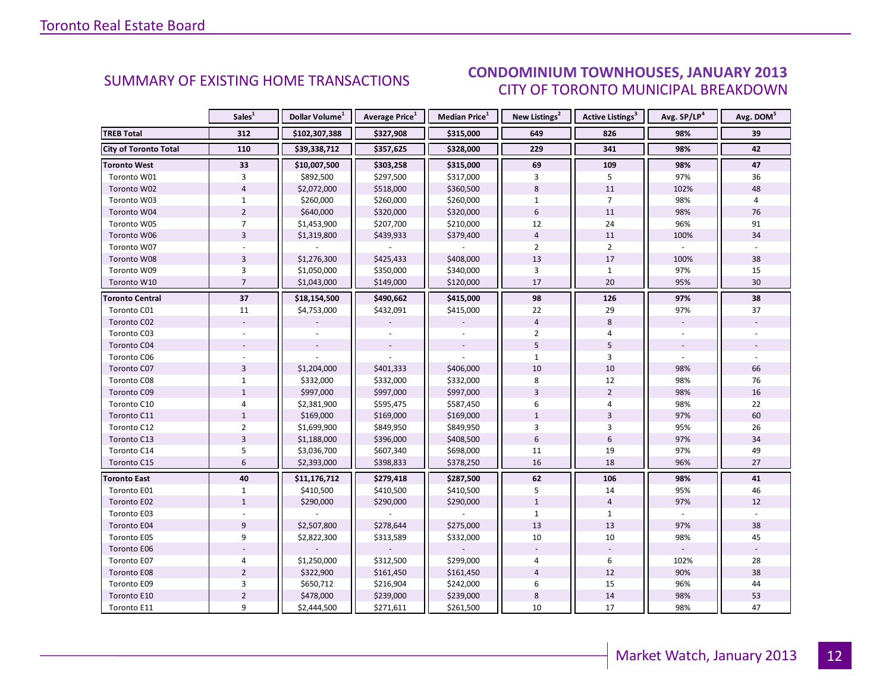#### IANILARY 2012 CITY OF TORONTO MUNICIPAL BREAKDOWN SUMMARY OF EXISTING HOME TRANSACTIONS **CONDOMINIUM TOWNHOUSES, JANUARY 2013**

<span id="page-11-0"></span>

|                              | Sales <sup>1</sup> | Dollar Volume <sup>1</sup> | <b>Average Price</b> <sup>1</sup> | Median Price <sup>1</sup> | New Listings <sup>2</sup> | <b>Active Listings<sup>3</sup></b> | Avg. SP/LP <sup>4</sup> | Avg. DOM <sup>5</sup> |
|------------------------------|--------------------|----------------------------|-----------------------------------|---------------------------|---------------------------|------------------------------------|-------------------------|-----------------------|
| <b>TREB Total</b>            | 312                | \$102,307,388              | \$327,908                         | \$315,000                 | 649                       | 826                                | 98%                     | 39                    |
| <b>City of Toronto Total</b> | 110                | \$39,338,712               | \$357,625                         | \$328,000                 | 229                       | 341                                | 98%                     | 42                    |
| <b>Toronto West</b>          | 33                 | \$10,007,500               | \$303,258                         | \$315,000                 | 69                        | 109                                | 98%                     | 47                    |
| Toronto W01                  | 3                  | \$892,500                  | \$297,500                         | \$317,000                 | 3                         | 5                                  | 97%                     | 36                    |
| Toronto W02                  | $\overline{4}$     | \$2,072,000                | \$518,000                         | \$360,500                 | 8                         | 11                                 | 102%                    | 48                    |
| Toronto W03                  | $\mathbf{1}$       | \$260,000                  | \$260,000                         | \$260,000                 | $\mathbf{1}$              | $7^{\circ}$                        | 98%                     | 4                     |
| Toronto W04                  | $\overline{2}$     | \$640,000                  | \$320,000                         | \$320,000                 | $6\phantom{1}$            | 11                                 | 98%                     | 76                    |
| Toronto W05                  | $\overline{7}$     | \$1,453,900                | \$207,700                         | \$210,000                 | 12                        | 24                                 | 96%                     | 91                    |
| Toronto W06                  | $\overline{3}$     | \$1,319,800                | \$439,933                         | \$379,400                 | $\overline{4}$            | 11                                 | 100%                    | 34                    |
| Toronto W07                  |                    |                            |                                   |                           | $\overline{2}$            | $\overline{2}$                     |                         |                       |
| Toronto W08                  | $\overline{3}$     | \$1,276,300                | \$425,433                         | \$408,000                 | 13                        | 17                                 | 100%                    | 38                    |
| Toronto W09                  | 3                  | \$1,050,000                | \$350,000                         | \$340,000                 | 3                         | $\mathbf{1}$                       | 97%                     | 15                    |
| Toronto W10                  | $\overline{7}$     | \$1,043,000                | \$149,000                         | \$120,000                 | 17                        | 20                                 | 95%                     | 30                    |
| <b>Toronto Central</b>       | 37                 | \$18,154,500               | \$490,662                         | \$415,000                 | 98                        | 126                                | 97%                     | 38                    |
| Toronto C01                  | 11                 | \$4,753,000                | \$432,091                         | \$415,000                 | 22                        | 29                                 | 97%                     | 37                    |
| Toronto C02                  |                    |                            |                                   |                           | $\overline{4}$            | 8                                  |                         |                       |
| Toronto C03                  |                    |                            |                                   |                           | $\overline{2}$            | 4                                  |                         |                       |
| Toronto C04                  |                    |                            |                                   |                           | 5                         | 5                                  |                         |                       |
| Toronto C06                  |                    |                            |                                   |                           | $\mathbf{1}$              | 3                                  |                         |                       |
| Toronto C07                  | $\overline{3}$     | \$1,204,000                | \$401,333                         | \$406,000                 | 10                        | 10                                 | 98%                     | 66                    |
| Toronto C08                  | $\mathbf{1}$       | \$332,000                  | \$332,000                         | \$332,000                 | 8                         | 12                                 | 98%                     | 76                    |
| Toronto C09                  | $\mathbf{1}$       | \$997,000                  | \$997,000                         | \$997,000                 | $\overline{3}$            | $\overline{2}$                     | 98%                     | 16                    |
| Toronto C10                  | $\overline{4}$     | \$2,381,900                | \$595,475                         | \$587,450                 | 6                         | 4                                  | 98%                     | 22                    |
| Toronto C11                  | $\mathbf{1}$       | \$169,000                  | \$169,000                         | \$169,000                 | $\mathbf{1}$              | $\overline{3}$                     | 97%                     | 60                    |
| Toronto C12                  | $\overline{2}$     | \$1,699,900                | \$849,950                         | \$849,950                 | $\overline{3}$            | 3                                  | 95%                     | 26                    |
| Toronto C13                  | $\overline{3}$     | \$1,188,000                | \$396,000                         | \$408,500                 | $6\overline{6}$           | 6                                  | 97%                     | 34                    |
| Toronto C14                  | 5                  | \$3,036,700                | \$607,340                         | \$698,000                 | 11                        | 19                                 | 97%                     | 49                    |
| Toronto C15                  | $6\overline{6}$    | \$2,393,000                | \$398,833                         | \$378,250                 | 16                        | 18                                 | 96%                     | 27                    |
| <b>Toronto East</b>          | 40                 | \$11,176,712               | \$279,418                         | \$287,500                 | 62                        | 106                                | 98%                     | 41                    |
| Toronto E01                  | $\mathbf{1}$       | \$410,500                  | \$410,500                         | \$410,500                 | 5                         | 14                                 | 95%                     | 46                    |
| Toronto E02                  | $\mathbf{1}$       | \$290,000                  | \$290,000                         | \$290,000                 | $\mathbf{1}$              | $\overline{4}$                     | 97%                     | 12                    |
| Toronto E03                  |                    |                            |                                   |                           | $\mathbf{1}$              | $\mathbf{1}$                       |                         |                       |
| Toronto E04                  | 9                  | \$2,507,800                | \$278,644                         | \$275,000                 | 13                        | 13                                 | 97%                     | 38                    |
| Toronto E05                  | 9                  | \$2,822,300                | \$313,589                         | \$332,000                 | 10                        | 10                                 | 98%                     | 45                    |
| Toronto E06                  |                    |                            |                                   |                           |                           |                                    |                         |                       |
| Toronto E07                  | 4                  | \$1,250,000                | \$312,500                         | \$299,000                 | $\overline{4}$            | 6                                  | 102%                    | 28                    |
| Toronto E08                  | $\overline{2}$     | \$322,900                  | \$161,450                         | \$161,450                 | $\overline{4}$            | 12                                 | 90%                     | 38                    |
| Toronto E09                  | 3                  | \$650,712                  | \$216,904                         | \$242,000                 | 6                         | 15                                 | 96%                     | 44                    |
| Toronto E10                  | $\mathbf 2$        | \$478,000                  | \$239,000                         | \$239,000                 | $\,8\,$                   | 14                                 | 98%                     | 53                    |
| Toronto E11                  | 9                  | \$2,444,500                | \$271,611                         | \$261,500                 | 10                        | 17                                 | 98%                     | 47                    |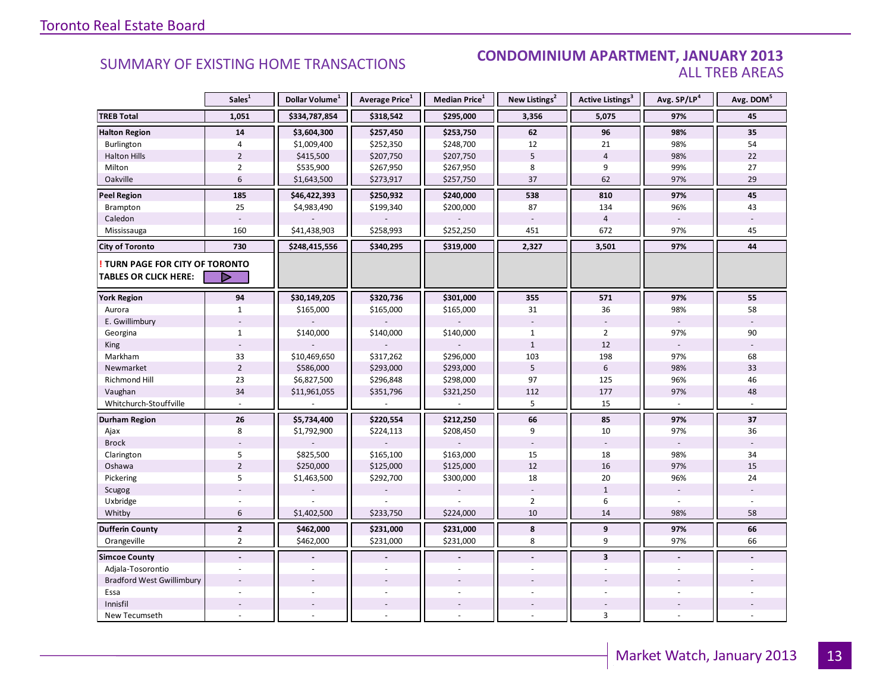#### SUMMARY OF EXISTING HOME TRANSACTIONS **CONDOMINIUM APARTMENT, JANUARY 2013** ALL TREB AREAS

|                                  | Sales <sup>1</sup> | Dollar Volume <sup>1</sup> | Average Price <sup>1</sup> | <b>Median Price</b> <sup>1</sup> | New Listings <sup>2</sup> | <b>Active Listings<sup>3</sup></b> | Avg. SP/LP <sup>4</sup> | Avg. DOM <sup>5</sup> |
|----------------------------------|--------------------|----------------------------|----------------------------|----------------------------------|---------------------------|------------------------------------|-------------------------|-----------------------|
| <b>TREB Total</b>                | 1,051              | \$334,787,854              | \$318,542                  | \$295,000                        | 3,356                     | 5,075                              | 97%                     | 45                    |
| <b>Halton Region</b>             | 14                 | \$3,604,300                | \$257,450                  | \$253,750                        | ${\bf 62}$                | 96                                 | 98%                     | 35                    |
| Burlington                       | $\overline{4}$     | \$1,009,400                | \$252,350                  | \$248,700                        | 12                        | 21                                 | 98%                     | 54                    |
| <b>Halton Hills</b>              | $\mathbf 2$        | \$415,500                  | \$207,750                  | \$207,750                        | 5                         | $\overline{4}$                     | 98%                     | 22                    |
| Milton                           | $\overline{2}$     | \$535,900                  | \$267,950                  | \$267,950                        | 8                         | 9                                  | 99%                     | 27                    |
| Oakville                         | 6                  | \$1,643,500                | \$273,917                  | \$257,750                        | 37                        | 62                                 | 97%                     | 29                    |
| <b>Peel Region</b>               | 185                | \$46,422,393               | \$250,932                  | \$240,000                        | 538                       | 810                                | 97%                     | 45                    |
| <b>Brampton</b>                  | 25                 | \$4,983,490                | \$199,340                  | \$200,000                        | 87                        | 134                                | 96%                     | 43                    |
| Caledon                          |                    |                            |                            |                                  |                           | $\overline{4}$                     |                         |                       |
| Mississauga                      | 160                | \$41,438,903               | \$258,993                  | \$252,250                        | 451                       | 672                                | 97%                     | 45                    |
| <b>City of Toronto</b>           | 730                | \$248,415,556              | \$340,295                  | \$319,000                        | 2,327                     | 3,501                              | 97%                     | 44                    |
| TURN PAGE FOR CITY OF TORONTO    |                    |                            |                            |                                  |                           |                                    |                         |                       |
| <b>TABLES OR CLICK HERE:</b>     | ▷                  |                            |                            |                                  |                           |                                    |                         |                       |
| <b>York Region</b>               | 94                 | \$30,149,205               | \$320,736                  | \$301,000                        | 355                       | 571                                | 97%                     | 55                    |
| Aurora                           | $\mathbf{1}$       | \$165,000                  | \$165,000                  | \$165,000                        | 31                        | 36                                 | 98%                     | 58                    |
| E. Gwillimbury                   |                    |                            |                            |                                  |                           |                                    |                         |                       |
| Georgina                         | $\mathbf{1}$       | \$140,000                  | \$140,000                  | \$140,000                        | $\mathbf{1}$              | $\overline{2}$                     | 97%                     | 90                    |
| King                             |                    |                            |                            |                                  | $1\,$                     | 12                                 |                         |                       |
| Markham                          | 33                 | \$10,469,650               | \$317,262                  | \$296,000                        | 103                       | 198                                | 97%                     | 68                    |
| Newmarket                        | $\mathbf 2$        | \$586,000                  | \$293,000                  | \$293,000                        | 5                         | 6                                  | 98%                     | 33                    |
| Richmond Hill                    | 23                 | \$6,827,500                | \$296,848                  | \$298,000                        | 97                        | 125                                | 96%                     | 46                    |
| Vaughan                          | 34                 | \$11,961,055               | \$351,796                  | \$321,250                        | 112                       | 177                                | 97%                     | 48                    |
| Whitchurch-Stouffville           |                    |                            |                            |                                  | 5                         | 15                                 |                         |                       |
| <b>Durham Region</b>             | 26                 | \$5,734,400                | \$220,554                  | \$212,250                        | 66                        | 85                                 | 97%                     | 37                    |
| Ajax                             | 8                  | \$1,792,900                | \$224,113                  | \$208,450                        | 9                         | 10                                 | 97%                     | 36                    |
| <b>Brock</b>                     |                    |                            |                            |                                  |                           |                                    |                         |                       |
| Clarington                       | 5                  | \$825,500                  | \$165,100                  | \$163,000                        | 15                        | 18                                 | 98%                     | 34                    |
| Oshawa                           | $\overline{2}$     | \$250,000                  | \$125,000                  | \$125,000                        | 12                        | 16                                 | 97%                     | 15                    |
| Pickering                        | 5                  | \$1,463,500                | \$292,700                  | \$300,000                        | 18                        | 20                                 | 96%                     | 24                    |
| Scugog                           |                    |                            |                            |                                  |                           | $1\,$                              |                         |                       |
| Uxbridge                         |                    |                            |                            |                                  | $\overline{2}$            | 6                                  |                         |                       |
| Whitby                           | 6                  | \$1,402,500                | \$233,750                  | \$224,000                        | 10                        | 14                                 | 98%                     | 58                    |
| <b>Dufferin County</b>           | $\overline{2}$     | \$462,000                  | \$231,000                  | \$231,000                        | 8                         | 9                                  | 97%                     | 66                    |
| Orangeville                      | $\overline{2}$     | \$462,000                  | \$231,000                  | \$231,000                        | 8                         | 9                                  | 97%                     | 66                    |
| <b>Simcoe County</b>             | $\blacksquare$     |                            | $\overline{a}$             | $\overline{a}$                   | $\overline{a}$            | $\overline{\mathbf{3}}$            | $\blacksquare$          |                       |
| Adjala-Tosorontio                |                    |                            |                            |                                  |                           |                                    |                         |                       |
| <b>Bradford West Gwillimbury</b> |                    |                            |                            |                                  |                           |                                    |                         |                       |
| Essa                             |                    |                            |                            |                                  |                           |                                    |                         |                       |
| Innisfil                         |                    |                            |                            |                                  |                           |                                    |                         |                       |
| New Tecumseth                    | L.                 |                            |                            |                                  |                           | 3                                  |                         |                       |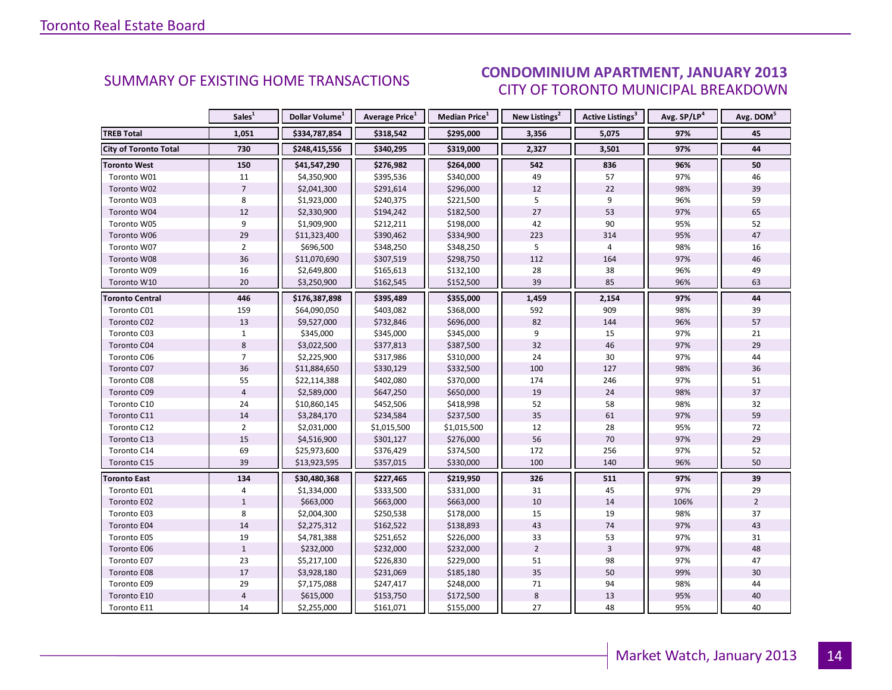#### IANILARY 2012 CITY OF TORONTO MUNICIPAL BREAKDOWN SUMMARY OF EXISTING HOME TRANSACTIONS<br>CITY OF TOPONTO MUINICIPAL PREAKDOMAL

<span id="page-13-0"></span>

|                              | Sales <sup>1</sup> | Dollar Volume <sup>1</sup> | <b>Average Price</b> <sup>1</sup> | <b>Median Price</b> <sup>1</sup> | New Listings <sup>2</sup> | <b>Active Listings<sup>3</sup></b> | Avg. SP/LP <sup>4</sup> | Avg. DOM <sup>5</sup> |
|------------------------------|--------------------|----------------------------|-----------------------------------|----------------------------------|---------------------------|------------------------------------|-------------------------|-----------------------|
| <b>TREB Total</b>            | 1,051              | \$334,787,854              | \$318,542                         | \$295,000                        | 3,356                     | 5,075                              | 97%                     | 45                    |
| <b>City of Toronto Total</b> | 730                | \$248,415,556              | \$340,295                         | \$319,000                        | 2,327                     | 3,501                              | 97%                     | 44                    |
| <b>Toronto West</b>          | 150                | \$41,547,290               | \$276,982                         | \$264,000                        | 542                       | 836                                | 96%                     | 50                    |
| Toronto W01                  | 11                 | \$4,350,900                | \$395,536                         | \$340,000                        | 49                        | 57                                 | 97%                     | 46                    |
| Toronto W02                  | $\overline{7}$     | \$2,041,300                | \$291,614                         | \$296,000                        | 12                        | 22                                 | 98%                     | 39                    |
| Toronto W03                  | 8                  | \$1,923,000                | \$240,375                         | \$221,500                        | 5                         | 9                                  | 96%                     | 59                    |
| Toronto W04                  | 12                 | \$2,330,900                | \$194,242                         | \$182,500                        | 27                        | 53                                 | 97%                     | 65                    |
| Toronto W05                  | 9                  | \$1,909,900                | \$212,211                         | \$198,000                        | 42                        | 90                                 | 95%                     | 52                    |
| Toronto W06                  | 29                 | \$11,323,400               | \$390,462                         | \$334,900                        | 223                       | 314                                | 95%                     | 47                    |
| Toronto W07                  | $\overline{2}$     | \$696,500                  | \$348,250                         | \$348,250                        | 5                         | $\overline{4}$                     | 98%                     | 16                    |
| Toronto W08                  | 36                 | \$11,070,690               | \$307,519                         | \$298,750                        | 112                       | 164                                | 97%                     | 46                    |
| Toronto W09                  | 16                 | \$2,649,800                | \$165,613                         | \$132,100                        | 28                        | 38                                 | 96%                     | 49                    |
| Toronto W10                  | 20                 | \$3,250,900                | \$162,545                         | \$152,500                        | 39                        | 85                                 | 96%                     | 63                    |
| <b>Toronto Central</b>       | 446                | \$176,387,898              | \$395,489                         | \$355,000                        | 1,459                     | 2,154                              | 97%                     | 44                    |
| Toronto C01                  | 159                | \$64,090,050               | \$403,082                         | \$368,000                        | 592                       | 909                                | 98%                     | 39                    |
| Toronto C02                  | 13                 | \$9,527,000                | \$732,846                         | \$696,000                        | 82                        | 144                                | 96%                     | 57                    |
| Toronto C03                  | $\mathbf{1}$       | \$345,000                  | \$345,000                         | \$345,000                        | 9                         | 15                                 | 97%                     | 21                    |
| Toronto C04                  | 8                  | \$3,022,500                | \$377,813                         | \$387,500                        | 32                        | 46                                 | 97%                     | 29                    |
| Toronto C06                  | $\overline{7}$     | \$2,225,900                | \$317,986                         | \$310,000                        | 24                        | 30                                 | 97%                     | 44                    |
| Toronto C07                  | 36                 | \$11,884,650               | \$330,129                         | \$332,500                        | 100                       | 127                                | 98%                     | 36                    |
| Toronto C08                  | 55                 | \$22,114,388               | \$402,080                         | \$370,000                        | 174                       | 246                                | 97%                     | 51                    |
| Toronto C09                  | $\overline{4}$     | \$2,589,000                | \$647,250                         | \$650,000                        | 19                        | 24                                 | 98%                     | 37                    |
| Toronto C10                  | 24                 | \$10,860,145               | \$452,506                         | \$418,998                        | 52                        | 58                                 | 98%                     | 32                    |
| Toronto C11                  | 14                 | \$3,284,170                | \$234,584                         | \$237,500                        | 35                        | 61                                 | 97%                     | 59                    |
| Toronto C12                  | $\overline{2}$     | \$2,031,000                | \$1,015,500                       | \$1,015,500                      | 12                        | 28                                 | 95%                     | 72                    |
| Toronto C13                  | 15                 | \$4,516,900                | \$301,127                         | \$276,000                        | 56                        | 70                                 | 97%                     | 29                    |
| Toronto C14                  | 69                 | \$25,973,600               | \$376,429                         | \$374,500                        | 172                       | 256                                | 97%                     | 52                    |
| Toronto C15                  | 39                 | \$13,923,595               | \$357,015                         | \$330,000                        | 100                       | 140                                | 96%                     | 50                    |
| <b>Toronto East</b>          | 134                | \$30,480,368               | \$227,465                         | \$219,950                        | 326                       | 511                                | 97%                     | 39                    |
| Toronto E01                  | 4                  | \$1,334,000                | \$333,500                         | \$331,000                        | 31                        | 45                                 | 97%                     | 29                    |
| Toronto E02                  | $\mathbf{1}$       | \$663,000                  | \$663,000                         | \$663,000                        | 10                        | 14                                 | 106%                    | $\overline{2}$        |
| Toronto E03                  | 8                  | \$2,004,300                | \$250,538                         | \$178,000                        | 15                        | 19                                 | 98%                     | 37                    |
| Toronto E04                  | 14                 | \$2,275,312                | \$162,522                         | \$138,893                        | 43                        | 74                                 | 97%                     | 43                    |
| Toronto E05                  | 19                 | \$4,781,388                | \$251,652                         | \$226,000                        | 33                        | 53                                 | 97%                     | 31                    |
| Toronto E06                  | $1\,$              | \$232,000                  | \$232,000                         | \$232,000                        | $\overline{2}$            | $\overline{3}$                     | 97%                     | 48                    |
| Toronto E07                  | 23                 | \$5,217,100                | \$226,830                         | \$229,000                        | 51                        | 98                                 | 97%                     | 47                    |
| Toronto E08                  | $17$               | \$3,928,180                | \$231,069                         | \$185,180                        | 35                        | 50                                 | 99%                     | 30                    |
| Toronto E09                  | 29                 | \$7,175,088                | \$247,417                         | \$248,000                        | 71                        | 94                                 | 98%                     | 44                    |
| Toronto E10                  | $\overline{4}$     | \$615,000                  | \$153,750                         | \$172,500                        | 8                         | 13                                 | 95%                     | 40                    |
| Toronto E11                  | 14                 | \$2,255,000                | \$161,071                         | \$155,000                        | 27                        | 48                                 | 95%                     | 40                    |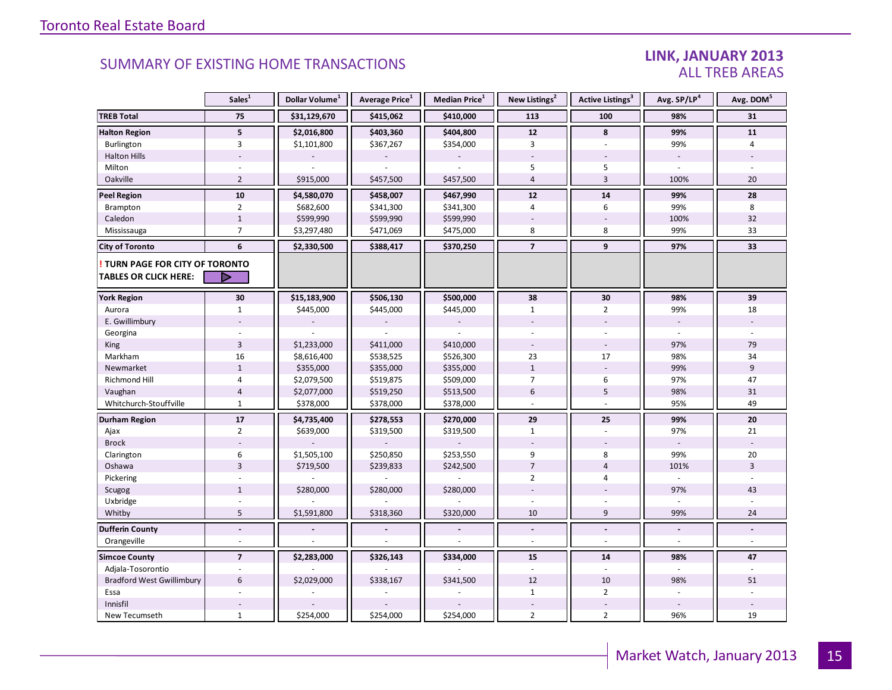### LINK, JANUARY 2013 ALL TREB AREAS

|                                  | Sales <sup>1</sup> | Dollar Volume <sup>1</sup> | Average Price <sup>1</sup> | Median Price <sup>1</sup> | New Listings <sup>2</sup> | Active Listings <sup>3</sup> | Avg. SP/LP <sup>4</sup>  | Avg. DOM <sup>5</sup> |
|----------------------------------|--------------------|----------------------------|----------------------------|---------------------------|---------------------------|------------------------------|--------------------------|-----------------------|
| <b>TREB Total</b>                | 75                 | \$31,129,670               | \$415,062                  | \$410,000                 | 113                       | 100                          | 98%                      | 31                    |
| <b>Halton Region</b>             | 5                  | \$2,016,800                | \$403,360                  | \$404,800                 | 12                        | 8                            | 99%                      | 11                    |
| Burlington                       | 3                  | \$1,101,800                | \$367,267                  | \$354,000                 | 3                         |                              | 99%                      | 4                     |
| <b>Halton Hills</b>              |                    |                            |                            |                           |                           |                              |                          |                       |
| Milton                           |                    |                            |                            |                           | 5                         | 5                            |                          |                       |
| Oakville                         | $\overline{2}$     | \$915,000                  | \$457,500                  | \$457,500                 | $\overline{4}$            | $\overline{3}$               | 100%                     | 20                    |
| <b>Peel Region</b>               | 10                 | \$4,580,070                | \$458,007                  | \$467,990                 | 12                        | 14                           | 99%                      | 28                    |
| <b>Brampton</b>                  | $\overline{2}$     | \$682,600                  | \$341,300                  | \$341,300                 | $\overline{4}$            | 6                            | 99%                      | 8                     |
| Caledon                          | $\mathbf{1}$       | \$599,990                  | \$599,990                  | \$599,990                 |                           |                              | 100%                     | 32                    |
| Mississauga                      | $\overline{7}$     | \$3,297,480                | \$471,069                  | \$475,000                 | 8                         | 8                            | 99%                      | 33                    |
| <b>City of Toronto</b>           | 6                  | \$2,330,500                | \$388,417                  | \$370,250                 | $\overline{7}$            | 9                            | 97%                      | 33                    |
| TURN PAGE FOR CITY OF TORONTO    |                    |                            |                            |                           |                           |                              |                          |                       |
| <b>TABLES OR CLICK HERE:</b>     | ▷                  |                            |                            |                           |                           |                              |                          |                       |
| <b>York Region</b>               | 30                 | \$15,183,900               | \$506,130                  | \$500,000                 | 38                        | 30                           | 98%                      | 39                    |
| Aurora                           | $\mathbf{1}$       | \$445,000                  | \$445,000                  | \$445,000                 | $\mathbf{1}$              | $\overline{2}$               | 99%                      | 18                    |
| E. Gwillimbury                   |                    |                            |                            |                           |                           |                              | $\overline{\phantom{a}}$ |                       |
| Georgina                         |                    |                            |                            |                           |                           |                              |                          |                       |
| King                             | $\overline{3}$     | \$1,233,000                | \$411,000                  | \$410,000                 |                           |                              | 97%                      | 79                    |
| Markham                          | 16                 | \$8,616,400                | \$538,525                  | \$526,300                 | 23                        | 17                           | 98%                      | 34                    |
| Newmarket                        | $1\,$              | \$355,000                  | \$355,000                  | \$355,000                 | $1\,$                     | $\overline{\phantom{a}}$     | 99%                      | 9                     |
| Richmond Hill                    | 4                  | \$2,079,500                | \$519,875                  | \$509,000                 | $\overline{7}$            | 6                            | 97%                      | 47                    |
| Vaughan                          | $\overline{4}$     | \$2,077,000                | \$519,250                  | \$513,500                 | 6                         | 5                            | 98%                      | 31                    |
| Whitchurch-Stouffville           | $\mathbf{1}$       | \$378,000                  | \$378,000                  | \$378,000                 | $\overline{a}$            |                              | 95%                      | 49                    |
| <b>Durham Region</b>             | 17                 | \$4,735,400                | \$278,553                  | \$270,000                 | 29                        | 25                           | 99%                      | 20                    |
| Ajax                             | $\overline{2}$     | \$639,000                  | \$319,500                  | \$319,500                 | $\mathbf{1}$              |                              | 97%                      | 21                    |
| <b>Brock</b>                     |                    |                            |                            |                           |                           |                              | $\sim$                   |                       |
| Clarington                       | 6                  | \$1,505,100                | \$250,850                  | \$253,550                 | 9                         | 8                            | 99%                      | 20                    |
| Oshawa                           | $\overline{3}$     | \$719,500                  | \$239,833                  | \$242,500                 | $\overline{7}$            | $\overline{4}$               | 101%                     | $\overline{3}$        |
| Pickering                        |                    |                            |                            |                           | $\overline{2}$            | 4                            | L.                       |                       |
| Scugog                           | $\mathbf{1}$       | \$280,000                  | \$280,000                  | \$280,000                 |                           |                              | 97%                      | 43                    |
| Uxbridge                         |                    |                            |                            |                           |                           |                              |                          |                       |
| Whitby                           | 5                  | \$1,591,800                | \$318,360                  | \$320,000                 | 10                        | 9                            | 99%                      | 24                    |
| <b>Dufferin County</b>           | $\overline{a}$     |                            |                            |                           | $\Box$                    | $\overline{a}$               | $\overline{\phantom{a}}$ | $\blacksquare$        |
| Orangeville                      | ÷                  |                            |                            |                           | $\sim$                    | ÷.                           | $\sim$                   | $\sim$                |
| <b>Simcoe County</b>             | $\overline{7}$     | \$2,283,000                | \$326,143                  | \$334,000                 | 15                        | 14                           | 98%                      | 47                    |
| Adjala-Tosorontio                |                    |                            |                            |                           |                           |                              |                          |                       |
| <b>Bradford West Gwillimbury</b> | 6                  | \$2,029,000                | \$338,167                  | \$341,500                 | 12                        | 10                           | 98%                      | 51                    |
| Essa                             |                    |                            |                            |                           | $\mathbf{1}$              | $\overline{2}$               |                          |                       |
| Innisfil                         |                    |                            |                            |                           |                           |                              |                          |                       |
| New Tecumseth                    | $\mathbf{1}$       | \$254,000                  | \$254,000                  | \$254,000                 | $\overline{2}$            | $\overline{2}$               | 96%                      | 19                    |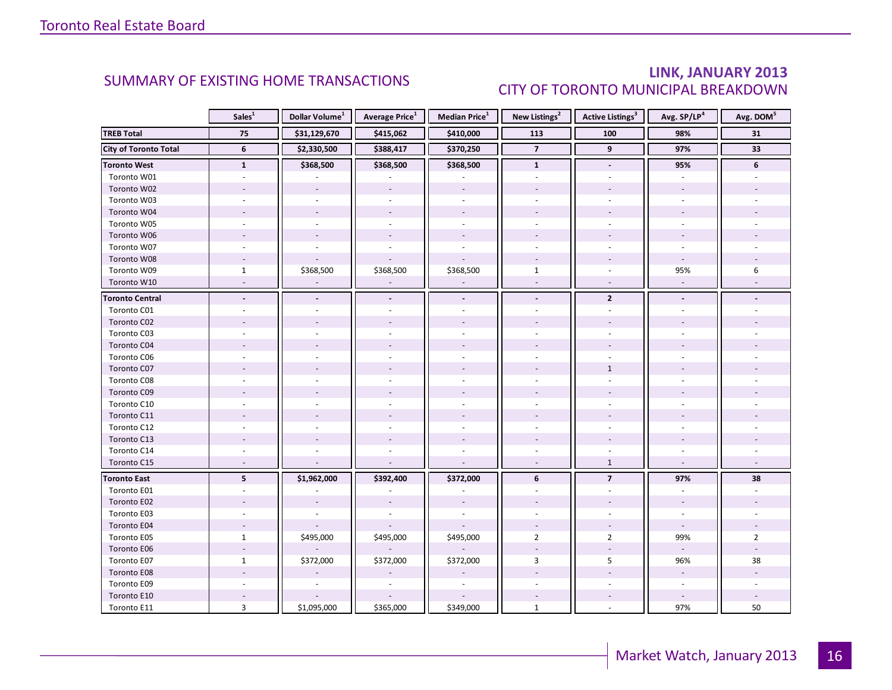### LINK, JANUARY 2013 CITY OF TORONTO MUNICIPAL BREAKDOWN

<span id="page-15-0"></span>

|                              | Sales <sup>1</sup>       | Dollar Volume <sup>1</sup> | <b>Average Price</b> <sup>1</sup> | Median Price <sup>1</sup> | New Listings <sup>2</sup> | Active Listings <sup>3</sup> | Avg. SP/LP <sup>4</sup>  | Avg. DOM <sup>5</sup> |
|------------------------------|--------------------------|----------------------------|-----------------------------------|---------------------------|---------------------------|------------------------------|--------------------------|-----------------------|
| <b>TREB Total</b>            | 75                       | \$31,129,670               | \$415,062                         | \$410,000                 | 113                       | 100                          | 98%                      | 31                    |
| <b>City of Toronto Total</b> | $6\phantom{1}$           | \$2,330,500                | \$388,417                         | \$370,250                 | $\overline{\mathbf{z}}$   | 9                            | 97%                      | 33                    |
| <b>Toronto West</b>          | $\mathbf{1}$             | \$368,500                  | \$368,500                         | \$368,500                 | $\mathbf{1}$              | $\blacksquare$               | 95%                      | 6                     |
| Toronto W01                  |                          |                            |                                   |                           |                           |                              |                          |                       |
| Toronto W02                  |                          |                            |                                   |                           |                           |                              |                          |                       |
| Toronto W03                  | $\sim$                   |                            | $\overline{\phantom{a}}$          | $\sim$                    |                           |                              |                          |                       |
| Toronto W04                  |                          |                            |                                   |                           |                           |                              |                          |                       |
| Toronto W05                  |                          |                            |                                   |                           |                           |                              |                          |                       |
| Toronto W06                  |                          |                            |                                   |                           |                           |                              |                          |                       |
| Toronto W07                  |                          |                            |                                   | $\overline{a}$            |                           |                              |                          |                       |
| Toronto W08                  |                          |                            |                                   |                           |                           |                              |                          |                       |
| Toronto W09                  | $\mathbf{1}$             | \$368,500                  | \$368,500                         | \$368,500                 | $\mathbf{1}$              |                              | 95%                      | 6                     |
| Toronto W10                  | $\overline{a}$           |                            |                                   |                           | $\mathbf{r}$              | $\omega$                     | $\overline{\phantom{a}}$ |                       |
| <b>Toronto Central</b>       |                          |                            |                                   |                           | $\overline{\phantom{a}}$  | $\overline{2}$               |                          |                       |
| Toronto C01                  |                          |                            |                                   |                           |                           |                              |                          |                       |
| Toronto C02                  |                          |                            |                                   |                           |                           |                              |                          |                       |
| Toronto C03                  |                          |                            |                                   |                           |                           |                              |                          |                       |
| Toronto C04                  |                          |                            |                                   |                           |                           |                              |                          |                       |
| Toronto C06                  |                          |                            |                                   |                           |                           |                              |                          |                       |
| Toronto C07                  |                          |                            |                                   |                           |                           | $\mathbf{1}$                 |                          |                       |
| Toronto C08                  |                          |                            |                                   |                           |                           |                              |                          |                       |
| Toronto C09                  |                          |                            |                                   |                           |                           |                              |                          |                       |
| Toronto C10                  |                          |                            |                                   |                           |                           |                              |                          |                       |
| Toronto C11                  |                          |                            |                                   |                           |                           |                              |                          |                       |
| Toronto C12                  |                          |                            |                                   |                           |                           |                              |                          |                       |
| Toronto C13                  |                          |                            |                                   |                           |                           |                              |                          |                       |
| Toronto C14                  |                          |                            |                                   |                           |                           |                              |                          |                       |
| Toronto C15                  | $\overline{\phantom{a}}$ |                            |                                   |                           |                           | $\mathbf{1}$                 | $\overline{\phantom{a}}$ |                       |
| <b>Toronto East</b>          | 5                        | \$1,962,000                | \$392,400                         | \$372,000                 | 6                         | $\overline{7}$               | 97%                      | 38                    |
| Toronto E01                  |                          |                            |                                   |                           |                           |                              |                          |                       |
| Toronto E02                  |                          |                            |                                   |                           |                           |                              |                          |                       |
| Toronto E03                  |                          |                            |                                   |                           |                           |                              |                          |                       |
| Toronto E04                  |                          |                            |                                   |                           |                           |                              | $\omega$                 |                       |
| Toronto E05                  | $\mathbf{1}$             | \$495,000                  | \$495,000                         | \$495,000                 | $\overline{2}$            | $\overline{2}$               | 99%                      | $\overline{2}$        |
| Toronto E06                  |                          |                            |                                   |                           |                           |                              |                          |                       |
| Toronto E07                  | $\mathbf{1}$             | \$372,000                  | \$372,000                         | \$372,000                 | 3                         | 5                            | 96%                      | 38                    |
| Toronto E08                  |                          |                            |                                   |                           |                           |                              |                          |                       |
| Toronto E09                  |                          |                            |                                   | $\sim$                    |                           |                              | ÷.                       |                       |
| Toronto E10                  |                          |                            |                                   |                           |                           |                              |                          |                       |
| Toronto E11                  | 3                        | \$1,095,000                | \$365,000                         | \$349,000                 | $\mathbf{1}$              |                              | 97%                      | 50                    |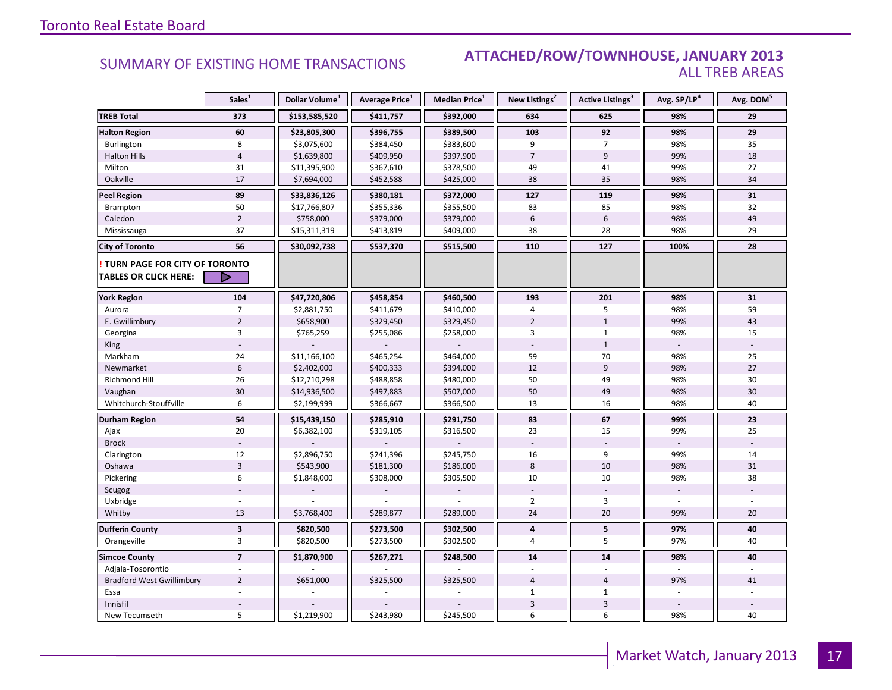#### SUMMARY OF EXISTING HOME TRANSACTIONS **ATTACHED/ROW/TOWNHOUSE, JANUARY 2013** ALL TREB AREAS

|                                  | Sales <sup>1</sup> | Dollar Volume <sup>1</sup> | Average Price <sup>1</sup> | Median Price <sup>1</sup> | New Listings <sup>2</sup> | Active Listings <sup>3</sup> | Avg. SP/LP <sup>4</sup> | Avg. DOM <sup>5</sup> |
|----------------------------------|--------------------|----------------------------|----------------------------|---------------------------|---------------------------|------------------------------|-------------------------|-----------------------|
| <b>TREB Total</b>                | 373                | \$153,585,520              | \$411,757                  | \$392,000                 | 634                       | 625                          | 98%                     | 29                    |
| <b>Halton Region</b>             | 60                 | \$23,805,300               | \$396,755                  | \$389,500                 | 103                       | 92                           | 98%                     | 29                    |
| Burlington                       | 8                  | \$3,075,600                | \$384,450                  | \$383,600                 | 9                         | $\overline{7}$               | 98%                     | 35                    |
| <b>Halton Hills</b>              | $\overline{4}$     | \$1,639,800                | \$409,950                  | \$397,900                 | $\overline{7}$            | 9                            | 99%                     | 18                    |
| Milton                           | 31                 | \$11,395,900               | \$367,610                  | \$378,500                 | 49                        | 41                           | 99%                     | 27                    |
| Oakville                         | 17                 | \$7,694,000                | \$452,588                  | \$425,000                 | 38                        | 35                           | 98%                     | 34                    |
| <b>Peel Region</b>               | 89                 | \$33,836,126               | \$380,181                  | \$372,000                 | 127                       | 119                          | 98%                     | 31                    |
| Brampton                         | 50                 | \$17,766,807               | \$355,336                  | \$355,500                 | 83                        | 85                           | 98%                     | 32                    |
| Caledon                          | $\overline{2}$     | \$758,000                  | \$379,000                  | \$379,000                 | 6                         | $6\,$                        | 98%                     | 49                    |
| Mississauga                      | 37                 | \$15,311,319               | \$413,819                  | \$409,000                 | 38                        | 28                           | 98%                     | 29                    |
| <b>City of Toronto</b>           | 56                 | \$30,092,738               | \$537,370                  | \$515,500                 | 110                       | 127                          | 100%                    | 28                    |
| TURN PAGE FOR CITY OF TORONTO    | ▷                  |                            |                            |                           |                           |                              |                         |                       |
| <b>TABLES OR CLICK HERE:</b>     |                    |                            |                            |                           |                           |                              |                         |                       |
| <b>York Region</b>               | 104                | \$47,720,806               | \$458,854                  | \$460,500                 | 193                       | 201                          | 98%                     | 31                    |
| Aurora                           | $\overline{7}$     | \$2,881,750                | \$411,679                  | \$410,000                 | 4                         | 5                            | 98%                     | 59                    |
| E. Gwillimbury                   | $\overline{2}$     | \$658,900                  | \$329,450                  | \$329,450                 | $\overline{2}$            | $1\,$                        | 99%                     | 43                    |
| Georgina                         | 3                  | \$765,259                  | \$255,086                  | \$258,000                 | 3                         | $\mathbf{1}$                 | 98%                     | 15                    |
| King                             |                    |                            |                            |                           |                           | $\mathbf{1}$                 |                         |                       |
| Markham                          | 24                 | \$11,166,100               | \$465,254                  | \$464,000                 | 59                        | 70                           | 98%                     | 25                    |
| Newmarket                        | $6\phantom{1}$     | \$2,402,000                | \$400,333                  | \$394,000                 | 12                        | 9                            | 98%                     | 27                    |
| <b>Richmond Hill</b>             | 26                 | \$12,710,298               | \$488,858                  | \$480,000                 | 50                        | 49                           | 98%                     | 30                    |
| Vaughan                          | 30                 | \$14,936,500               | \$497,883                  | \$507,000                 | 50                        | 49                           | 98%                     | 30                    |
| Whitchurch-Stouffville           | 6                  | \$2,199,999                | \$366,667                  | \$366,500                 | 13                        | 16                           | 98%                     | 40                    |
| Durham Region                    | 54                 | \$15,439,150               | \$285,910                  | \$291,750                 | 83                        | 67                           | 99%                     | 23                    |
| Ajax                             | 20                 | \$6,382,100                | \$319,105                  | \$316,500                 | 23                        | 15                           | 99%                     | 25                    |
| <b>Brock</b>                     |                    |                            |                            |                           |                           |                              |                         |                       |
| Clarington                       | 12                 | \$2,896,750                | \$241,396                  | \$245,750                 | 16                        | 9                            | 99%                     | 14                    |
| Oshawa                           | $\overline{3}$     | \$543,900                  | \$181,300                  | \$186,000                 | 8                         | 10                           | 98%                     | 31                    |
| Pickering                        | 6                  | \$1,848,000                | \$308,000                  | \$305,500                 | 10                        | 10                           | 98%                     | 38                    |
| Scugog                           |                    |                            |                            |                           |                           |                              |                         |                       |
| Uxbridge                         |                    |                            |                            |                           | $\overline{2}$            | 3                            |                         |                       |
| Whitby                           | 13                 | \$3,768,400                | \$289,877                  | \$289,000                 | 24                        | 20                           | 99%                     | 20                    |
| <b>Dufferin County</b>           | $\mathbf{3}$       | \$820,500                  | \$273,500                  | \$302,500                 | 4                         | 5                            | 97%                     | 40                    |
| Orangeville                      | 3                  | \$820,500                  | \$273,500                  | \$302,500                 | $\overline{4}$            | 5                            | 97%                     | 40                    |
| <b>Simcoe County</b>             | $\overline{7}$     | \$1,870,900                | \$267,271                  | \$248,500                 | 14                        | 14                           | 98%                     | 40                    |
| Adjala-Tosorontio                |                    |                            |                            |                           |                           |                              |                         |                       |
| <b>Bradford West Gwillimbury</b> | $\overline{2}$     | \$651,000                  | \$325,500                  | \$325,500                 | $\overline{4}$            | $\overline{4}$               | 97%                     | 41                    |
| Essa                             |                    |                            |                            |                           | $\mathbf{1}$              | $\mathbf{1}$                 |                         |                       |
| Innisfil                         |                    |                            |                            |                           | 3                         | $\overline{\mathbf{3}}$      |                         |                       |
| New Tecumseth                    | 5                  | \$1,219,900                | \$243,980                  | \$245,500                 | 6                         | 6                            | 98%                     | 40                    |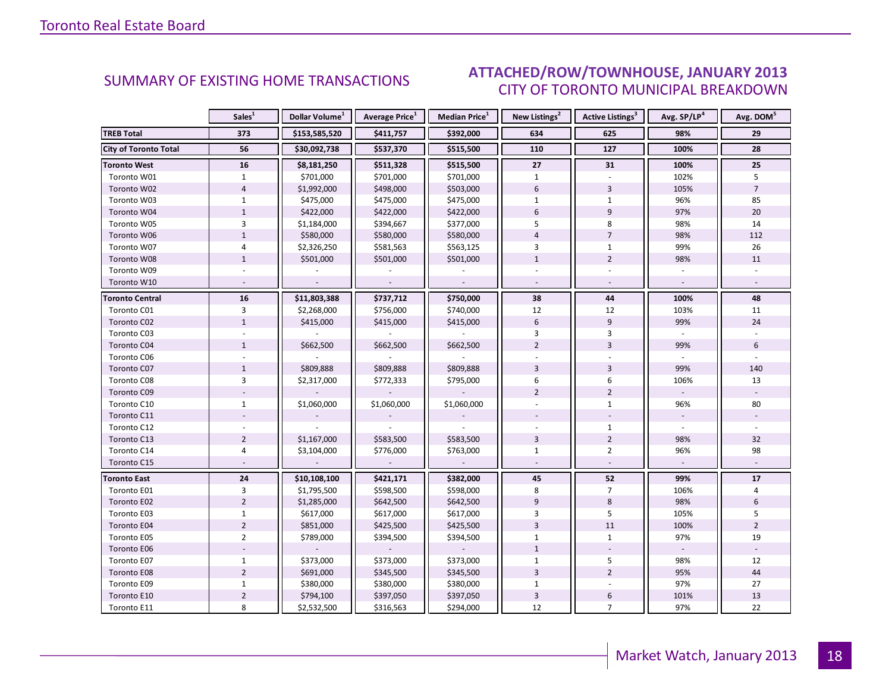#### IANILARY 2012 CITY OF TORONTO MUNICIPAL BREAKDOWN SUMMARY OF EXISTING HOME TRANSACTIONS **ATTACHED/ROW/TOWNHOUSE, JANUARY 2013**

<span id="page-17-0"></span>

|                              | Sales <sup>1</sup> | Dollar Volume <sup>1</sup> | <b>Average Price</b> <sup>1</sup> | Median Price <sup>1</sup> | New Listings <sup>2</sup> | <b>Active Listings<sup>3</sup></b> | Avg. SP/LP <sup>4</sup> | Avg. DOM <sup>5</sup> |
|------------------------------|--------------------|----------------------------|-----------------------------------|---------------------------|---------------------------|------------------------------------|-------------------------|-----------------------|
| <b>TREB Total</b>            | 373                | \$153,585,520              | \$411,757                         | \$392,000                 | 634                       | 625                                | 98%                     | 29                    |
| <b>City of Toronto Total</b> | 56                 | \$30,092,738               | \$537,370                         | \$515,500                 | 110                       | 127                                | 100%                    | 28                    |
| <b>Toronto West</b>          | 16                 | \$8,181,250                | \$511,328                         | \$515,500                 | 27                        | 31                                 | 100%                    | 25                    |
| Toronto W01                  | $\mathbf{1}$       | \$701,000                  | \$701,000                         | \$701,000                 | $\mathbf{1}$              |                                    | 102%                    | 5                     |
| Toronto W02                  | $\overline{4}$     | \$1,992,000                | \$498,000                         | \$503,000                 | $6\,$                     | $\overline{3}$                     | 105%                    | $\overline{7}$        |
| Toronto W03                  | $\mathbf{1}$       | \$475,000                  | \$475,000                         | \$475,000                 | $\mathbf{1}$              | $\mathbf{1}$                       | 96%                     | 85                    |
| Toronto W04                  | $\mathbf{1}$       | \$422,000                  | \$422,000                         | \$422,000                 | 6                         | 9                                  | 97%                     | 20                    |
| Toronto W05                  | $\overline{3}$     | \$1,184,000                | \$394,667                         | \$377,000                 | 5                         | 8                                  | 98%                     | 14                    |
| Toronto W06                  | $\mathbf{1}$       | \$580,000                  | \$580,000                         | \$580,000                 | $\overline{4}$            | $\overline{7}$                     | 98%                     | 112                   |
| Toronto W07                  | $\overline{4}$     | \$2,326,250                | \$581,563                         | \$563,125                 | 3                         | $\mathbf{1}$                       | 99%                     | 26                    |
| Toronto W08                  | $1\,$              | \$501,000                  | \$501,000                         | \$501,000                 | $\mathbf{1}$              | $\overline{2}$                     | 98%                     | 11                    |
| Toronto W09                  |                    |                            |                                   |                           |                           |                                    |                         |                       |
| Toronto W10                  | $\sim$             |                            | $\overline{a}$                    |                           | $\overline{\phantom{a}}$  |                                    |                         | $\sim$                |
| <b>Toronto Central</b>       | 16                 | \$11,803,388               | \$737,712                         | \$750,000                 | 38                        | 44                                 | 100%                    | 48                    |
| Toronto C01                  | 3                  | \$2,268,000                | \$756,000                         | \$740,000                 | 12                        | 12                                 | 103%                    | 11                    |
| Toronto C02                  | $\mathbf{1}$       | \$415,000                  | \$415,000                         | \$415,000                 | 6                         | 9                                  | 99%                     | 24                    |
| Toronto C03                  |                    |                            |                                   |                           | 3                         | 3                                  |                         |                       |
| Toronto C04                  | $\mathbf{1}$       | \$662,500                  | \$662,500                         | \$662,500                 | $\overline{2}$            | $\overline{3}$                     | 99%                     | 6                     |
| Toronto C06                  |                    |                            |                                   |                           |                           |                                    |                         |                       |
| Toronto C07                  | $\mathbf{1}$       | \$809,888                  | \$809,888                         | \$809,888                 | $\overline{3}$            | 3                                  | 99%                     | 140                   |
| Toronto C08                  | 3                  | \$2,317,000                | \$772,333                         | \$795,000                 | 6                         | 6                                  | 106%                    | 13                    |
| Toronto C09                  |                    |                            |                                   |                           | $\overline{2}$            | $\overline{2}$                     |                         |                       |
| Toronto C10                  | $\mathbf{1}$       | \$1,060,000                | \$1,060,000                       | \$1,060,000               |                           | $\mathbf{1}$                       | 96%                     | 80                    |
| Toronto C11                  |                    |                            |                                   |                           |                           |                                    |                         |                       |
| Toronto C12                  |                    |                            |                                   |                           |                           | $\mathbf{1}$                       |                         |                       |
| Toronto C13                  | $\overline{2}$     | \$1,167,000                | \$583,500                         | \$583,500                 | $\overline{3}$            | $\overline{2}$                     | 98%                     | 32                    |
| Toronto C14                  | $\overline{4}$     | \$3,104,000                | \$776,000                         | \$763,000                 | $\mathbf{1}$              | $\overline{2}$                     | 96%                     | 98                    |
| Toronto C15                  |                    |                            |                                   | $\overline{\phantom{a}}$  |                           |                                    |                         |                       |
| <b>Toronto East</b>          | 24                 | \$10,108,100               | \$421,171                         | \$382,000                 | 45                        | 52                                 | 99%                     | 17                    |
| Toronto E01                  | 3                  | \$1,795,500                | \$598,500                         | \$598,000                 | 8                         | $\overline{7}$                     | 106%                    | 4                     |
| Toronto E02                  | $\overline{2}$     | \$1,285,000                | \$642,500                         | \$642,500                 | $\boldsymbol{9}$          | 8                                  | 98%                     | 6                     |
| Toronto E03                  | $\mathbf{1}$       | \$617,000                  | \$617,000                         | \$617,000                 | 3                         | 5                                  | 105%                    | 5                     |
| Toronto E04                  | $\overline{2}$     | \$851,000                  | \$425,500                         | \$425,500                 | $\overline{3}$            | 11                                 | 100%                    | $\overline{2}$        |
| Toronto E05                  | $\overline{2}$     | \$789,000                  | \$394,500                         | \$394,500                 | $\mathbf{1}$              | $\mathbf{1}$                       | 97%                     | 19                    |
| Toronto E06                  |                    |                            |                                   |                           | $\mathbf{1}$              |                                    |                         |                       |
| Toronto E07                  | $\mathbf{1}$       | \$373,000                  | \$373,000                         | \$373,000                 | $\mathbf{1}$              | 5                                  | 98%                     | 12                    |
| Toronto E08                  | $\overline{2}$     | \$691,000                  | \$345,500                         | \$345,500                 | $\overline{3}$            | $\overline{2}$                     | 95%                     | 44                    |
| Toronto E09                  | $\mathbf{1}$       | \$380,000                  | \$380,000                         | \$380,000                 | $\mathbf{1}$              |                                    | 97%                     | 27                    |
| Toronto E10                  | $\overline{2}$     | \$794,100                  | \$397,050                         | \$397,050                 | $\overline{3}$            | 6                                  | 101%                    | 13                    |
| Toronto E11                  | 8                  | \$2,532,500                | \$316,563                         | \$294,000                 | 12                        | $\overline{7}$                     | 97%                     | 22                    |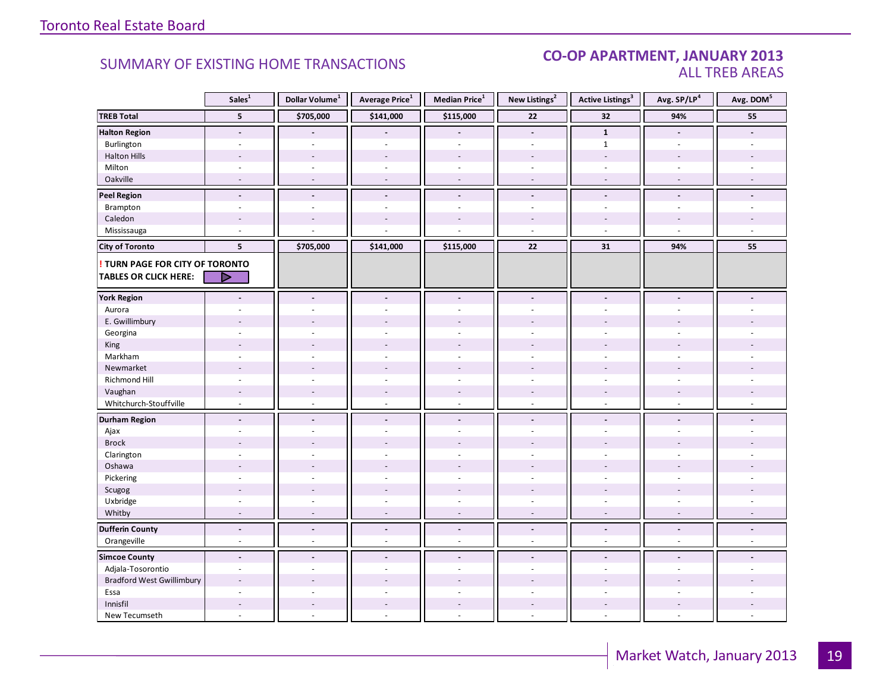#### CO-OP APARTMENT, JANUARY 2013 ALL TREB AREAS

|                                  | Sales <sup>1</sup>       | Dollar Volume <sup>1</sup> | Average Price $^1$       | Median Price <sup>1</sup> | New Listings <sup>2</sup> | <b>Active Listings<sup>3</sup></b> | Avg. SP/LP <sup>4</sup> | Avg. DOM <sup>5</sup> |
|----------------------------------|--------------------------|----------------------------|--------------------------|---------------------------|---------------------------|------------------------------------|-------------------------|-----------------------|
| <b>TREB Total</b>                | 5                        | \$705,000                  | \$141,000                | \$115,000                 | $\bf 22$                  | 32                                 | 94%                     | 55                    |
| <b>Halton Region</b>             | $\overline{\phantom{a}}$ |                            |                          | $\overline{\phantom{a}}$  | $\overline{\phantom{a}}$  | $\mathbf{1}$                       | $\blacksquare$          |                       |
| Burlington                       | ÷.                       |                            |                          | $\overline{a}$            | $\sim$                    | $\mathbf{1}$                       | $\overline{a}$          |                       |
| <b>Halton Hills</b>              | $\overline{a}$           |                            | $\overline{a}$           | ÷.                        |                           | $\overline{\phantom{a}}$           | $\overline{a}$          |                       |
| Milton                           | $\sim$                   | $\sim$                     | $\bar{a}$                | $\overline{\phantom{a}}$  | $\sim$                    | $\overline{\phantom{a}}$           | $\sim$                  |                       |
| Oakville                         | $\sim$                   | $\sim$                     | $\sim$                   | $\sim$                    | $\overline{a}$            | $\sim$                             | $\sim$                  |                       |
| <b>Peel Region</b>               | $\overline{\phantom{a}}$ | $\blacksquare$             | $\blacksquare$           | $\blacksquare$            | $\overline{\phantom{a}}$  | $\overline{\phantom{a}}$           | $\blacksquare$          |                       |
| Brampton                         | $\overline{\phantom{a}}$ | ÷.                         | $\overline{a}$           | $\mathbf{r}$              | $\omega$                  | $\overline{\phantom{a}}$           | $\sim$                  |                       |
| Caledon                          |                          |                            |                          |                           |                           |                                    |                         |                       |
| Mississauga                      | $\overline{a}$           |                            |                          | L.                        | $\sim$                    | $\overline{a}$                     | $\sim$                  |                       |
| <b>City of Toronto</b>           | 5                        | \$705,000                  | \$141,000                | \$115,000                 | 22                        | 31                                 | 94%                     | 55                    |
| ! TURN PAGE FOR CITY OF TORONTO  |                          |                            |                          |                           |                           |                                    |                         |                       |
| <b>TABLES OR CLICK HERE:</b>     |                          |                            |                          |                           |                           |                                    |                         |                       |
|                                  |                          |                            |                          |                           |                           |                                    |                         |                       |
| <b>York Region</b>               | $\overline{\phantom{a}}$ | $\blacksquare$             | $\blacksquare$           | $\blacksquare$            | $\blacksquare$            | $\overline{a}$                     | $\blacksquare$          |                       |
| Aurora                           |                          |                            |                          | ä,                        | $\sim$                    |                                    | ÷                       |                       |
| E. Gwillimbury                   |                          |                            |                          | L,                        |                           |                                    |                         |                       |
| Georgina                         |                          |                            |                          |                           |                           |                                    |                         |                       |
| King                             | $\overline{a}$           |                            | $\overline{a}$           | $\overline{a}$            |                           |                                    |                         |                       |
| Markham                          | ÷,                       | $\overline{a}$             | L.                       | ÷,                        | $\omega$                  | $\overline{\phantom{a}}$           | $\sim$                  |                       |
| Newmarket                        |                          |                            |                          |                           |                           |                                    |                         |                       |
| Richmond Hill                    | ÷.                       |                            |                          | ÷.                        |                           |                                    |                         |                       |
| Vaughan                          | $\overline{a}$           |                            | $\overline{a}$           | $\overline{\phantom{a}}$  |                           | $\overline{a}$                     |                         |                       |
| Whitchurch-Stouffville           | $\sim$                   | $\sim$                     | $\sim$                   | $\mathcal{L}$             | $\sim$                    | $\sim$                             | $\sim$                  |                       |
| <b>Durham Region</b>             | $\centerdot$             | $\blacksquare$             | $\overline{\phantom{a}}$ | $\overline{\phantom{a}}$  | $\overline{\phantom{a}}$  | $\overline{\phantom{a}}$           | $\blacksquare$          |                       |
| Ajax                             | ÷                        | $\overline{a}$             | ÷                        | $\overline{a}$            | $\sim$                    | ÷.                                 | $\sim$                  |                       |
| <b>Brock</b>                     |                          |                            |                          |                           |                           |                                    |                         |                       |
| Clarington                       | $\ddot{\phantom{1}}$     |                            | $\overline{a}$           | $\sim$                    | $\sim$                    | $\sim$                             | $\overline{a}$          |                       |
| Oshawa                           | $\blacksquare$           |                            |                          |                           |                           |                                    |                         |                       |
| Pickering                        | ÷                        |                            | $\overline{a}$           | ÷,                        | $\overline{a}$            | $\overline{a}$                     | $\sim$                  |                       |
| Scugog                           |                          |                            | ÷,                       | $\overline{a}$            |                           | $\overline{a}$                     |                         |                       |
| Uxbridge                         | ä,                       | $\sim$                     | $\bar{\phantom{a}}$      | $\sim$                    | $\overline{\phantom{a}}$  | $\bar{\phantom{a}}$                | $\sim$                  |                       |
| Whitby                           | $\sim$                   | $\sim$                     | $\overline{\phantom{a}}$ | $\sim$                    | $\sim$                    | $\blacksquare$                     | $\sim$                  | $\sim$                |
| <b>Dufferin County</b>           | $\overline{\phantom{a}}$ | $\overline{\phantom{a}}$   | $\overline{\phantom{a}}$ | $\blacksquare$            | $\overline{\phantom{a}}$  | $\overline{\phantom{a}}$           | $\blacksquare$          | $\blacksquare$        |
| Orangeville                      | $\overline{\phantom{a}}$ | $\omega$                   | $\overline{\phantom{a}}$ | $\sim$                    | $\overline{\phantom{a}}$  | $\blacksquare$                     | $\blacksquare$          | $\omega$              |
| <b>Simcoe County</b>             | $\overline{a}$           | $\blacksquare$             | $\blacksquare$           | $\blacksquare$            | $\blacksquare$            | $\blacksquare$                     | $\blacksquare$          |                       |
| Adjala-Tosorontio                | $\overline{\phantom{a}}$ | $\sim$                     | $\sim$                   | $\overline{\phantom{a}}$  | $\sim$                    | $\sim$                             | $\sim$                  | ÷.                    |
| <b>Bradford West Gwillimbury</b> | $\overline{a}$           |                            |                          |                           |                           |                                    |                         |                       |
| Essa                             |                          |                            |                          |                           |                           |                                    |                         |                       |
| Innisfil                         | $\overline{a}$           | $\sim$                     | $\overline{a}$           | $\overline{a}$            | $\sim$                    | $\overline{a}$                     | $\overline{a}$          |                       |
| New Tecumseth                    | ÷,                       |                            | $\bar{a}$                | ÷,                        | $\sim$                    | $\overline{\phantom{a}}$           | $\sim$                  |                       |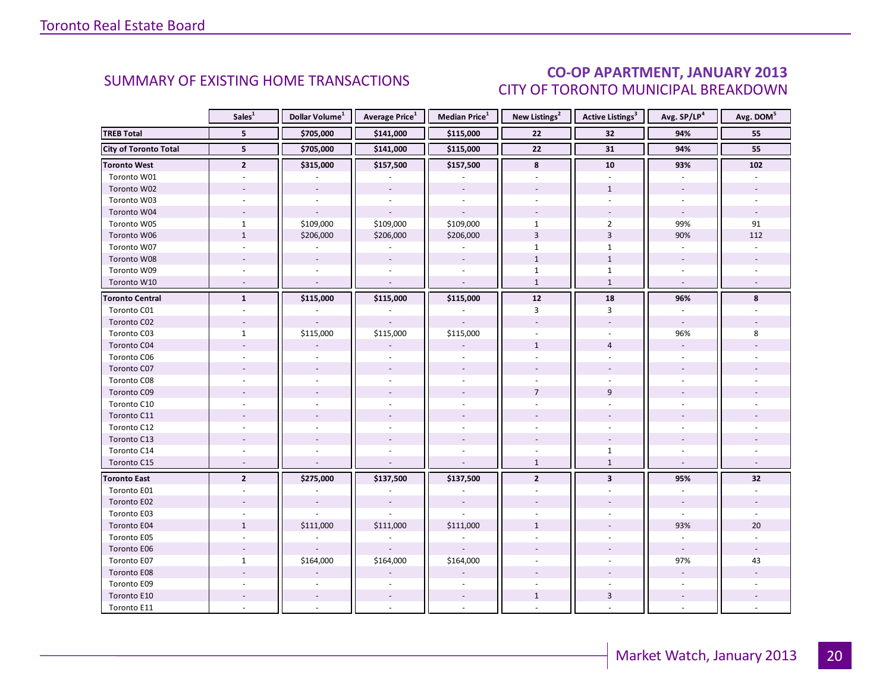### CO-OP APARTMENT, JANUARY 2013 CITY OF TORONTO MUNICIPAL BREAKDOWN

<span id="page-19-0"></span>

|                              | Sales <sup>1</sup>       | Dollar Volume <sup>1</sup> | <b>Average Price</b> <sup>1</sup> | Median Price <sup>1</sup>   | New Listings <sup>2</sup> | Active Listings <sup>3</sup> | Avg. SP/LP <sup>4</sup>  | Avg. DOM <sup>5</sup> |
|------------------------------|--------------------------|----------------------------|-----------------------------------|-----------------------------|---------------------------|------------------------------|--------------------------|-----------------------|
| <b>TREB Total</b>            | 5 <sup>1</sup>           | \$705,000                  | \$141,000                         | \$115,000                   | 22                        | 32                           | 94%                      | 55                    |
| <b>City of Toronto Total</b> | 5 <sup>5</sup>           | \$705,000                  | \$141,000                         | \$115,000                   | 22                        | 31                           | 94%                      | 55                    |
| <b>Toronto West</b>          | $\mathbf{2}$             | \$315,000                  | \$157,500                         | \$157,500                   | 8                         | 10                           | 93%                      | 102                   |
| Toronto W01                  |                          |                            |                                   |                             |                           |                              |                          |                       |
| Toronto W02                  |                          |                            | $\mathcal{L}$                     | $\bar{\phantom{a}}$         |                           | $\mathbf{1}$                 |                          |                       |
| Toronto W03                  | $\overline{\phantom{a}}$ | $\overline{\phantom{a}}$   | $\blacksquare$                    | $\sim$                      |                           | $\omega$                     | ÷.                       | $\sim$                |
| Toronto W04                  |                          |                            | $\sim$                            |                             |                           |                              |                          |                       |
| Toronto W05                  | $\mathbf{1}$             | \$109,000                  | \$109,000                         | \$109,000                   | $\mathbf{1}$              | $\overline{2}$               | 99%                      | 91                    |
| Toronto W06                  | $\mathbf{1}$             | \$206,000                  | \$206,000                         | \$206,000                   | $\overline{3}$            | $\overline{3}$               | 90%                      | 112                   |
| Toronto W07                  | $\sim$                   | $\overline{\phantom{a}}$   | $\omega$                          | $\mathcal{L}_{\mathcal{A}}$ | $\mathbf{1}$              | $\mathbf{1}$                 | $\omega$                 |                       |
| Toronto W08                  |                          |                            | $\omega$                          | $\sim$                      | $\mathbf{1}$              | $1\,$                        |                          |                       |
| Toronto W09                  |                          |                            |                                   |                             | $\mathbf{1}$              | $\mathbf{1}$                 |                          |                       |
| Toronto W10                  | $\sim$                   | $\overline{\phantom{a}}$   | $\mathcal{L}$                     | $\mathcal{L}$               | $\mathbf{1}$              | $\mathbf{1}$                 | $\sim$                   |                       |
| <b>Toronto Central</b>       | $\mathbf{1}$             | \$115,000                  | \$115,000                         | \$115,000                   | $12$                      | 18                           | 96%                      | 8                     |
| Toronto C01                  |                          |                            |                                   |                             | 3                         | 3                            |                          |                       |
| Toronto C02                  | $\sim$                   |                            |                                   |                             |                           |                              | $\sim$                   |                       |
| Toronto C03                  | $\mathbf{1}$             | \$115,000                  | \$115,000                         | \$115,000                   |                           |                              | 96%                      | 8                     |
| Toronto C04                  |                          |                            |                                   |                             | $\mathbf{1}$              | $\overline{4}$               |                          |                       |
| Toronto C06                  |                          |                            |                                   |                             |                           |                              |                          |                       |
| Toronto C07                  |                          |                            |                                   |                             |                           |                              |                          |                       |
| Toronto C08                  |                          |                            |                                   |                             |                           |                              |                          |                       |
| Toronto C09                  |                          |                            |                                   |                             | $\overline{7}$            | 9                            |                          |                       |
| Toronto C10                  |                          |                            |                                   |                             |                           |                              |                          |                       |
| Toronto C11                  |                          |                            |                                   |                             |                           |                              |                          |                       |
| Toronto C12                  |                          |                            |                                   |                             |                           |                              |                          |                       |
| Toronto C13                  |                          |                            |                                   |                             |                           |                              |                          |                       |
| Toronto C14                  |                          |                            |                                   |                             |                           | $\mathbf{1}$                 |                          |                       |
| Toronto C15                  | $\overline{\phantom{a}}$ |                            |                                   |                             | $\mathbf{1}$              | $\mathbf{1}$                 |                          |                       |
| <b>Toronto East</b>          | $\overline{2}$           | \$275,000                  | \$137,500                         | \$137,500                   | $\overline{2}$            | $\overline{\mathbf{3}}$      | 95%                      | 32                    |
| Toronto E01                  |                          |                            |                                   |                             |                           |                              |                          |                       |
| Toronto E02                  |                          |                            |                                   |                             |                           |                              | $\overline{\phantom{a}}$ |                       |
| Toronto E03                  |                          |                            |                                   |                             |                           |                              |                          |                       |
| Toronto E04                  | $\mathbf{1}$             | \$111,000                  | \$111,000                         | \$111,000                   | $\mathbf{1}$              |                              | 93%                      | 20                    |
| Toronto E05                  | $\omega$                 |                            |                                   |                             |                           |                              | ÷.                       |                       |
| Toronto E06                  |                          |                            |                                   |                             |                           |                              | $\omega$                 |                       |
| Toronto E07                  | $\mathbf{1}$             | \$164,000                  | \$164,000                         | \$164,000                   |                           |                              | 97%                      | 43                    |
| Toronto E08                  |                          |                            |                                   |                             |                           |                              |                          |                       |
| Toronto E09                  |                          |                            |                                   |                             |                           |                              |                          |                       |
| Toronto E10                  |                          | $\overline{\phantom{a}}$   | $\overline{\phantom{a}}$          | $\overline{\phantom{a}}$    | $\mathbf{1}$              | $\mathbf{3}$                 | $\overline{\phantom{a}}$ |                       |
| Toronto E11                  |                          |                            |                                   |                             |                           |                              |                          |                       |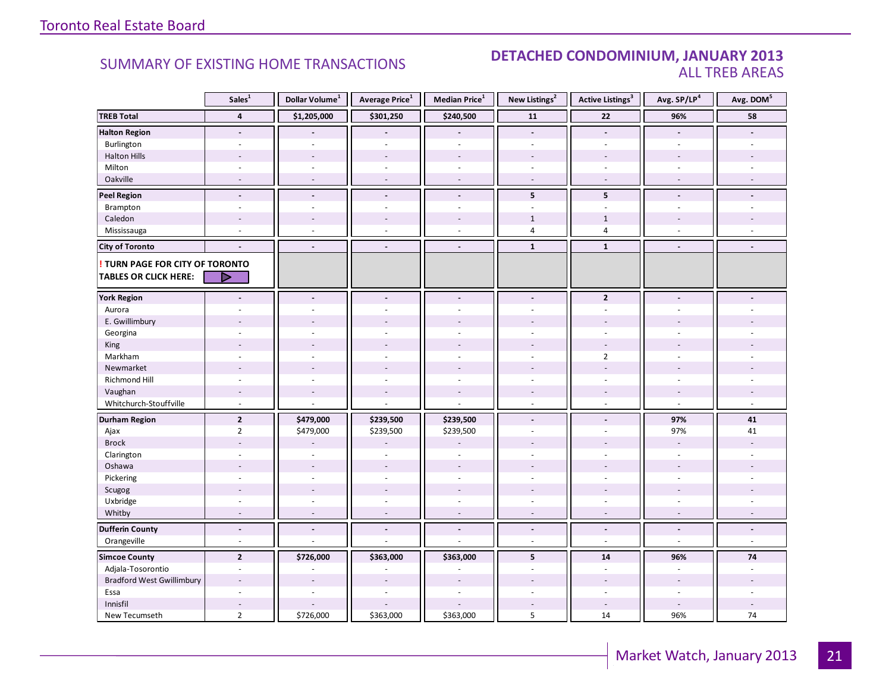#### SUMMARY OF EXISTING HOME TRANSACTIONS **DETACHED CONDOMINIUM, JANUARY 2013** ALL TREB AREAS

|                                        | Sales <sup>1</sup>       | Dollar Volume <sup>1</sup> | Average Price <sup>1</sup> | Median Price <sup>1</sup> | New Listings <sup>2</sup> | <b>Active Listings<sup>3</sup></b> | Avg. SP/LP <sup>4</sup> | Avg. DOM <sup>5</sup> |
|----------------------------------------|--------------------------|----------------------------|----------------------------|---------------------------|---------------------------|------------------------------------|-------------------------|-----------------------|
| <b>TREB Total</b>                      | $\overline{\mathbf{4}}$  | \$1,205,000                | \$301,250                  | \$240,500                 | 11                        | 22                                 | 96%                     | 58                    |
| <b>Halton Region</b>                   | $\blacksquare$           |                            |                            | $\overline{a}$            | $\blacksquare$            | $\overline{a}$                     | $\blacksquare$          |                       |
| Burlington                             | $\sim$                   |                            | ÷,                         | L.                        | $\overline{a}$            | $\overline{a}$                     | $\sim$                  |                       |
| <b>Halton Hills</b>                    |                          | $\overline{a}$             | $\overline{a}$             | $\overline{a}$            |                           | $\overline{a}$                     |                         |                       |
| Milton                                 | $\overline{\phantom{a}}$ | $\sim$                     | $\overline{\phantom{a}}$   | ä,                        | $\sim$                    | $\blacksquare$                     | $\sim$                  |                       |
| Oakville                               | $\overline{a}$           | $\sim$                     | $\sim$                     | $\overline{a}$            | $\sim$                    | $\blacksquare$                     | $\sim$                  |                       |
| <b>Peel Region</b>                     | $\blacksquare$           | $\tilde{\phantom{a}}$      | $\blacksquare$             | $\frac{1}{2}$             | 5                         | 5                                  | $\blacksquare$          |                       |
| Brampton                               | ÷.                       | $\sim$                     | $\sim$                     | $\overline{\phantom{a}}$  | $\omega$                  | $\overline{\phantom{a}}$           | $\sim$                  |                       |
| Caledon                                | $\overline{a}$           | $\overline{a}$             | $\overline{a}$             | $\overline{a}$            | $\mathbf{1}$              | $\mathbf{1}$                       |                         |                       |
| Mississauga                            | ÷,                       | $\overline{a}$             | $\overline{a}$             | L.                        | $\overline{4}$            | $\overline{4}$                     | $\overline{a}$          |                       |
| <b>City of Toronto</b>                 | $\overline{a}$           | $\blacksquare$             | $\blacksquare$             | $\overline{\phantom{a}}$  | $\mathbf{1}$              | $\mathbf{1}$                       | $\blacksquare$          |                       |
| <b>! TURN PAGE FOR CITY OF TORONTO</b> |                          |                            |                            |                           |                           |                                    |                         |                       |
| <b>TABLES OR CLICK HERE:</b>           | ⊳                        |                            |                            |                           |                           |                                    |                         |                       |
| <b>York Region</b>                     | $\overline{a}$           |                            |                            | $\overline{a}$            | $\blacksquare$            | $\overline{2}$                     | $\overline{a}$          |                       |
| Aurora                                 |                          |                            |                            |                           |                           |                                    |                         |                       |
| E. Gwillimbury                         |                          |                            |                            |                           |                           |                                    |                         |                       |
| Georgina                               |                          |                            |                            |                           |                           |                                    |                         |                       |
| King                                   |                          | $\overline{a}$             |                            | ÷,                        |                           |                                    |                         |                       |
| Markham                                | ÷.                       | ÷,                         |                            | ä,                        | ÷.                        | $\overline{2}$                     | ÷                       |                       |
| Newmarket                              |                          |                            |                            |                           |                           |                                    |                         |                       |
| Richmond Hill                          |                          |                            |                            |                           |                           |                                    |                         |                       |
| Vaughan                                | $\overline{\phantom{a}}$ | $\overline{\phantom{a}}$   | $\overline{\phantom{a}}$   | $\overline{a}$            |                           | $\overline{\phantom{a}}$           |                         |                       |
| Whitchurch-Stouffville                 | $\sim$                   | $\overline{a}$             | ÷,                         | L.                        | $\sim$                    | $\overline{\phantom{a}}$           | $\sim$                  | $\sim$                |
| <b>Durham Region</b>                   | $\overline{2}$           | \$479,000                  | \$239,500                  | \$239,500                 | $\overline{\phantom{a}}$  | $\overline{\phantom{a}}$           | 97%                     | 41                    |
| Ajax                                   | $\overline{2}$           | \$479,000                  | \$239,500                  | \$239,500                 | $\omega$                  | $\overline{\phantom{a}}$           | 97%                     | 41                    |
| <b>Brock</b>                           |                          |                            |                            |                           |                           |                                    | ÷,                      |                       |
| Clarington                             | ä,                       | ÷.                         | ÷.                         | ä,                        |                           |                                    | $\sim$                  |                       |
| Oshawa                                 |                          |                            |                            |                           |                           |                                    |                         |                       |
| Pickering                              | ٠                        | ÷.                         | $\overline{a}$             | ä,                        | $\overline{a}$            | ÷                                  | ÷                       |                       |
| Scugog                                 |                          | $\overline{a}$             | $\overline{a}$             | $\overline{a}$            |                           |                                    |                         |                       |
| Uxbridge                               | $\sim$                   | $\sim$                     | $\sim$                     | ä,                        | $\sim$                    | $\overline{\phantom{a}}$           | $\sim$                  |                       |
| Whitby                                 | $\overline{a}$           | $\overline{a}$             | $\overline{a}$             | $\overline{a}$            | $\sim$                    | $\sim$                             | $\sim$                  | $\sim$                |
| <b>Dufferin County</b>                 | $\overline{\phantom{a}}$ | $\blacksquare$             | $\blacksquare$             | $\overline{a}$            | $\blacksquare$            | $\blacksquare$                     | $\blacksquare$          | $\blacksquare$        |
| Orangeville                            | $\overline{\phantom{a}}$ | ÷,                         | $\sim$                     | ä,                        | $\omega$                  | $\omega$                           | $\sim$                  | $\omega$              |
| <b>Simcoe County</b>                   | $\overline{2}$           | \$726,000                  | \$363,000                  | \$363,000                 | 5                         | 14                                 | 96%                     | 74                    |
| Adjala-Tosorontio                      | $\overline{\phantom{a}}$ | $\sim$                     | $\sim$                     | ÷,                        | $\sim$                    | $\blacksquare$                     | $\blacksquare$          | $\sim$                |
| <b>Bradford West Gwillimbury</b>       | ٠                        |                            |                            |                           |                           |                                    |                         |                       |
| Essa                                   |                          |                            |                            |                           |                           |                                    |                         |                       |
| Innisfil                               | $\overline{\phantom{a}}$ |                            |                            |                           |                           | $\sim$                             | $\sim$                  |                       |
| New Tecumseth                          | $\overline{2}$           | \$726,000                  | \$363,000                  | \$363,000                 | 5                         | 14                                 | 96%                     | 74                    |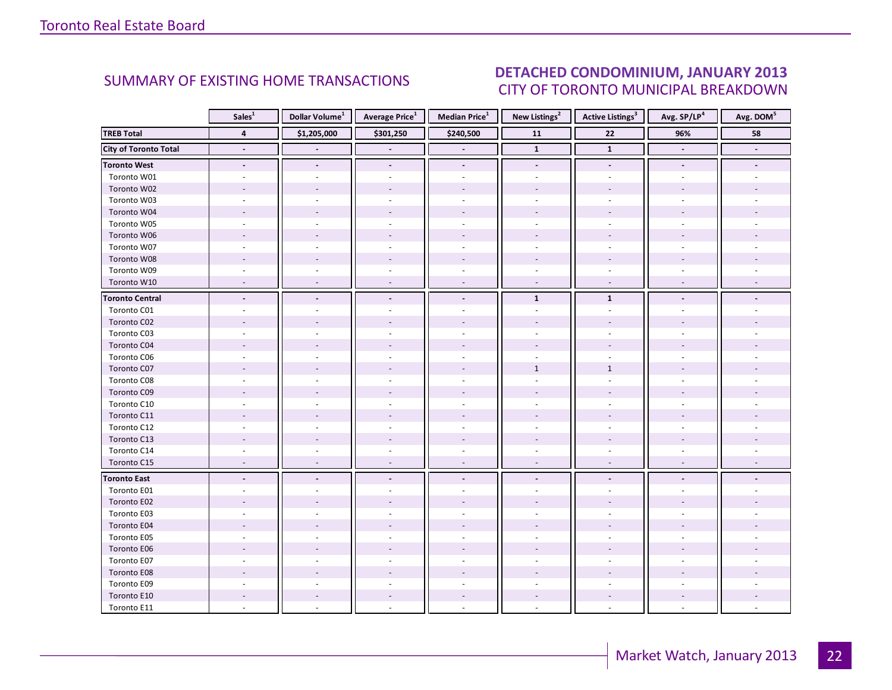#### IANILARY 2012 CITY OF TORONTO MUNICIPAL BREAKDOWN SUMMARY OF EXISTING HOME TRANSACTIONS **DETACHED CONDOMINIUM, JANUARY 2013**

<span id="page-21-0"></span>

|                              | Sales <sup>1</sup>       | Dollar Volume <sup>1</sup> | Average Price <sup>1</sup> | Median Price <sup>1</sup> | New Listings <sup>2</sup> | <b>Active Listings<sup>3</sup></b> | Avg. SP/LP4              | Avg. DOM <sup>5</sup> |
|------------------------------|--------------------------|----------------------------|----------------------------|---------------------------|---------------------------|------------------------------------|--------------------------|-----------------------|
| <b>TREB Total</b>            | $\overline{\mathbf{4}}$  | \$1,205,000                | \$301,250                  | \$240,500                 | $\overline{11}$           | $\overline{22}$                    | 96%                      | 58                    |
| <b>City of Toronto Total</b> | $\blacksquare$           | $\blacksquare$             | $\blacksquare$             | $\overline{a}$            | $\mathbf{1}$              | $\mathbf{1}$                       | $\blacksquare$           | $\blacksquare$        |
| <b>Toronto West</b>          | $\blacksquare$           | $\blacksquare$             | $\overline{\phantom{a}}$   | $\overline{\phantom{a}}$  | $\blacksquare$            | $\overline{\phantom{a}}$           | $\overline{\phantom{a}}$ |                       |
| Toronto W01                  |                          |                            |                            |                           |                           |                                    |                          |                       |
| Toronto W02                  |                          |                            |                            |                           |                           |                                    |                          |                       |
| Toronto W03                  |                          |                            |                            |                           |                           |                                    |                          |                       |
| Toronto W04                  |                          |                            |                            |                           |                           |                                    |                          |                       |
| Toronto W05                  |                          |                            |                            |                           |                           |                                    |                          |                       |
| Toronto W06                  |                          |                            |                            |                           |                           |                                    |                          |                       |
| Toronto W07                  |                          |                            |                            |                           |                           |                                    |                          |                       |
| Toronto W08                  |                          |                            |                            |                           |                           |                                    |                          |                       |
| Toronto W09                  |                          |                            |                            |                           |                           |                                    |                          |                       |
| Toronto W10                  |                          |                            |                            |                           |                           |                                    |                          |                       |
| <b>Toronto Central</b>       | $\overline{\phantom{a}}$ |                            | $\overline{\phantom{a}}$   | $\blacksquare$            | $\mathbf 1$               | $\mathbf{1}$                       |                          |                       |
| Toronto C01                  |                          |                            |                            |                           |                           |                                    |                          |                       |
| Toronto C02                  |                          |                            |                            |                           |                           |                                    |                          |                       |
| Toronto C03                  | ÷.                       |                            |                            |                           |                           | $\overline{a}$                     |                          |                       |
| Toronto C04                  |                          |                            |                            |                           |                           |                                    |                          |                       |
| Toronto C06                  |                          |                            |                            |                           |                           |                                    |                          |                       |
| Toronto C07                  |                          |                            |                            |                           | $\mathbf{1}$              | $\mathbf{1}$                       |                          |                       |
| Toronto C08                  |                          |                            |                            |                           |                           |                                    |                          |                       |
| Toronto C09                  |                          |                            |                            |                           |                           |                                    |                          |                       |
| Toronto C10                  |                          |                            |                            |                           |                           |                                    |                          |                       |
| Toronto C11                  |                          |                            |                            |                           |                           |                                    |                          |                       |
| Toronto C12                  |                          |                            |                            |                           |                           |                                    |                          |                       |
| Toronto C13                  |                          |                            |                            |                           |                           |                                    |                          |                       |
| Toronto C14                  |                          |                            |                            |                           |                           |                                    |                          |                       |
| Toronto C15                  |                          |                            | $\overline{a}$             | $\sim$                    | $\sim$                    | $\overline{a}$                     |                          |                       |
| <b>Toronto East</b>          |                          |                            |                            | L.                        |                           |                                    |                          |                       |
| Toronto E01                  |                          |                            |                            |                           |                           |                                    |                          |                       |
| Toronto E02                  |                          |                            |                            |                           |                           |                                    |                          |                       |
| Toronto E03                  |                          |                            |                            |                           |                           |                                    |                          |                       |
| Toronto E04                  |                          |                            |                            |                           |                           |                                    |                          |                       |
| Toronto E05                  |                          |                            |                            |                           |                           |                                    |                          |                       |
| Toronto E06                  |                          |                            |                            |                           |                           |                                    |                          |                       |
| Toronto E07                  |                          |                            |                            |                           |                           |                                    |                          |                       |
| Toronto E08                  |                          |                            |                            |                           |                           |                                    |                          |                       |
| Toronto E09                  |                          |                            |                            |                           |                           |                                    |                          |                       |
| Toronto E10                  |                          |                            |                            |                           |                           |                                    |                          |                       |
| Toronto E11                  |                          |                            |                            |                           |                           |                                    |                          |                       |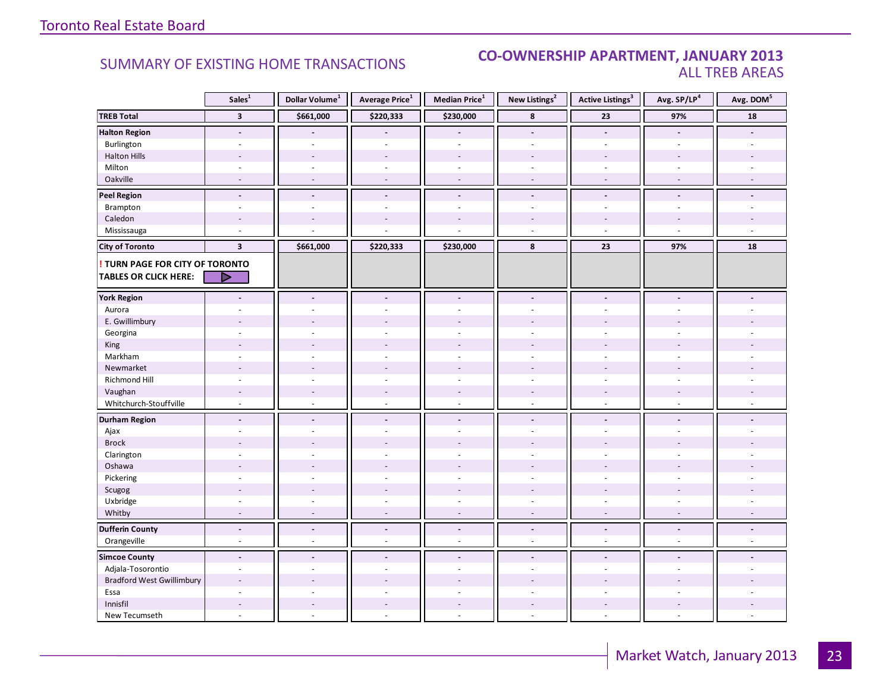#### SUMMARY OF EXISTING HOME TRANSACTIONS **CO-OWNERSHIP APARTMENT, JANUARY 2013** ALL TREB AREAS

|                                                                        | Sales <sup>1</sup>       | Dollar Volume <sup>1</sup> | Average Price <sup>1</sup> | Median Price <sup>1</sup> | New Listings <sup>2</sup> | Active Listings <sup>3</sup> | Avg. SP/LP <sup>4</sup>  | Avg. DOM <sup>5</sup> |
|------------------------------------------------------------------------|--------------------------|----------------------------|----------------------------|---------------------------|---------------------------|------------------------------|--------------------------|-----------------------|
| <b>TREB Total</b>                                                      | $\overline{\mathbf{3}}$  | \$661,000                  | \$220,333                  | \$230,000                 | 8                         | 23                           | 97%                      | 18                    |
| <b>Halton Region</b>                                                   | $\overline{\phantom{a}}$ |                            |                            |                           | $\overline{\phantom{a}}$  | $\overline{\phantom{a}}$     |                          |                       |
| Burlington                                                             | $\overline{\phantom{a}}$ | $\sim$                     | $\sim$                     | $\overline{a}$            | $\sim$                    | $\sim$                       | $\sim$                   |                       |
| <b>Halton Hills</b>                                                    |                          |                            |                            |                           |                           |                              |                          |                       |
| Milton                                                                 | $\overline{\phantom{a}}$ | $\sim$                     | ÷.                         | ÷,                        | ÷.                        | ÷.                           | ÷.                       |                       |
| Oakville                                                               | $\overline{\phantom{a}}$ | $\sim$                     | $\overline{\phantom{a}}$   | ÷,                        | $\sim$                    | $\sim$                       | $\overline{\phantom{a}}$ |                       |
| <b>Peel Region</b>                                                     | $\blacksquare$           | $\blacksquare$             | $\blacksquare$             | $\blacksquare$            | $\blacksquare$            | $\blacksquare$               | $\overline{a}$           |                       |
| Brampton                                                               | $\overline{\phantom{a}}$ | $\sim$                     | $\sim$                     | $\overline{\phantom{a}}$  | $\sim$                    | $\sim$                       | ÷.                       |                       |
| Caledon                                                                | $\overline{\phantom{a}}$ | $\overline{a}$             |                            |                           |                           |                              |                          |                       |
| Mississauga                                                            | $\overline{a}$           |                            |                            |                           | $\sim$                    | $\overline{a}$               | $\overline{a}$           |                       |
| <b>City of Toronto</b>                                                 | $\overline{\mathbf{3}}$  | \$661,000                  | \$220,333                  | \$230,000                 | 8                         | 23                           | 97%                      | 18                    |
| <b>! TURN PAGE FOR CITY OF TORONTO</b><br><b>TABLES OR CLICK HERE:</b> | ▷                        |                            |                            |                           |                           |                              |                          |                       |
| <b>York Region</b>                                                     |                          |                            |                            | $\overline{a}$            | $\overline{a}$            |                              |                          |                       |
| Aurora                                                                 |                          |                            |                            |                           |                           |                              |                          |                       |
| E. Gwillimbury                                                         |                          |                            |                            |                           |                           |                              |                          |                       |
| Georgina                                                               |                          |                            |                            |                           |                           |                              |                          |                       |
| King                                                                   |                          |                            |                            |                           |                           |                              |                          |                       |
| Markham                                                                | ÷                        | $\overline{a}$             | ÷.                         | ä,                        | ÷                         | ÷.                           | $\overline{a}$           |                       |
| Newmarket                                                              |                          |                            |                            |                           |                           |                              |                          |                       |
| <b>Richmond Hill</b>                                                   | L.                       |                            |                            |                           |                           |                              |                          |                       |
| Vaughan                                                                | $\overline{\phantom{a}}$ | $\sim$                     | $\overline{a}$             | $\overline{a}$            | $\overline{\phantom{a}}$  | $\overline{\phantom{a}}$     | $\overline{a}$           |                       |
| Whitchurch-Stouffville                                                 | $\overline{\phantom{a}}$ | $\sim$                     | $\bar{a}$                  | ä,                        | $\omega$                  | $\sim$                       | $\bar{a}$                |                       |
| <b>Durham Region</b>                                                   | $\overline{a}$           | $\overline{\phantom{a}}$   | $\overline{a}$             | $\overline{a}$            | $\overline{a}$            | $\overline{a}$               | $\overline{a}$           |                       |
| Ajax                                                                   |                          |                            |                            |                           |                           |                              |                          |                       |
| <b>Brock</b>                                                           |                          |                            |                            |                           |                           |                              |                          |                       |
| Clarington                                                             |                          |                            |                            |                           |                           |                              |                          |                       |
| Oshawa                                                                 |                          |                            |                            |                           |                           |                              |                          |                       |
| Pickering                                                              | $\overline{\phantom{a}}$ |                            |                            | ä,                        | ÷                         | $\sim$                       |                          |                       |
| Scugog                                                                 | $\overline{a}$           |                            |                            | $\overline{a}$            |                           |                              |                          |                       |
| Uxbridge                                                               |                          |                            |                            |                           |                           |                              |                          |                       |
| Whitby                                                                 |                          |                            |                            |                           |                           |                              |                          |                       |
| <b>Dufferin County</b>                                                 | $\blacksquare$           | $\blacksquare$             | $\blacksquare$             | $\frac{1}{2}$             | $\blacksquare$            | $\blacksquare$               | $\overline{a}$           |                       |
| Orangeville                                                            | ä,                       | $\overline{a}$             | ä,                         | L.                        | $\omega$                  | $\sim$                       | ä,                       |                       |
| <b>Simcoe County</b>                                                   | $\blacksquare$           | $\sim$                     | $\overline{a}$             | $\overline{a}$            | $\sim$                    | $\sim$                       | $\overline{a}$           |                       |
| Adjala-Tosorontio                                                      |                          |                            |                            |                           |                           |                              |                          |                       |
| <b>Bradford West Gwillimbury</b>                                       | $\overline{a}$           |                            |                            | $\overline{a}$            |                           |                              |                          |                       |
| Essa                                                                   | $\overline{\phantom{a}}$ |                            |                            | L.                        | ÷,                        | $\sim$                       | ÷                        |                       |
| Innisfil                                                               |                          |                            |                            | $\overline{a}$            |                           |                              |                          |                       |
| New Tecumseth                                                          |                          |                            |                            |                           |                           |                              |                          |                       |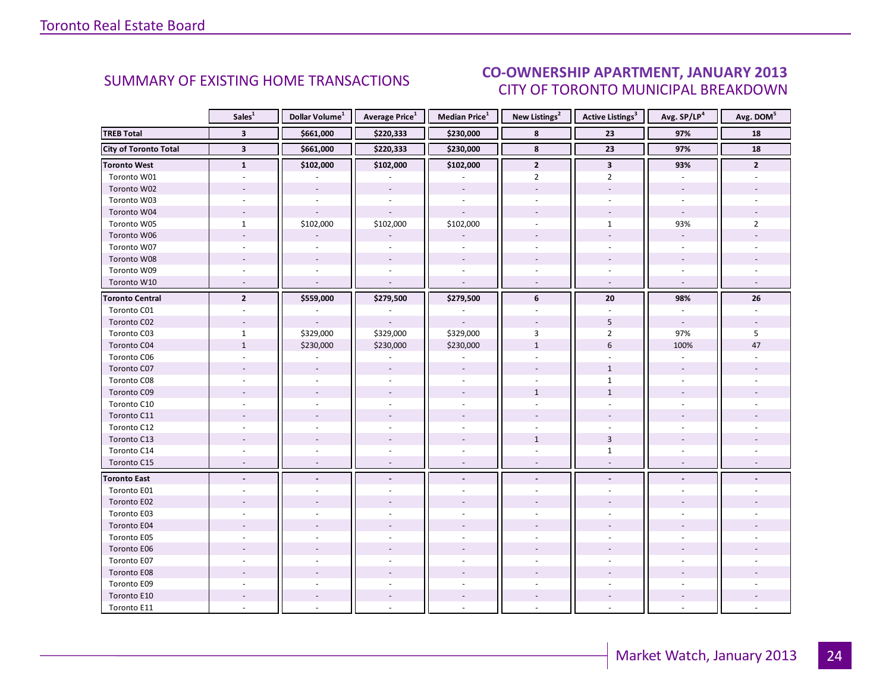#### IANILARY 2012 CITY OF TORONTO MUNICIPAL BREAKDOWN SUMMARY OF EXISTING HOME TRANSACTIONS **CO-OWNERSHIP APARTMENT, JANUARY 2013**

<span id="page-23-0"></span>

|                              | Sales <sup>1</sup>       | Dollar Volume <sup>1</sup> | <b>Average Price</b> <sup>1</sup> | <b>Median Price</b> <sup>1</sup> | New Listings <sup>2</sup> | <b>Active Listings<sup>3</sup></b> | Avg. SP/LP <sup>4</sup>  | Avg. DOM <sup>5</sup> |
|------------------------------|--------------------------|----------------------------|-----------------------------------|----------------------------------|---------------------------|------------------------------------|--------------------------|-----------------------|
| <b>TREB Total</b>            | $\overline{\mathbf{3}}$  | \$661,000                  | \$220,333                         | \$230,000                        | 8                         | 23                                 | 97%                      | 18                    |
| <b>City of Toronto Total</b> | $\overline{\mathbf{3}}$  | \$661,000                  | \$220,333                         | \$230,000                        | 8                         | $\overline{23}$                    | 97%                      | 18                    |
| <b>Toronto West</b>          | $\mathbf{1}$             | \$102,000                  | \$102,000                         | \$102,000                        | $\mathbf{2}$              | $\mathbf{3}$                       | 93%                      | $\mathbf{2}$          |
| Toronto W01                  |                          |                            |                                   |                                  | $\overline{2}$            | $\overline{2}$                     |                          |                       |
| Toronto W02                  |                          | $\overline{\phantom{a}}$   |                                   |                                  |                           |                                    |                          |                       |
| Toronto W03                  | $\omega$                 | $\overline{a}$             | $\overline{a}$                    | $\omega$                         | ÷.                        | $\overline{a}$                     | $\sim$                   |                       |
| Toronto W04                  |                          |                            |                                   |                                  |                           |                                    | $\omega$                 |                       |
| Toronto W05                  | $\mathbf{1}$             | \$102,000                  | \$102,000                         | \$102,000                        |                           | $\mathbf{1}$                       | 93%                      | $\overline{2}$        |
| Toronto W06                  |                          |                            |                                   |                                  |                           |                                    | $\overline{\phantom{a}}$ |                       |
| Toronto W07                  |                          | $\sim$                     |                                   |                                  |                           |                                    | $\overline{\phantom{a}}$ |                       |
| Toronto W08                  |                          |                            |                                   |                                  |                           |                                    |                          |                       |
| Toronto W09                  |                          |                            |                                   |                                  |                           |                                    |                          |                       |
| Toronto W10                  | $\sim$                   | $\sim$                     | $\sim$                            | $\mathcal{L}$                    | $\omega$                  | $\omega$                           | $\sim$                   |                       |
| <b>Toronto Central</b>       | $\overline{2}$           | \$559,000                  | \$279,500                         | \$279,500                        | 6                         | 20                                 | 98%                      | 26                    |
| Toronto C01                  |                          |                            |                                   |                                  |                           |                                    |                          |                       |
| Toronto C02                  |                          |                            |                                   |                                  |                           | 5                                  | $\sim$                   |                       |
| Toronto C03                  | $\mathbf{1}$             | \$329,000                  | \$329,000                         | \$329,000                        | 3                         | $\overline{2}$                     | 97%                      | 5                     |
| Toronto C04                  | $\mathbf 1$              | \$230,000                  | \$230,000                         | \$230,000                        | $1\,$                     | $6\,$                              | 100%                     | 47                    |
| Toronto C06                  |                          |                            |                                   |                                  |                           |                                    |                          |                       |
| Toronto C07                  |                          |                            |                                   |                                  |                           | $\mathbf{1}$                       |                          |                       |
| Toronto C08                  |                          |                            |                                   |                                  |                           | $\mathbf{1}$                       |                          |                       |
| Toronto C09                  |                          |                            |                                   |                                  | $\mathbf{1}$              | $\mathbf{1}$                       |                          |                       |
| Toronto C10                  |                          |                            |                                   |                                  |                           |                                    |                          |                       |
| Toronto C11                  |                          |                            |                                   |                                  |                           |                                    |                          |                       |
| Toronto C12                  |                          |                            |                                   |                                  |                           |                                    |                          |                       |
| Toronto C13                  |                          |                            |                                   |                                  | $\mathbf{1}$              | $\overline{3}$                     |                          |                       |
| Toronto C14                  |                          |                            |                                   |                                  |                           | $\mathbf{1}$                       |                          |                       |
| Toronto C15                  | $\overline{\phantom{a}}$ | $\overline{a}$             |                                   | ÷,                               |                           | $\overline{\phantom{a}}$           | $\overline{\phantom{a}}$ |                       |
| <b>Toronto East</b>          |                          |                            |                                   |                                  |                           |                                    |                          |                       |
| Toronto E01                  |                          |                            |                                   |                                  |                           |                                    |                          |                       |
| Toronto E02                  |                          |                            |                                   |                                  |                           |                                    |                          |                       |
| Toronto E03                  |                          |                            |                                   |                                  |                           |                                    |                          |                       |
| Toronto E04                  |                          |                            |                                   |                                  |                           |                                    |                          |                       |
| Toronto E05                  |                          |                            |                                   |                                  |                           |                                    |                          |                       |
| Toronto E06                  |                          |                            |                                   |                                  |                           |                                    |                          |                       |
| Toronto E07                  |                          |                            |                                   |                                  |                           |                                    |                          |                       |
| Toronto E08                  |                          |                            |                                   |                                  |                           |                                    |                          |                       |
| Toronto E09                  |                          |                            |                                   |                                  |                           |                                    |                          |                       |
| Toronto E10                  |                          |                            |                                   |                                  |                           |                                    |                          |                       |
| Toronto E11                  |                          |                            |                                   |                                  |                           |                                    |                          |                       |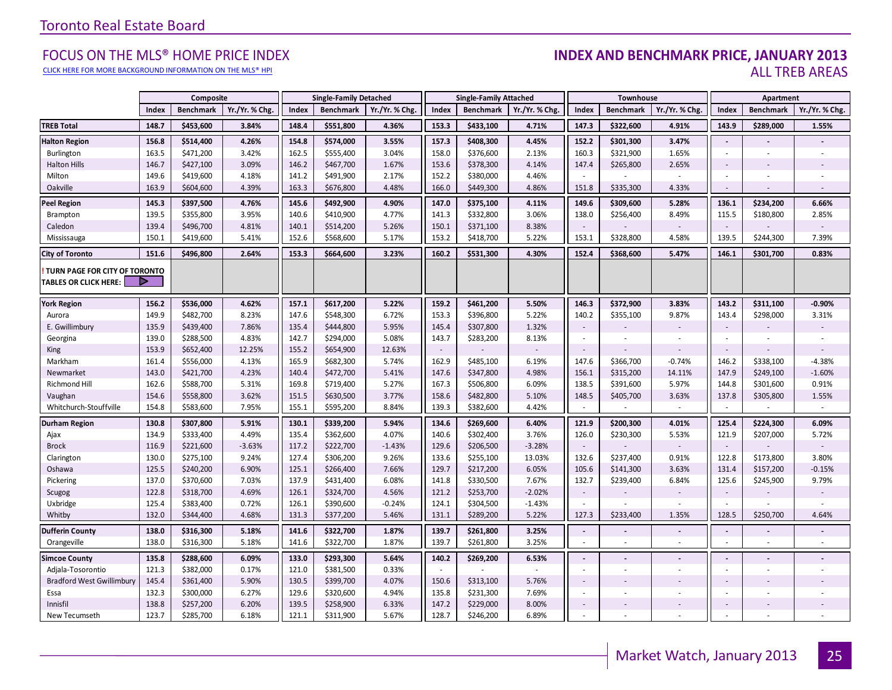#### [CLICK HERE FOR MORE BACKGROUND INFORMATION ON THE MLS® HPI](http://www.torontorealestateboard.com/market_news/home_price_index/index.htm)

#### FOCUS ON THE MLS® HOME PRICE INDEX **INDEX AND BENCHMARK PRICE, JANUARY 2013**<br>CLICK HERE FOR MORE BACKGROUND INFORMATION ON THE MLS® HPI ALL TREB AREAS

|                                                               |                | Composite              |                |                | <b>Single-Family Detached</b> |                |                | <b>Single-Family Attached</b> |                 |                          | Townhouse              |                |                              | Apartment                |                   |
|---------------------------------------------------------------|----------------|------------------------|----------------|----------------|-------------------------------|----------------|----------------|-------------------------------|-----------------|--------------------------|------------------------|----------------|------------------------------|--------------------------|-------------------|
|                                                               | Index          | <b>Benchmark</b>       | Yr./Yr. % Chg. | Index          | <b>Benchmark</b>              | Yr./Yr. % Chg  | Index          | <b>Benchmark</b>              | Yr./Yr. % Chg.  | Index                    | <b>Benchmark</b>       | Yr./Yr. % Chg. | Index                        | <b>Benchmark</b>         | Yr./Yr. % Chg.    |
| <b>TREB Total</b>                                             | 148.7          | \$453,600              | 3.84%          | 148.4          | \$551,800                     | 4.36%          | 153.3          | \$433,100                     | 4.71%           | 147.3                    | \$322,600              | 4.91%          | 143.9                        | \$289,000                | 1.55%             |
| <b>Halton Region</b>                                          | 156.8          | \$514,400              | 4.26%          | 154.8          | \$574,000                     | 3.55%          | 157.3          | \$408,300                     | 4.45%           | 152.2                    | \$301,300              | 3.47%          | $\blacksquare$               |                          |                   |
| Burlington                                                    | 163.5          | \$471,200              | 3.42%          | 162.5          | \$555,400                     | 3.04%          | 158.0          | \$376,600                     | 2.13%           | 160.3                    | \$321,900              | 1.65%          | ÷,                           | $\overline{\phantom{a}}$ |                   |
| <b>Halton Hills</b>                                           | 146.7          | \$427,100              | 3.09%          | 146.2          | \$467,700                     | 1.67%          | 153.6          | \$378,300                     | 4.14%           | 147.4                    | \$265,800              | 2.65%          | $\overline{\phantom{a}}$     |                          |                   |
| Milton                                                        | 149.6          | \$419,600              | 4.18%          | 141.2          | \$491,900                     | 2.17%          | 152.2          | \$380,000                     | 4.46%           | $\sim$                   |                        |                |                              |                          |                   |
| Oakville                                                      | 163.9          | \$604,600              | 4.39%          | 163.3          | \$676,800                     | 4.48%          | 166.0          | \$449,300                     | 4.86%           | 151.8                    | \$335,300              | 4.33%          | $\sim$                       |                          |                   |
| <b>Peel Region</b>                                            | 145.3          | \$397,500              | 4.76%          | 145.6          | \$492,900                     | 4.90%          | 147.0          | \$375,100                     | 4.11%           | 149.6                    | \$309,600              | 5.28%          | 136.1                        | \$234,200                | 6.66%             |
| Brampton                                                      | 139.5          | \$355,800              | 3.95%          | 140.6          | \$410,900                     | 4.77%          | 141.3          | \$332,800                     | 3.06%           | 138.0                    | \$256,400              | 8.49%          | 115.5                        | \$180,800                | 2.85%             |
| Caledon                                                       | 139.4          | \$496,700              | 4.81%          | 140.1          | \$514,200                     | 5.26%          | 150.1          | \$371,100                     | 8.38%           | $\blacksquare$           |                        |                | $\sim$                       |                          |                   |
| Mississauga                                                   | 150.1          | \$419,600              | 5.41%          | 152.6          | \$568,600                     | 5.17%          | 153.2          | \$418,700                     | 5.22%           | 153.1                    | \$328,800              | 4.58%          | 139.5                        | \$244,300                | 7.39%             |
| <b>City of Toronto</b>                                        | 151.6          | \$496,800              | 2.64%          | 153.3          | \$664,600                     | 3.23%          | 160.2          | \$531,300                     | 4.30%           | 152.4                    | \$368,600              | 5.47%          | 146.1                        | \$301,700                | 0.83%             |
| TURN PAGE FOR CITY OF TORONTO<br><b>TABLES OR CLICK HERE:</b> |                |                        |                |                |                               |                |                |                               |                 |                          |                        |                |                              |                          |                   |
| <b>York Region</b>                                            | 156.2          | \$536,000              | 4.62%          | 157.1          | \$617,200                     | 5.22%          | 159.2          | \$461,200                     | 5.50%           | 146.3                    | \$372,900              | 3.83%          | 143.2                        | \$311,100                | $-0.90%$          |
| Aurora                                                        | 149.9          | \$482,700              | 8.23%          | 147.6          | \$548,300                     | 6.72%          | 153.3          | \$396,800                     | 5.22%           | 140.2                    | \$355,100              | 9.87%          | 143.4                        | \$298,000                | 3.31%             |
| E. Gwillimbury                                                | 135.9          | \$439,400              | 7.86%          | 135.4          | \$444,800                     | 5.95%          | 145.4          | \$307,800                     | 1.32%           | $\overline{\phantom{a}}$ |                        |                | $\sim$                       |                          |                   |
| Georgina                                                      | 139.0          | \$288,500              | 4.83%          | 142.7          | \$294,000                     | 5.08%          | 143.7          | \$283,200                     | 8.13%           | $\sim$                   |                        |                | ×.                           |                          |                   |
| <b>King</b>                                                   | 153.9          | \$652,400              | 12.25%         | 155.2          | \$654,900                     | 12.63%         | $\sim$         |                               |                 | $\blacksquare$           |                        |                | $\overline{\phantom{a}}$     |                          |                   |
| Markham                                                       | 161.4          | \$556,000              | 4.13%          | 165.9          | \$682,300                     | 5.74%          | 162.9          | \$485,100                     | 6.19%           | 147.6                    | \$366,700              | $-0.74%$       | 146.2                        | \$338,100                | $-4.38%$          |
| Newmarket                                                     | 143.0          | \$421,700              | 4.23%          | 140.4          | \$472,700                     | 5.41%          | 147.6          | \$347,800                     | 4.98%           | 156.1                    | \$315,200              | 14.11%         | 147.9                        | \$249,100                | $-1.60%$          |
| Richmond Hill                                                 | 162.6          | \$588,700              | 5.31%          | 169.8          | \$719,400                     | 5.27%          | 167.3          | \$506,800                     | 6.09%           | 138.5                    | \$391,600              | 5.97%          | 144.8                        | \$301,600                | 0.91%             |
| Vaughan                                                       | 154.6          | \$558,800              | 3.62%          | 151.5          | \$630,500                     | 3.77%          | 158.6          | \$482,800                     | 5.10%           | 148.5                    | \$405,700              | 3.63%          | 137.8                        | \$305,800                | 1.55%             |
| Whitchurch-Stouffville                                        | 154.8          | \$583,600              | 7.95%          | 155.1          | \$595,200                     | 8.84%          | 139.3          | \$382,600                     | 4.42%           | $\sim$                   |                        | $\sim$         | $\sim$                       |                          | ÷.                |
| <b>Durham Region</b>                                          | 130.8          | \$307,800              | 5.91%          | 130.1          | \$339,200                     | 5.94%          | 134.6          | \$269,600                     | 6.40%           | 121.9                    | \$200,300              | 4.01%          | 125.4                        | \$224,300                | 6.09%             |
| Ajax                                                          | 134.9          | \$333,400              | 4.49%          | 135.4          | \$362,600                     | 4.07%          | 140.6          | \$302,400                     | 3.76%           | 126.0                    | \$230,300              | 5.53%          | 121.9                        | \$207,000                | 5.72%             |
| <b>Brock</b>                                                  | 116.9          | \$221,600              | $-3.63%$       | 117.2          | \$222,700                     | $-1.43%$       | 129.6          | \$206,500                     | $-3.28%$        | $\sim$                   |                        |                | $\sim$                       |                          |                   |
| Clarington                                                    | 130.0<br>125.5 | \$275,100              | 9.24%          | 127.4          | \$306,200                     | 9.26%          | 133.6<br>129.7 | \$255,100<br>\$217,200        | 13.03%<br>6.05% | 132.6                    | \$237,400              | 0.91%          | 122.8                        | \$173,800                | 3.80%<br>$-0.15%$ |
| Oshawa<br>Pickering                                           | 137.0          | \$240,200<br>\$370,600 | 6.90%<br>7.03% | 125.1<br>137.9 | \$266,400<br>\$431,400        | 7.66%<br>6.08% | 141.8          | \$330,500                     | 7.67%           | 105.6<br>132.7           | \$141,300<br>\$239,400 | 3.63%<br>6.84% | 131.4<br>125.6               | \$157,200<br>\$245,900   | 9.79%             |
| Scugog                                                        | 122.8          | \$318,700              | 4.69%          | 126.1          | \$324,700                     | 4.56%          | 121.2          | \$253,700                     | $-2.02%$        | $\overline{\phantom{a}}$ |                        |                |                              |                          |                   |
| Uxbridge                                                      | 125.4          | \$383,400              | 0.72%          | 126.1          | \$390,600                     | $-0.24%$       | 124.1          | \$304,500                     | $-1.43%$        | $\blacksquare$           |                        | $\sim$         |                              |                          |                   |
| Whitby                                                        | 132.0          | \$344,400              | 4.68%          | 131.3          | \$377,200                     | 5.46%          | 131.1          | \$289,200                     | 5.22%           | 127.3                    | \$233,400              | 1.35%          | 128.5                        | \$250,700                | 4.64%             |
| <b>Dufferin County</b>                                        | 138.0          | \$316,300              | 5.18%          | 141.6          | \$322,700                     | 1.87%          | 139.7          | \$261,800                     | 3.25%           | $\blacksquare$           |                        |                | $\sim$                       |                          |                   |
| Orangeville                                                   | 138.0          | \$316,300              | 5.18%          | 141.6          | \$322,700                     | 1.87%          | 139.7          | \$261,800                     | 3.25%           | $\sim$                   |                        |                |                              | $\sim$                   |                   |
| <b>Simcoe County</b>                                          | 135.8          | \$288,600              | 6.09%          | 133.0          | \$293,300                     | 5.64%          | 140.2          | \$269,200                     | 6.53%           | $\blacksquare$           |                        |                | $\overline{\phantom{a}}$     |                          |                   |
| Adjala-Tosorontio                                             | 121.3          | \$382,000              | 0.17%          | 121.0          | \$381,500                     | 0.33%          |                |                               |                 | $\overline{\phantom{a}}$ |                        |                |                              |                          |                   |
| <b>Bradford West Gwillimbury</b>                              | 145.4          | \$361,400              | 5.90%          | 130.5          | \$399,700                     | 4.07%          | 150.6          | \$313,100                     | 5.76%           | $\overline{\phantom{a}}$ |                        |                | $\sim$                       |                          |                   |
| Essa                                                          | 132.3          | \$300,000              | 6.27%          | 129.6          | \$320,600                     | 4.94%          | 135.8          | \$231,300                     | 7.69%           | $\blacksquare$           |                        |                | ÷,                           | $\overline{\phantom{a}}$ |                   |
| Innisfil                                                      | 138.8          | \$257,200              | 6.20%          | 139.5          | \$258,900                     | 6.33%          | 147.2          | \$229,000                     | 8.00%           | $\overline{\phantom{a}}$ |                        |                | $\qquad \qquad \blacksquare$ |                          |                   |
| New Tecumseth                                                 | 123.7          | \$285,700              | 6.18%          | 121.1          | \$311,900                     | 5.67%          | 128.7          | \$246,200                     | 6.89%           | $\sim$                   |                        |                |                              |                          |                   |

**Page 3 July 2010**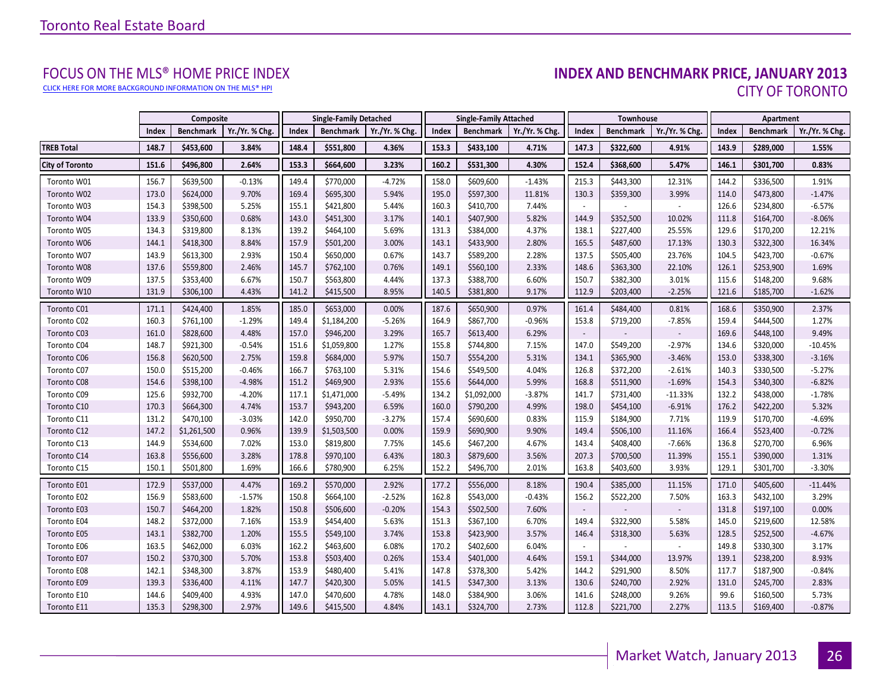[CLICK HERE FOR MORE BACKGROUND INFORMATION ON THE MLS® HPI](http://www.torontorealestateboard.com/market_news/home_price_index/index.htm)

# FOCUS ON THE MLS® HOME PRICE INDEX<br>INDEX AND BENCHMARK PRICE, JANUARY 2013 CITY OF TORONTO

<span id="page-25-0"></span>

|                        |       | Composite        |                |       | <b>Single-Family Detached</b> |                |       | <b>Single-Family Attached</b> |                |                          | <b>Townhouse</b> |                |       | Apartment        |                |
|------------------------|-------|------------------|----------------|-------|-------------------------------|----------------|-------|-------------------------------|----------------|--------------------------|------------------|----------------|-------|------------------|----------------|
|                        | Index | <b>Benchmark</b> | Yr./Yr. % Chg. | Index | <b>Benchmark</b>              | Yr./Yr. % Chg. | Index | <b>Benchmark</b>              | Yr./Yr. % Chg. | Index                    | <b>Benchmark</b> | Yr./Yr. % Chg. | Index | <b>Benchmark</b> | Yr./Yr. % Chg. |
| <b>TREB Total</b>      | 148.7 | \$453,600        | 3.84%          | 148.4 | \$551,800                     | 4.36%          | 153.3 | \$433,100                     | 4.71%          | 147.3                    | \$322,600        | 4.91%          | 143.9 | \$289,000        | 1.55%          |
| <b>City of Toronto</b> | 151.6 | \$496,800        | 2.64%          | 153.3 | \$664,600                     | 3.23%          | 160.2 | \$531,300                     | 4.30%          | 152.4                    | \$368,600        | 5.47%          | 146.1 | \$301,700        | 0.83%          |
| Toronto W01            | 156.7 | \$639,500        | $-0.13%$       | 149.4 | \$770,000                     | $-4.72%$       | 158.0 | \$609,600                     | $-1.43%$       | 215.3                    | \$443,300        | 12.31%         | 144.2 | \$336,500        | 1.91%          |
| Toronto W02            | 173.0 | \$624,000        | 9.70%          | 169.4 | \$695,300                     | 5.94%          | 195.0 | \$597,300                     | 11.81%         | 130.3                    | \$359,300        | 3.99%          | 114.0 | \$473,800        | $-1.47%$       |
| Toronto W03            | 154.3 | \$398,500        | 5.25%          | 155.1 | \$421,800                     | 5.44%          | 160.3 | \$410,700                     | 7.44%          |                          |                  |                | 126.6 | \$234,800        | $-6.57%$       |
| Toronto W04            | 133.9 | \$350,600        | 0.68%          | 143.0 | \$451,300                     | 3.17%          | 140.1 | \$407,900                     | 5.82%          | 144.9                    | \$352,500        | 10.02%         | 111.8 | \$164,700        | $-8.06%$       |
| Toronto W05            | 134.3 | \$319,800        | 8.13%          | 139.2 | \$464,100                     | 5.69%          | 131.3 | \$384,000                     | 4.37%          | 138.1                    | \$227,400        | 25.55%         | 129.6 | \$170,200        | 12.21%         |
| Toronto W06            | 144.1 | \$418,300        | 8.84%          | 157.9 | \$501,200                     | 3.00%          | 143.1 | \$433,900                     | 2.80%          | 165.5                    | \$487,600        | 17.13%         | 130.3 | \$322,300        | 16.34%         |
| Toronto W07            | 143.9 | \$613,300        | 2.93%          | 150.4 | \$650,000                     | 0.67%          | 143.7 | \$589,200                     | 2.28%          | 137.5                    | \$505,400        | 23.76%         | 104.5 | \$423,700        | $-0.67%$       |
| Toronto W08            | 137.6 | \$559,800        | 2.46%          | 145.7 | \$762,100                     | 0.76%          | 149.1 | \$560,100                     | 2.33%          | 148.6                    | \$363,300        | 22.10%         | 126.1 | \$253,900        | 1.69%          |
| Toronto W09            | 137.5 | \$353,400        | 6.67%          | 150.7 | \$563,800                     | 4.44%          | 137.3 | \$388,700                     | 6.60%          | 150.7                    | \$382,300        | 3.01%          | 115.6 | \$148,200        | 9.68%          |
| Toronto W10            | 131.9 | \$306,100        | 4.43%          | 141.2 | \$415,500                     | 8.95%          | 140.5 | \$381,800                     | 9.17%          | 112.9                    | \$203,400        | $-2.25%$       | 121.6 | \$185,700        | $-1.62%$       |
| Toronto C01            | 171.1 | \$424,400        | 1.85%          | 185.0 | \$653,000                     | 0.00%          | 187.6 | \$650,900                     | 0.97%          | 161.4                    | \$484,400        | 0.81%          | 168.6 | \$350,900        | 2.37%          |
| Toronto C02            | 160.3 | \$761,100        | $-1.29%$       | 149.4 | \$1,184,200                   | $-5.26%$       | 164.9 | \$867,700                     | $-0.96%$       | 153.8                    | \$719,200        | $-7.85%$       | 159.4 | \$444,500        | 1.27%          |
| Toronto C03            | 161.0 | \$828,600        | 4.48%          | 157.0 | \$946,200                     | 3.29%          | 165.7 | \$613,400                     | 6.29%          |                          |                  |                | 169.6 | \$448,100        | 9.49%          |
| Toronto C04            | 148.7 | \$921,300        | $-0.54%$       | 151.6 | \$1,059,800                   | 1.27%          | 155.8 | \$744,800                     | 7.15%          | 147.0                    | \$549,200        | $-2.97%$       | 134.6 | \$320,000        | $-10.45%$      |
| Toronto C06            | 156.8 | \$620,500        | 2.75%          | 159.8 | \$684,000                     | 5.97%          | 150.7 | \$554,200                     | 5.31%          | 134.1                    | \$365,900        | $-3.46%$       | 153.0 | \$338,300        | $-3.16%$       |
| Toronto C07            | 150.0 | \$515,200        | $-0.46%$       | 166.7 | \$763,100                     | 5.31%          | 154.6 | \$549,500                     | 4.04%          | 126.8                    | \$372,200        | $-2.61%$       | 140.3 | \$330,500        | $-5.27%$       |
| Toronto C08            | 154.6 | \$398,100        | $-4.98%$       | 151.2 | \$469,900                     | 2.93%          | 155.6 | \$644,000                     | 5.99%          | 168.8                    | \$511,900        | $-1.69%$       | 154.3 | \$340,300        | $-6.82%$       |
| Toronto C09            | 125.6 | \$932,700        | $-4.20%$       | 117.1 | \$1,471,000                   | $-5.49%$       | 134.2 | \$1,092,000                   | $-3.87%$       | 141.7                    | \$731,400        | $-11.33%$      | 132.2 | \$438,000        | $-1.78%$       |
| Toronto C10            | 170.3 | \$664,300        | 4.74%          | 153.7 | \$943,200                     | 6.59%          | 160.0 | \$790,200                     | 4.99%          | 198.0                    | \$454,100        | $-6.91%$       | 176.2 | \$422,200        | 5.32%          |
| Toronto C11            | 131.2 | \$470,100        | $-3.03%$       | 142.0 | \$950,700                     | $-3.27%$       | 157.4 | \$690,600                     | 0.83%          | 115.9                    | \$184,900        | 7.71%          | 119.9 | \$170,700        | $-4.69%$       |
| Toronto C12            | 147.2 | \$1,261,500      | 0.96%          | 139.9 | \$1,503,500                   | 0.00%          | 159.9 | \$690,900                     | 9.90%          | 149.4                    | \$506,100        | 11.16%         | 166.4 | \$523,400        | $-0.72%$       |
| Toronto C13            | 144.9 | \$534,600        | 7.02%          | 153.0 | \$819,800                     | 7.75%          | 145.6 | \$467,200                     | 4.67%          | 143.4                    | \$408,400        | $-7.66%$       | 136.8 | \$270,700        | 6.96%          |
| Toronto C14            | 163.8 | \$556,600        | 3.28%          | 178.8 | \$970,100                     | 6.43%          | 180.3 | \$879,600                     | 3.56%          | 207.3                    | \$700,500        | 11.39%         | 155.1 | \$390,000        | 1.31%          |
| Toronto C15            | 150.1 | \$501,800        | 1.69%          | 166.6 | \$780,900                     | 6.25%          | 152.2 | \$496,700                     | 2.01%          | 163.8                    | \$403,600        | 3.93%          | 129.1 | \$301,700        | $-3.30%$       |
| Toronto E01            | 172.9 | \$537,000        | 4.47%          | 169.2 | \$570,000                     | 2.92%          | 177.2 | \$556,000                     | 8.18%          | 190.4                    | \$385,000        | 11.15%         | 171.0 | \$405,600        | $-11.44%$      |
| Toronto E02            | 156.9 | \$583,600        | $-1.57%$       | 150.8 | \$664,100                     | $-2.52%$       | 162.8 | \$543,000                     | $-0.43%$       | 156.2                    | \$522,200        | 7.50%          | 163.3 | \$432,100        | 3.29%          |
| Toronto E03            | 150.7 | \$464,200        | 1.82%          | 150.8 | \$506,600                     | $-0.20%$       | 154.3 | \$502,500                     | 7.60%          | $\overline{\phantom{a}}$ |                  |                | 131.8 | \$197,100        | 0.00%          |
| Toronto E04            | 148.2 | \$372,000        | 7.16%          | 153.9 | \$454,400                     | 5.63%          | 151.3 | \$367,100                     | 6.70%          | 149.4                    | \$322,900        | 5.58%          | 145.0 | \$219,600        | 12.58%         |
| Toronto E05            | 143.1 | \$382,700        | 1.20%          | 155.5 | \$549,100                     | 3.74%          | 153.8 | \$423,900                     | 3.57%          | 146.4                    | \$318,300        | 5.63%          | 128.5 | \$252,500        | $-4.67%$       |
| Toronto E06            | 163.5 | \$462,000        | 6.03%          | 162.2 | \$463,600                     | 6.08%          | 170.2 | \$402,600                     | 6.04%          |                          |                  |                | 149.8 | \$330,300        | 3.17%          |
| Toronto E07            | 150.2 | \$370,300        | 5.70%          | 153.8 | \$503,400                     | 0.26%          | 153.4 | \$401,000                     | 4.64%          | 159.1                    | \$344,000        | 13.97%         | 139.1 | \$238,200        | 8.93%          |
| Toronto E08            | 142.1 | \$348,300        | 3.87%          | 153.9 | \$480,400                     | 5.41%          | 147.8 | \$378,300                     | 5.42%          | 144.2                    | \$291,900        | 8.50%          | 117.7 | \$187,900        | $-0.84%$       |
| Toronto E09            | 139.3 | \$336,400        | 4.11%          | 147.7 | \$420,300                     | 5.05%          | 141.5 | \$347,300                     | 3.13%          | 130.6                    | \$240,700        | 2.92%          | 131.0 | \$245,700        | 2.83%          |
| Toronto E10            | 144.6 | \$409,400        | 4.93%          | 147.0 | \$470,600                     | 4.78%          | 148.0 | \$384,900                     | 3.06%          | 141.6                    | \$248,000        | 9.26%          | 99.6  | \$160,500        | 5.73%          |
| Toronto E11            | 135.3 | \$298,300        | 2.97%          | 149.6 | \$415,500                     | 4.84%          | 143.1 | \$324,700                     | 2.73%          | 112.8                    | \$221,700        | 2.27%          | 113.5 | \$169,400        | $-0.87%$       |